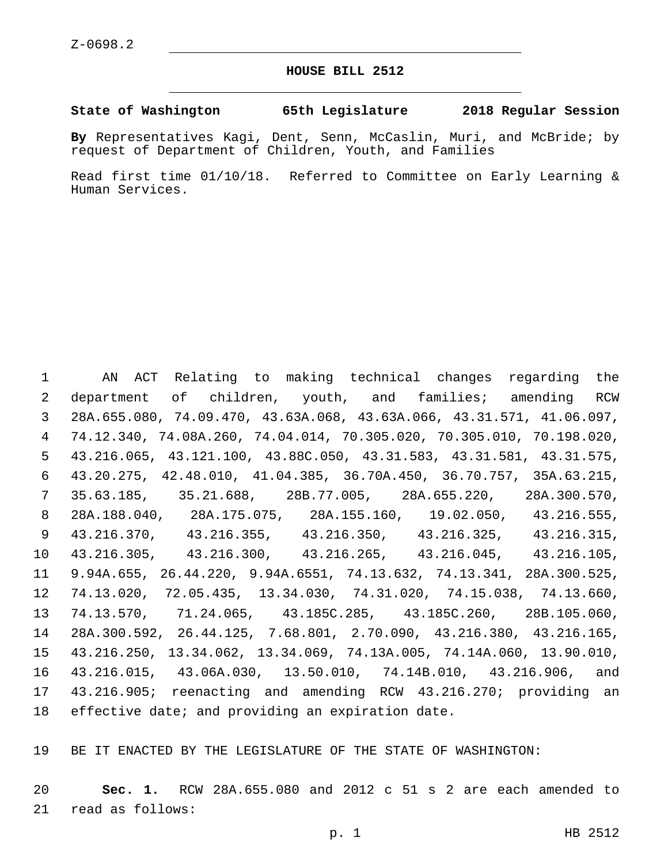## **HOUSE BILL 2512**

## **State of Washington 65th Legislature 2018 Regular Session**

**By** Representatives Kagi, Dent, Senn, McCaslin, Muri, and McBride; by request of Department of Children, Youth, and Families

Read first time 01/10/18. Referred to Committee on Early Learning & Human Services.

 AN ACT Relating to making technical changes regarding the department of children, youth, and families; amending RCW 28A.655.080, 74.09.470, 43.63A.068, 43.63A.066, 43.31.571, 41.06.097, 74.12.340, 74.08A.260, 74.04.014, 70.305.020, 70.305.010, 70.198.020, 43.216.065, 43.121.100, 43.88C.050, 43.31.583, 43.31.581, 43.31.575, 43.20.275, 42.48.010, 41.04.385, 36.70A.450, 36.70.757, 35A.63.215, 35.63.185, 35.21.688, 28B.77.005, 28A.655.220, 28A.300.570, 28A.188.040, 28A.175.075, 28A.155.160, 19.02.050, 43.216.555, 43.216.370, 43.216.355, 43.216.350, 43.216.325, 43.216.315, 43.216.305, 43.216.300, 43.216.265, 43.216.045, 43.216.105, 9.94A.655, 26.44.220, 9.94A.6551, 74.13.632, 74.13.341, 28A.300.525, 74.13.020, 72.05.435, 13.34.030, 74.31.020, 74.15.038, 74.13.660, 74.13.570, 71.24.065, 43.185C.285, 43.185C.260, 28B.105.060, 28A.300.592, 26.44.125, 7.68.801, 2.70.090, 43.216.380, 43.216.165, 43.216.250, 13.34.062, 13.34.069, 74.13A.005, 74.14A.060, 13.90.010, 43.216.015, 43.06A.030, 13.50.010, 74.14B.010, 43.216.906, and 43.216.905; reenacting and amending RCW 43.216.270; providing an effective date; and providing an expiration date.

BE IT ENACTED BY THE LEGISLATURE OF THE STATE OF WASHINGTON:

 **Sec. 1.** RCW 28A.655.080 and 2012 c 51 s 2 are each amended to 21 read as follows: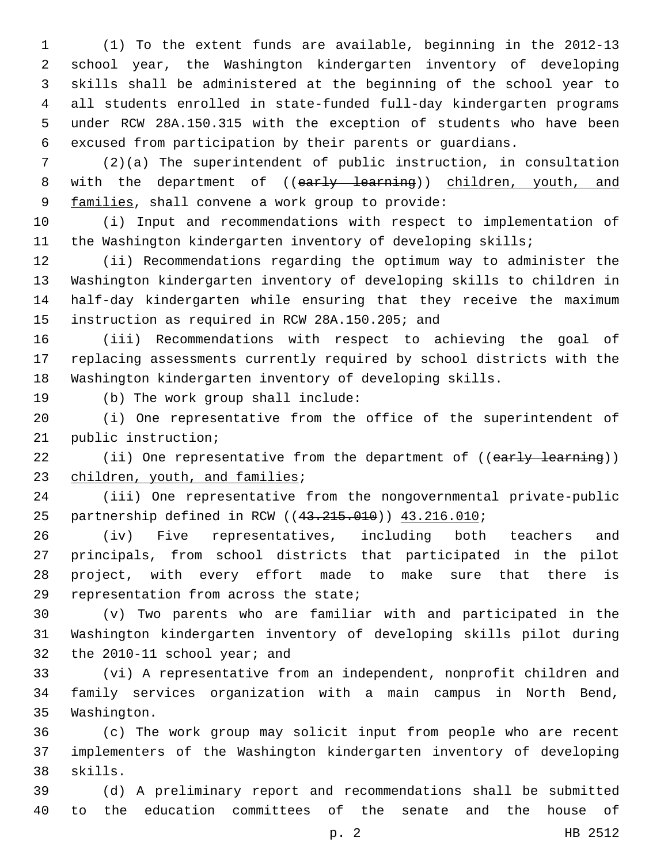(1) To the extent funds are available, beginning in the 2012-13 school year, the Washington kindergarten inventory of developing skills shall be administered at the beginning of the school year to all students enrolled in state-funded full-day kindergarten programs under RCW 28A.150.315 with the exception of students who have been excused from participation by their parents or guardians.

 (2)(a) The superintendent of public instruction, in consultation 8 with the department of ((early learning)) children, youth, and 9 families, shall convene a work group to provide:

 (i) Input and recommendations with respect to implementation of the Washington kindergarten inventory of developing skills;

 (ii) Recommendations regarding the optimum way to administer the Washington kindergarten inventory of developing skills to children in half-day kindergarten while ensuring that they receive the maximum 15 instruction as required in RCW 28A.150.205; and

 (iii) Recommendations with respect to achieving the goal of replacing assessments currently required by school districts with the Washington kindergarten inventory of developing skills.

19 (b) The work group shall include:

 (i) One representative from the office of the superintendent of 21 public instruction;

22 (ii) One representative from the department of ((early learning)) 23 children, youth, and families;

 (iii) One representative from the nongovernmental private-public 25 partnership defined in RCW ((43.215.010)) 43.216.010;

 (iv) Five representatives, including both teachers and principals, from school districts that participated in the pilot project, with every effort made to make sure that there is 29 representation from across the state;

 (v) Two parents who are familiar with and participated in the Washington kindergarten inventory of developing skills pilot during 32 the 2010-11 school year; and

 (vi) A representative from an independent, nonprofit children and family services organization with a main campus in North Bend, 35 Washington.

 (c) The work group may solicit input from people who are recent implementers of the Washington kindergarten inventory of developing 38 skills.

 (d) A preliminary report and recommendations shall be submitted to the education committees of the senate and the house of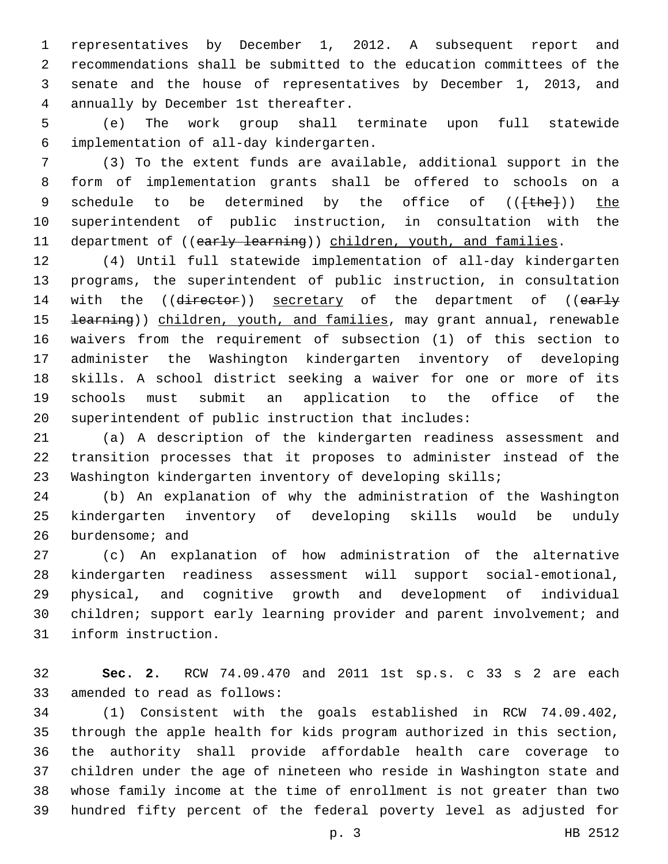representatives by December 1, 2012. A subsequent report and recommendations shall be submitted to the education committees of the senate and the house of representatives by December 1, 2013, and annually by December 1st thereafter.4

 (e) The work group shall terminate upon full statewide implementation of all-day kindergarten.6

 (3) To the extent funds are available, additional support in the form of implementation grants shall be offered to schools on a 9 schedule to be determined by the office of (( $\{\text{the}\}\$ )) the superintendent of public instruction, in consultation with the 11 department of ((early learning)) children, youth, and families.

 (4) Until full statewide implementation of all-day kindergarten programs, the superintendent of public instruction, in consultation 14 with the ((director)) secretary of the department of ((early 15 <del>learning</del>)) children, youth, and families, may grant annual, renewable waivers from the requirement of subsection (1) of this section to administer the Washington kindergarten inventory of developing skills. A school district seeking a waiver for one or more of its schools must submit an application to the office of the superintendent of public instruction that includes:

 (a) A description of the kindergarten readiness assessment and transition processes that it proposes to administer instead of the Washington kindergarten inventory of developing skills;

 (b) An explanation of why the administration of the Washington kindergarten inventory of developing skills would be unduly 26 burdensome; and

 (c) An explanation of how administration of the alternative kindergarten readiness assessment will support social-emotional, physical, and cognitive growth and development of individual 30 children; support early learning provider and parent involvement; and 31 inform instruction.

 **Sec. 2.** RCW 74.09.470 and 2011 1st sp.s. c 33 s 2 are each 33 amended to read as follows:

 (1) Consistent with the goals established in RCW 74.09.402, through the apple health for kids program authorized in this section, the authority shall provide affordable health care coverage to children under the age of nineteen who reside in Washington state and whose family income at the time of enrollment is not greater than two hundred fifty percent of the federal poverty level as adjusted for

p. 3 HB 2512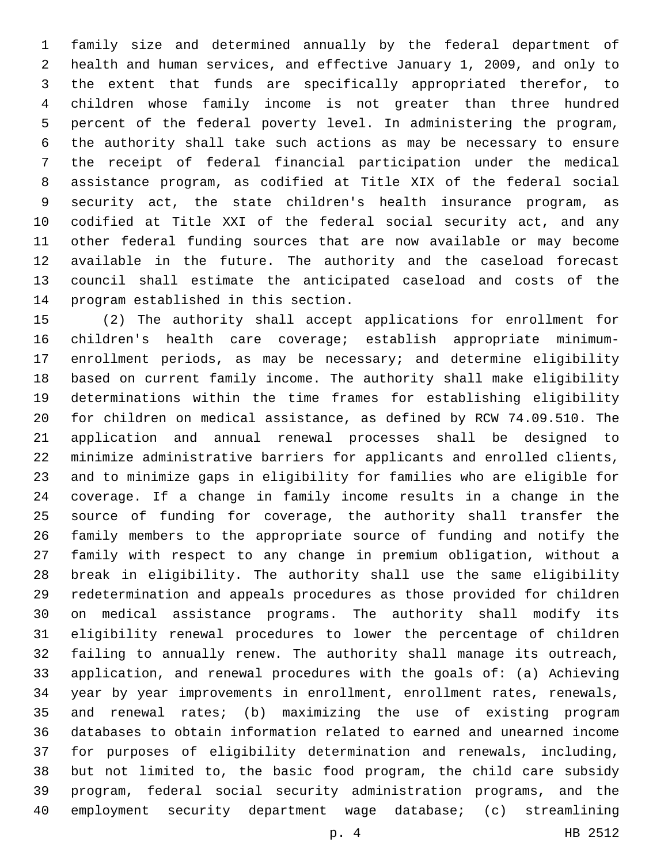family size and determined annually by the federal department of health and human services, and effective January 1, 2009, and only to the extent that funds are specifically appropriated therefor, to children whose family income is not greater than three hundred percent of the federal poverty level. In administering the program, the authority shall take such actions as may be necessary to ensure the receipt of federal financial participation under the medical assistance program, as codified at Title XIX of the federal social security act, the state children's health insurance program, as codified at Title XXI of the federal social security act, and any other federal funding sources that are now available or may become available in the future. The authority and the caseload forecast council shall estimate the anticipated caseload and costs of the 14 program established in this section.

 (2) The authority shall accept applications for enrollment for children's health care coverage; establish appropriate minimum- enrollment periods, as may be necessary; and determine eligibility based on current family income. The authority shall make eligibility determinations within the time frames for establishing eligibility for children on medical assistance, as defined by RCW 74.09.510. The application and annual renewal processes shall be designed to minimize administrative barriers for applicants and enrolled clients, and to minimize gaps in eligibility for families who are eligible for coverage. If a change in family income results in a change in the source of funding for coverage, the authority shall transfer the family members to the appropriate source of funding and notify the family with respect to any change in premium obligation, without a break in eligibility. The authority shall use the same eligibility redetermination and appeals procedures as those provided for children on medical assistance programs. The authority shall modify its eligibility renewal procedures to lower the percentage of children failing to annually renew. The authority shall manage its outreach, application, and renewal procedures with the goals of: (a) Achieving year by year improvements in enrollment, enrollment rates, renewals, and renewal rates; (b) maximizing the use of existing program databases to obtain information related to earned and unearned income for purposes of eligibility determination and renewals, including, but not limited to, the basic food program, the child care subsidy program, federal social security administration programs, and the employment security department wage database; (c) streamlining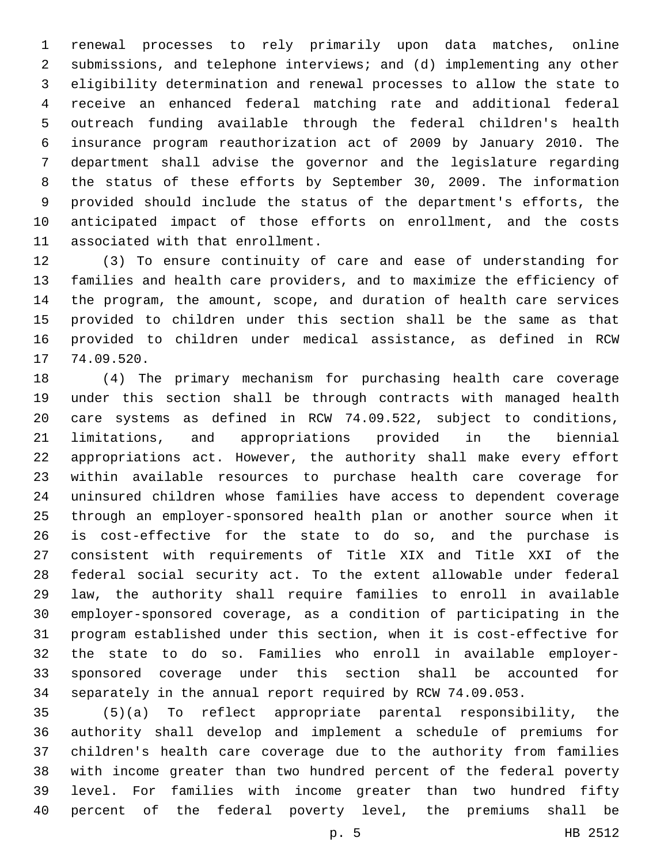renewal processes to rely primarily upon data matches, online submissions, and telephone interviews; and (d) implementing any other eligibility determination and renewal processes to allow the state to receive an enhanced federal matching rate and additional federal outreach funding available through the federal children's health insurance program reauthorization act of 2009 by January 2010. The department shall advise the governor and the legislature regarding the status of these efforts by September 30, 2009. The information provided should include the status of the department's efforts, the anticipated impact of those efforts on enrollment, and the costs 11 associated with that enrollment.

 (3) To ensure continuity of care and ease of understanding for families and health care providers, and to maximize the efficiency of the program, the amount, scope, and duration of health care services provided to children under this section shall be the same as that provided to children under medical assistance, as defined in RCW 17 74.09.520.

 (4) The primary mechanism for purchasing health care coverage under this section shall be through contracts with managed health care systems as defined in RCW 74.09.522, subject to conditions, limitations, and appropriations provided in the biennial appropriations act. However, the authority shall make every effort within available resources to purchase health care coverage for uninsured children whose families have access to dependent coverage through an employer-sponsored health plan or another source when it is cost-effective for the state to do so, and the purchase is consistent with requirements of Title XIX and Title XXI of the federal social security act. To the extent allowable under federal law, the authority shall require families to enroll in available employer-sponsored coverage, as a condition of participating in the program established under this section, when it is cost-effective for the state to do so. Families who enroll in available employer- sponsored coverage under this section shall be accounted for separately in the annual report required by RCW 74.09.053.

 (5)(a) To reflect appropriate parental responsibility, the authority shall develop and implement a schedule of premiums for children's health care coverage due to the authority from families with income greater than two hundred percent of the federal poverty level. For families with income greater than two hundred fifty percent of the federal poverty level, the premiums shall be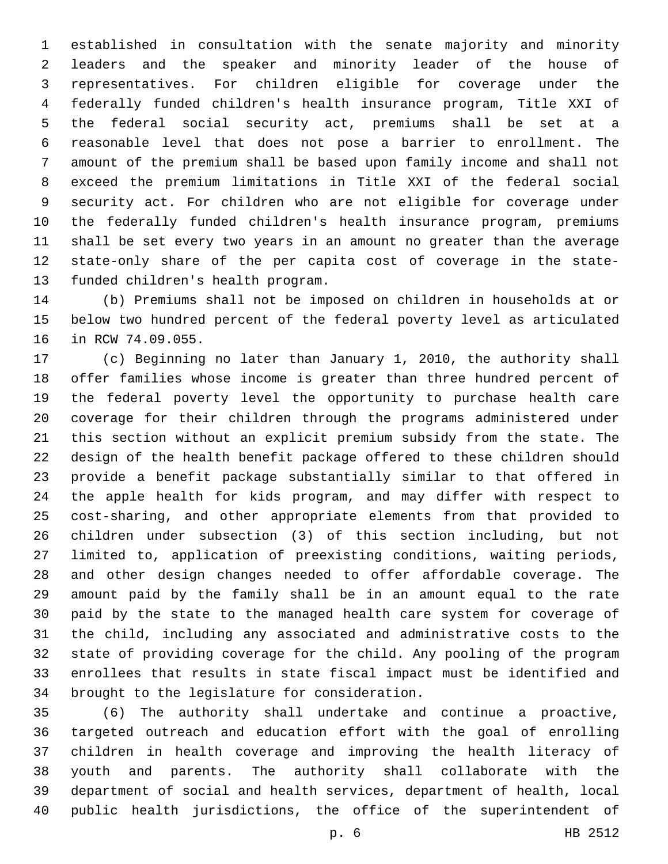established in consultation with the senate majority and minority leaders and the speaker and minority leader of the house of representatives. For children eligible for coverage under the federally funded children's health insurance program, Title XXI of the federal social security act, premiums shall be set at a reasonable level that does not pose a barrier to enrollment. The amount of the premium shall be based upon family income and shall not exceed the premium limitations in Title XXI of the federal social security act. For children who are not eligible for coverage under the federally funded children's health insurance program, premiums shall be set every two years in an amount no greater than the average state-only share of the per capita cost of coverage in the state-13 funded children's health program.

 (b) Premiums shall not be imposed on children in households at or below two hundred percent of the federal poverty level as articulated 16 in RCW 74.09.055.

 (c) Beginning no later than January 1, 2010, the authority shall offer families whose income is greater than three hundred percent of the federal poverty level the opportunity to purchase health care coverage for their children through the programs administered under this section without an explicit premium subsidy from the state. The design of the health benefit package offered to these children should provide a benefit package substantially similar to that offered in the apple health for kids program, and may differ with respect to cost-sharing, and other appropriate elements from that provided to children under subsection (3) of this section including, but not limited to, application of preexisting conditions, waiting periods, and other design changes needed to offer affordable coverage. The amount paid by the family shall be in an amount equal to the rate paid by the state to the managed health care system for coverage of the child, including any associated and administrative costs to the state of providing coverage for the child. Any pooling of the program enrollees that results in state fiscal impact must be identified and 34 brought to the legislature for consideration.

 (6) The authority shall undertake and continue a proactive, targeted outreach and education effort with the goal of enrolling children in health coverage and improving the health literacy of youth and parents. The authority shall collaborate with the department of social and health services, department of health, local public health jurisdictions, the office of the superintendent of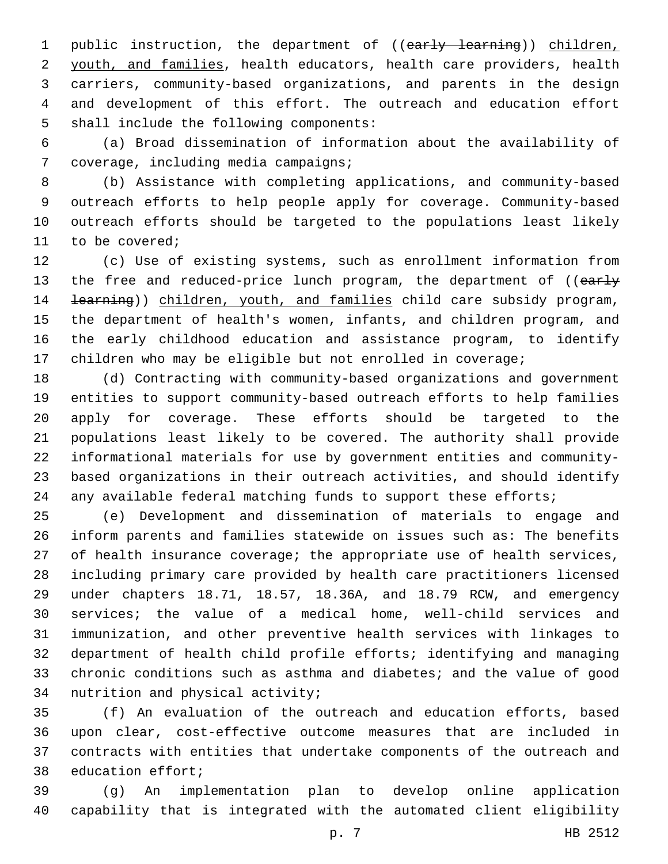1 public instruction, the department of ((early learning)) children, youth, and families, health educators, health care providers, health carriers, community-based organizations, and parents in the design and development of this effort. The outreach and education effort 5 shall include the following components:

 (a) Broad dissemination of information about the availability of 7 coverage, including media campaigns;

 (b) Assistance with completing applications, and community-based outreach efforts to help people apply for coverage. Community-based outreach efforts should be targeted to the populations least likely 11 to be covered;

 (c) Use of existing systems, such as enrollment information from 13 the free and reduced-price lunch program, the department of ((early 14 <del>learning</del>)) children, youth, and families child care subsidy program, the department of health's women, infants, and children program, and the early childhood education and assistance program, to identify children who may be eligible but not enrolled in coverage;

 (d) Contracting with community-based organizations and government entities to support community-based outreach efforts to help families apply for coverage. These efforts should be targeted to the populations least likely to be covered. The authority shall provide informational materials for use by government entities and community- based organizations in their outreach activities, and should identify 24 any available federal matching funds to support these efforts;

 (e) Development and dissemination of materials to engage and inform parents and families statewide on issues such as: The benefits of health insurance coverage; the appropriate use of health services, including primary care provided by health care practitioners licensed under chapters 18.71, 18.57, 18.36A, and 18.79 RCW, and emergency services; the value of a medical home, well-child services and immunization, and other preventive health services with linkages to department of health child profile efforts; identifying and managing chronic conditions such as asthma and diabetes; and the value of good 34 nutrition and physical activity;

 (f) An evaluation of the outreach and education efforts, based upon clear, cost-effective outcome measures that are included in contracts with entities that undertake components of the outreach and 38 education effort;

 (g) An implementation plan to develop online application capability that is integrated with the automated client eligibility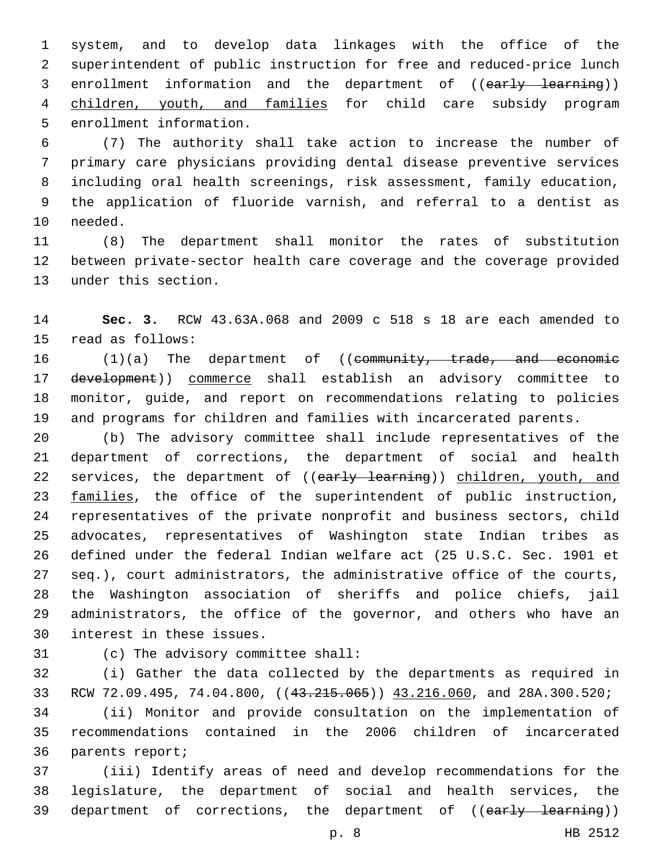system, and to develop data linkages with the office of the superintendent of public instruction for free and reduced-price lunch 3 enrollment information and the department of ((early learning)) children, youth, and families for child care subsidy program 5 enrollment information.

 (7) The authority shall take action to increase the number of primary care physicians providing dental disease preventive services including oral health screenings, risk assessment, family education, the application of fluoride varnish, and referral to a dentist as 10 needed.

 (8) The department shall monitor the rates of substitution between private-sector health care coverage and the coverage provided 13 under this section.

 **Sec. 3.** RCW 43.63A.068 and 2009 c 518 s 18 are each amended to 15 read as follows:

16 (1)(a) The department of ((community, trade, and economic 17 development)) commerce shall establish an advisory committee to monitor, guide, and report on recommendations relating to policies and programs for children and families with incarcerated parents.

 (b) The advisory committee shall include representatives of the department of corrections, the department of social and health 22 services, the department of ((early learning)) children, youth, and 23 families, the office of the superintendent of public instruction, representatives of the private nonprofit and business sectors, child advocates, representatives of Washington state Indian tribes as defined under the federal Indian welfare act (25 U.S.C. Sec. 1901 et seq.), court administrators, the administrative office of the courts, the Washington association of sheriffs and police chiefs, jail administrators, the office of the governor, and others who have an 30 interest in these issues.

31 (c) The advisory committee shall:

 (i) Gather the data collected by the departments as required in 33 RCW 72.09.495, 74.04.800, ((43.215.065)) 43.216.060, and 28A.300.520;

 (ii) Monitor and provide consultation on the implementation of recommendations contained in the 2006 children of incarcerated 36 parents report;

 (iii) Identify areas of need and develop recommendations for the legislature, the department of social and health services, the 39 department of corrections, the department of ((early learning))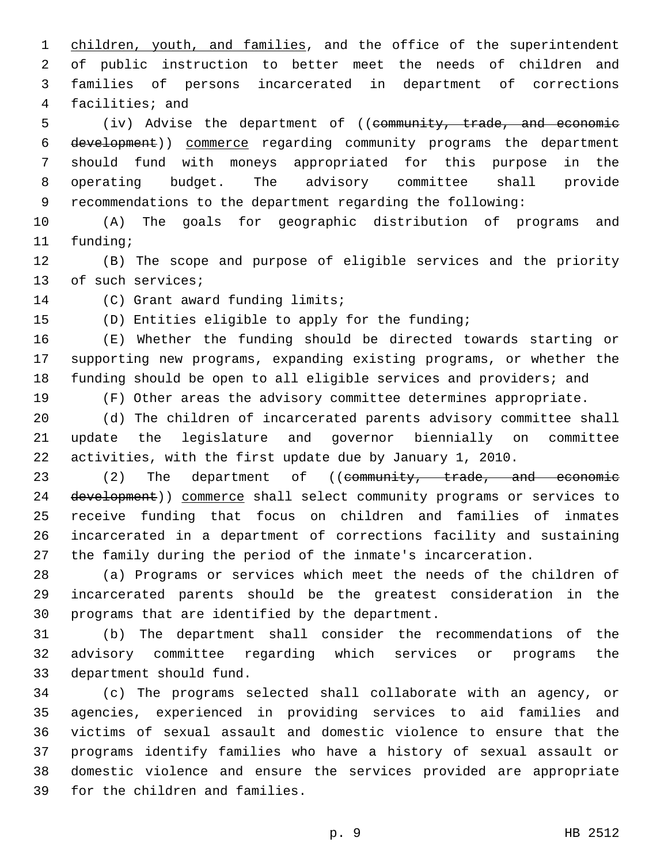1 children, youth, and families, and the office of the superintendent of public instruction to better meet the needs of children and families of persons incarcerated in department of corrections 4 facilities; and

5 (iv) Advise the department of ((community, trade, and economic development)) commerce regarding community programs the department should fund with moneys appropriated for this purpose in the operating budget. The advisory committee shall provide recommendations to the department regarding the following:

 (A) The goals for geographic distribution of programs and 11 funding;

 (B) The scope and purpose of eligible services and the priority 13 of such services;

14 (C) Grant award funding limits;

(D) Entities eligible to apply for the funding;

 (E) Whether the funding should be directed towards starting or supporting new programs, expanding existing programs, or whether the funding should be open to all eligible services and providers; and

(F) Other areas the advisory committee determines appropriate.

 (d) The children of incarcerated parents advisory committee shall update the legislature and governor biennially on committee activities, with the first update due by January 1, 2010.

23 (2) The department of ((community, trade, and economic 24 development)) commerce shall select community programs or services to receive funding that focus on children and families of inmates incarcerated in a department of corrections facility and sustaining the family during the period of the inmate's incarceration.

 (a) Programs or services which meet the needs of the children of incarcerated parents should be the greatest consideration in the 30 programs that are identified by the department.

 (b) The department shall consider the recommendations of the advisory committee regarding which services or programs the 33 department should fund.

 (c) The programs selected shall collaborate with an agency, or agencies, experienced in providing services to aid families and victims of sexual assault and domestic violence to ensure that the programs identify families who have a history of sexual assault or domestic violence and ensure the services provided are appropriate 39 for the children and families.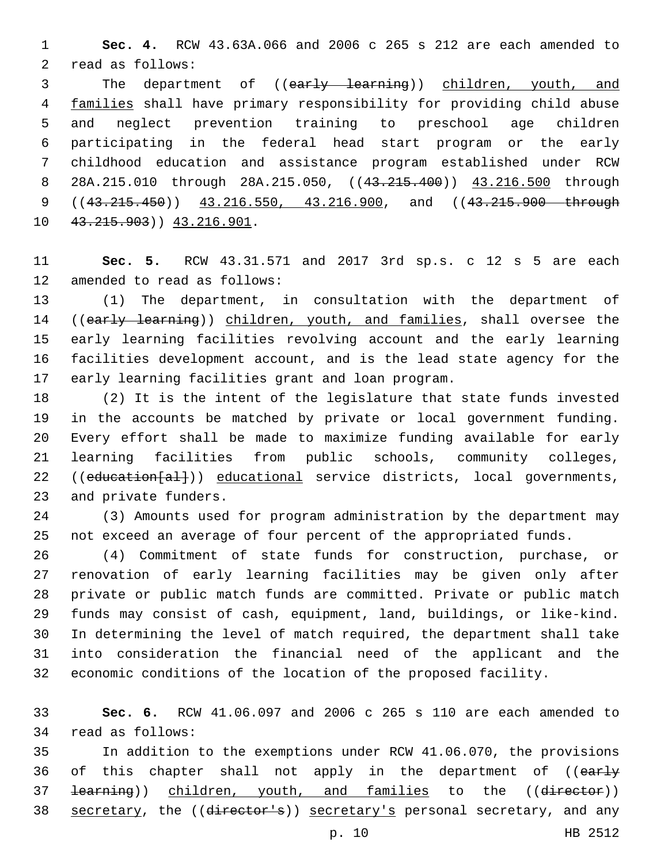**Sec. 4.** RCW 43.63A.066 and 2006 c 265 s 212 are each amended to 2 read as follows:

3 The department of ((early learning)) children, youth, and families shall have primary responsibility for providing child abuse and neglect prevention training to preschool age children participating in the federal head start program or the early childhood education and assistance program established under RCW 8 28A.215.010 through 28A.215.050, ((43.215.400)) 43.216.500 through 9 ((43.215.450)) 43.216.550, 43.216.900, and ((43.215.900 through 10 43.215.903) 43.216.901.

 **Sec. 5.** RCW 43.31.571 and 2017 3rd sp.s. c 12 s 5 are each 12 amended to read as follows:

 (1) The department, in consultation with the department of 14 ((early learning)) children, youth, and families, shall oversee the early learning facilities revolving account and the early learning facilities development account, and is the lead state agency for the 17 early learning facilities grant and loan program.

 (2) It is the intent of the legislature that state funds invested in the accounts be matched by private or local government funding. Every effort shall be made to maximize funding available for early learning facilities from public schools, community colleges, 22 ((education[al])) educational service districts, local governments, 23 and private funders.

 (3) Amounts used for program administration by the department may not exceed an average of four percent of the appropriated funds.

 (4) Commitment of state funds for construction, purchase, or renovation of early learning facilities may be given only after private or public match funds are committed. Private or public match funds may consist of cash, equipment, land, buildings, or like-kind. In determining the level of match required, the department shall take into consideration the financial need of the applicant and the economic conditions of the location of the proposed facility.

 **Sec. 6.** RCW 41.06.097 and 2006 c 265 s 110 are each amended to 34 read as follows:

 In addition to the exemptions under RCW 41.06.070, the provisions 36 of this chapter shall not apply in the department of ((early 37 <del>learning</del>)) children, youth, and families to the ((director)) 38 secretary, the ((director's)) secretary's personal secretary, and any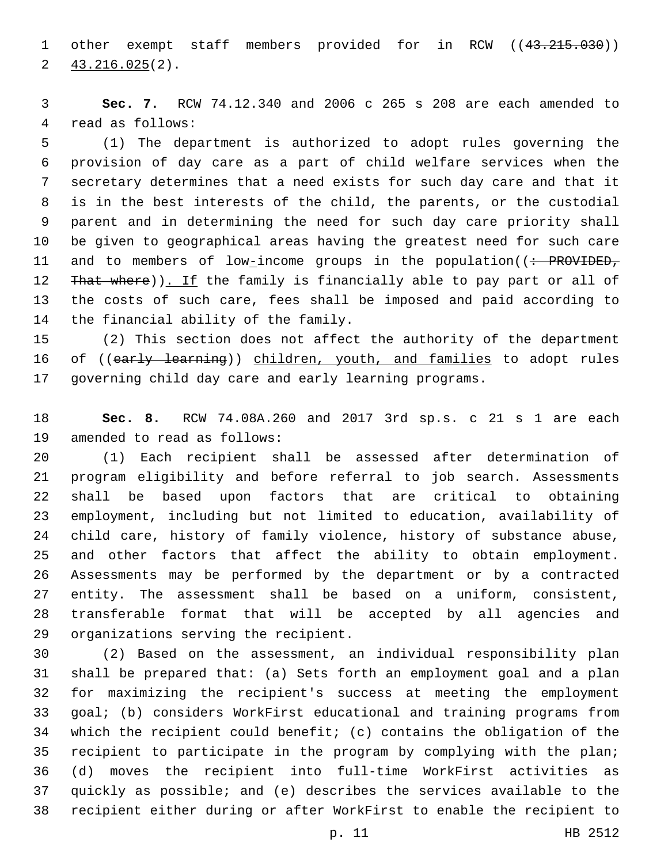1 other exempt staff members provided for in RCW ((43.215.030))  $2\frac{43.216.025(2)}{2}$ 

 **Sec. 7.** RCW 74.12.340 and 2006 c 265 s 208 are each amended to 4 read as follows:

 (1) The department is authorized to adopt rules governing the provision of day care as a part of child welfare services when the secretary determines that a need exists for such day care and that it is in the best interests of the child, the parents, or the custodial parent and in determining the need for such day care priority shall be given to geographical areas having the greatest need for such care 11 and to members of low-income groups in the population((: PROVIDED, 12 That where)). If the family is financially able to pay part or all of the costs of such care, fees shall be imposed and paid according to 14 the financial ability of the family.

 (2) This section does not affect the authority of the department 16 of ((early learning)) children, youth, and families to adopt rules governing child day care and early learning programs.

 **Sec. 8.** RCW 74.08A.260 and 2017 3rd sp.s. c 21 s 1 are each 19 amended to read as follows:

 (1) Each recipient shall be assessed after determination of program eligibility and before referral to job search. Assessments shall be based upon factors that are critical to obtaining employment, including but not limited to education, availability of child care, history of family violence, history of substance abuse, and other factors that affect the ability to obtain employment. Assessments may be performed by the department or by a contracted entity. The assessment shall be based on a uniform, consistent, transferable format that will be accepted by all agencies and 29 organizations serving the recipient.

 (2) Based on the assessment, an individual responsibility plan shall be prepared that: (a) Sets forth an employment goal and a plan for maximizing the recipient's success at meeting the employment goal; (b) considers WorkFirst educational and training programs from which the recipient could benefit; (c) contains the obligation of the recipient to participate in the program by complying with the plan; (d) moves the recipient into full-time WorkFirst activities as quickly as possible; and (e) describes the services available to the recipient either during or after WorkFirst to enable the recipient to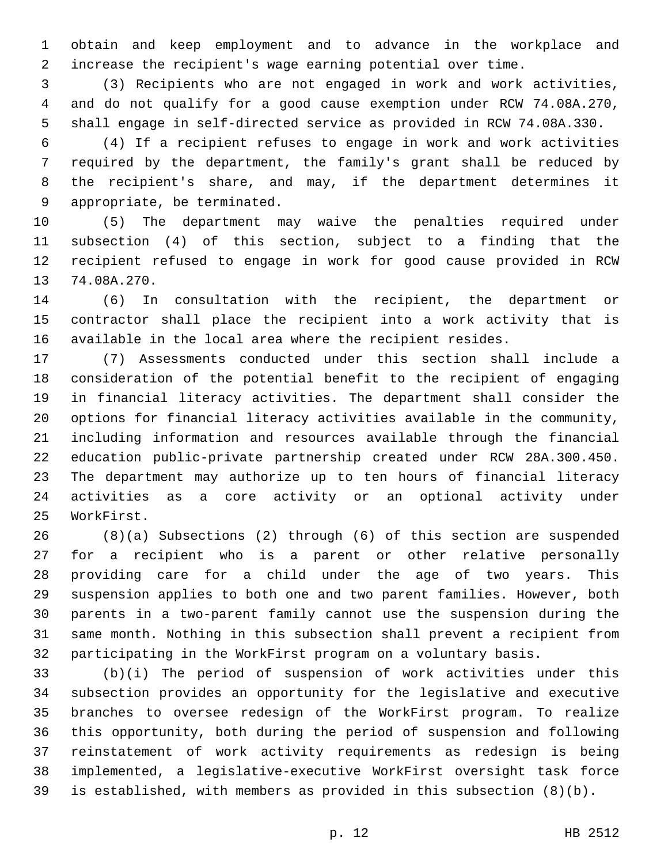obtain and keep employment and to advance in the workplace and increase the recipient's wage earning potential over time.

 (3) Recipients who are not engaged in work and work activities, and do not qualify for a good cause exemption under RCW 74.08A.270, shall engage in self-directed service as provided in RCW 74.08A.330.

 (4) If a recipient refuses to engage in work and work activities required by the department, the family's grant shall be reduced by the recipient's share, and may, if the department determines it 9 appropriate, be terminated.

 (5) The department may waive the penalties required under subsection (4) of this section, subject to a finding that the recipient refused to engage in work for good cause provided in RCW 13 74.08A.270.

 (6) In consultation with the recipient, the department or contractor shall place the recipient into a work activity that is available in the local area where the recipient resides.

 (7) Assessments conducted under this section shall include a consideration of the potential benefit to the recipient of engaging in financial literacy activities. The department shall consider the options for financial literacy activities available in the community, including information and resources available through the financial education public-private partnership created under RCW 28A.300.450. The department may authorize up to ten hours of financial literacy activities as a core activity or an optional activity under 25 WorkFirst.

 (8)(a) Subsections (2) through (6) of this section are suspended for a recipient who is a parent or other relative personally providing care for a child under the age of two years. This suspension applies to both one and two parent families. However, both parents in a two-parent family cannot use the suspension during the same month. Nothing in this subsection shall prevent a recipient from participating in the WorkFirst program on a voluntary basis.

 (b)(i) The period of suspension of work activities under this subsection provides an opportunity for the legislative and executive branches to oversee redesign of the WorkFirst program. To realize this opportunity, both during the period of suspension and following reinstatement of work activity requirements as redesign is being implemented, a legislative-executive WorkFirst oversight task force is established, with members as provided in this subsection (8)(b).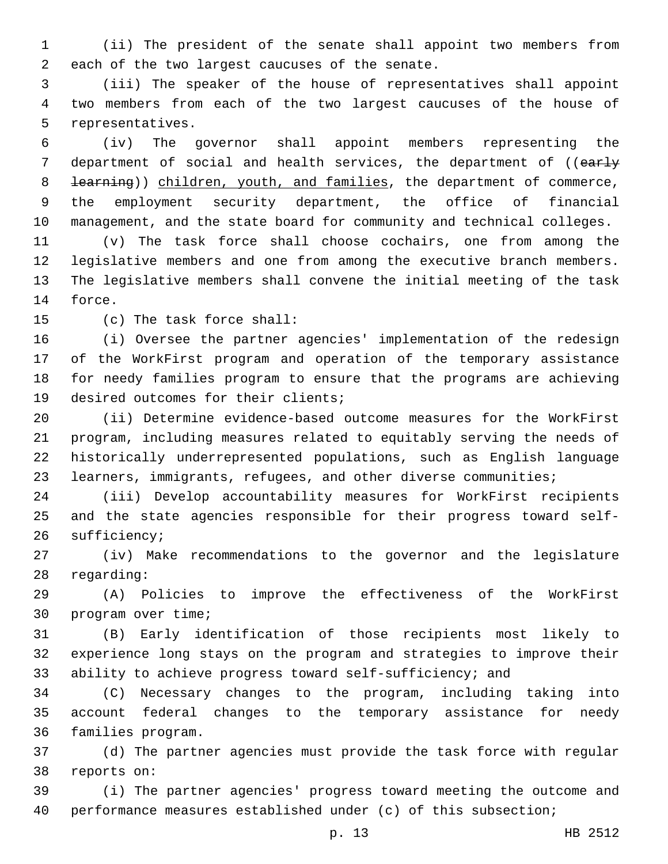(ii) The president of the senate shall appoint two members from 2 each of the two largest caucuses of the senate.

 (iii) The speaker of the house of representatives shall appoint two members from each of the two largest caucuses of the house of 5 representatives.

 (iv) The governor shall appoint members representing the 7 department of social and health services, the department of ((early 8 <del>learning</del>)) children, youth, and families, the department of commerce, the employment security department, the office of financial management, and the state board for community and technical colleges.

 (v) The task force shall choose cochairs, one from among the legislative members and one from among the executive branch members. The legislative members shall convene the initial meeting of the task 14 force.

15 (c) The task force shall:

 (i) Oversee the partner agencies' implementation of the redesign of the WorkFirst program and operation of the temporary assistance for needy families program to ensure that the programs are achieving 19 desired outcomes for their clients;

 (ii) Determine evidence-based outcome measures for the WorkFirst program, including measures related to equitably serving the needs of historically underrepresented populations, such as English language learners, immigrants, refugees, and other diverse communities;

 (iii) Develop accountability measures for WorkFirst recipients and the state agencies responsible for their progress toward self-26 sufficiency;

 (iv) Make recommendations to the governor and the legislature 28 regarding:

 (A) Policies to improve the effectiveness of the WorkFirst 30 program over time;

 (B) Early identification of those recipients most likely to experience long stays on the program and strategies to improve their ability to achieve progress toward self-sufficiency; and

 (C) Necessary changes to the program, including taking into account federal changes to the temporary assistance for needy 36 families program.

 (d) The partner agencies must provide the task force with regular 38 reports on:

 (i) The partner agencies' progress toward meeting the outcome and performance measures established under (c) of this subsection;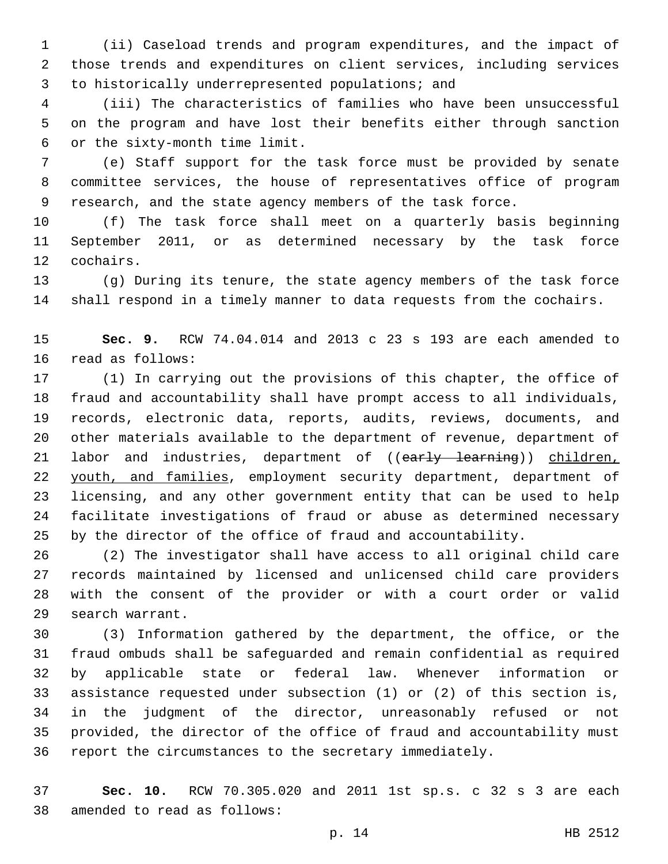(ii) Caseload trends and program expenditures, and the impact of those trends and expenditures on client services, including services 3 to historically underrepresented populations; and

 (iii) The characteristics of families who have been unsuccessful on the program and have lost their benefits either through sanction or the sixty-month time limit.6

 (e) Staff support for the task force must be provided by senate committee services, the house of representatives office of program research, and the state agency members of the task force.

 (f) The task force shall meet on a quarterly basis beginning September 2011, or as determined necessary by the task force 12 cochairs.

 (g) During its tenure, the state agency members of the task force shall respond in a timely manner to data requests from the cochairs.

 **Sec. 9.** RCW 74.04.014 and 2013 c 23 s 193 are each amended to 16 read as follows:

 (1) In carrying out the provisions of this chapter, the office of fraud and accountability shall have prompt access to all individuals, records, electronic data, reports, audits, reviews, documents, and other materials available to the department of revenue, department of 21 labor and industries, department of ((early learning)) children, 22 youth, and families, employment security department, department of licensing, and any other government entity that can be used to help facilitate investigations of fraud or abuse as determined necessary by the director of the office of fraud and accountability.

 (2) The investigator shall have access to all original child care records maintained by licensed and unlicensed child care providers with the consent of the provider or with a court order or valid 29 search warrant.

 (3) Information gathered by the department, the office, or the fraud ombuds shall be safeguarded and remain confidential as required by applicable state or federal law. Whenever information or assistance requested under subsection (1) or (2) of this section is, in the judgment of the director, unreasonably refused or not provided, the director of the office of fraud and accountability must report the circumstances to the secretary immediately.

 **Sec. 10.** RCW 70.305.020 and 2011 1st sp.s. c 32 s 3 are each 38 amended to read as follows: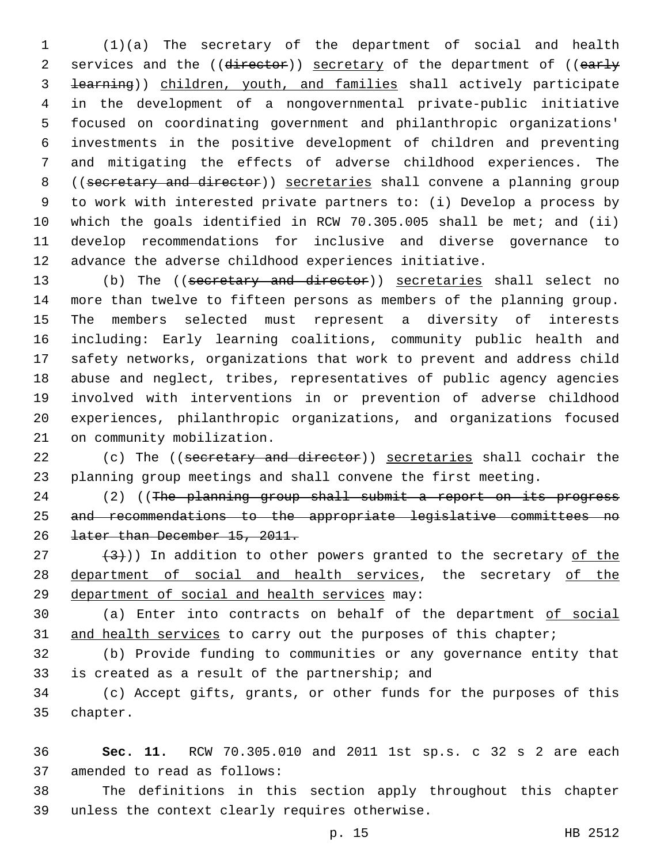(1)(a) The secretary of the department of social and health 2 services and the ((director)) secretary of the department of ((early learning)) children, youth, and families shall actively participate in the development of a nongovernmental private-public initiative focused on coordinating government and philanthropic organizations' investments in the positive development of children and preventing and mitigating the effects of adverse childhood experiences. The ((secretary and director)) secretaries shall convene a planning group to work with interested private partners to: (i) Develop a process by which the goals identified in RCW 70.305.005 shall be met; and (ii) develop recommendations for inclusive and diverse governance to advance the adverse childhood experiences initiative.

 (b) The ((secretary and director)) secretaries shall select no more than twelve to fifteen persons as members of the planning group. The members selected must represent a diversity of interests including: Early learning coalitions, community public health and safety networks, organizations that work to prevent and address child abuse and neglect, tribes, representatives of public agency agencies involved with interventions in or prevention of adverse childhood experiences, philanthropic organizations, and organizations focused 21 on community mobilization.

22 (c) The ((secretary and director)) secretaries shall cochair the planning group meetings and shall convene the first meeting.

24 (2) ((The planning group shall submit a report on its progress and recommendations to the appropriate legislative committees no later than December 15, 2011.

 $(3)$  (3)) In addition to other powers granted to the secretary of the 28 department of social and health services, the secretary of the 29 department of social and health services may:

 (a) Enter into contracts on behalf of the department of social 31 and health services to carry out the purposes of this chapter;

 (b) Provide funding to communities or any governance entity that 33 is created as a result of the partnership; and

 (c) Accept gifts, grants, or other funds for the purposes of this 35 chapter.

 **Sec. 11.** RCW 70.305.010 and 2011 1st sp.s. c 32 s 2 are each 37 amended to read as follows:

 The definitions in this section apply throughout this chapter 39 unless the context clearly requires otherwise.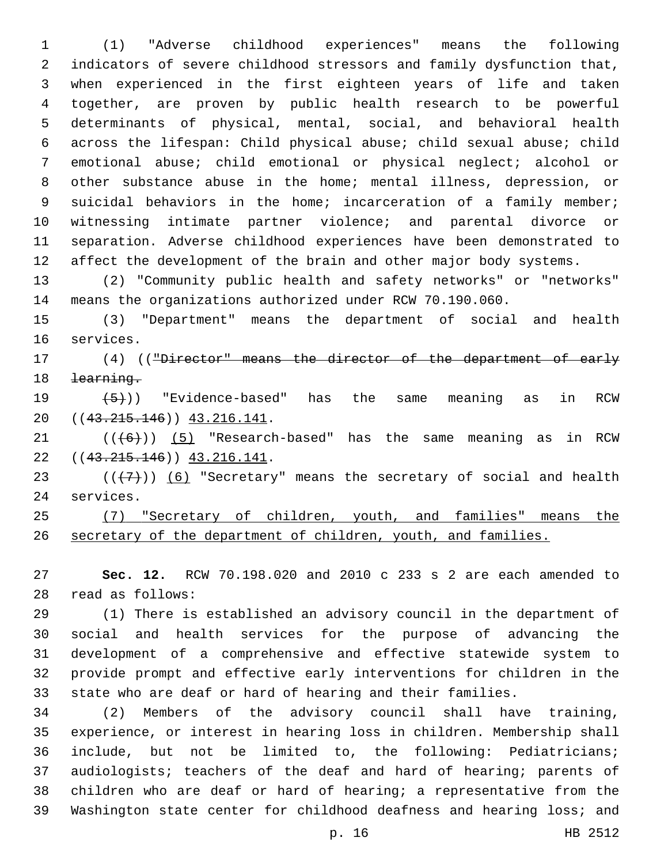(1) "Adverse childhood experiences" means the following indicators of severe childhood stressors and family dysfunction that, when experienced in the first eighteen years of life and taken together, are proven by public health research to be powerful determinants of physical, mental, social, and behavioral health across the lifespan: Child physical abuse; child sexual abuse; child emotional abuse; child emotional or physical neglect; alcohol or other substance abuse in the home; mental illness, depression, or 9 suicidal behaviors in the home; incarceration of a family member; witnessing intimate partner violence; and parental divorce or separation. Adverse childhood experiences have been demonstrated to 12 affect the development of the brain and other major body systems.

 (2) "Community public health and safety networks" or "networks" means the organizations authorized under RCW 70.190.060.

 (3) "Department" means the department of social and health 16 services.

17 (4) (("Director" means the director of the department of early learning.

 $(5)$ ) "Evidence-based" has the same meaning as in RCW 20 ((43.215.146)) 43.216.141.

 ( $(\overline{6})$ ) (5) "Research-based" has the same meaning as in RCW 22 ((43.215.146)) 43.216.141.

23  $((+7))$   $(6)$  "Secretary" means the secretary of social and health 24 services.

 (7) "Secretary of children, youth, and families" means the secretary of the department of children, youth, and families.

 **Sec. 12.** RCW 70.198.020 and 2010 c 233 s 2 are each amended to read as follows:28

 (1) There is established an advisory council in the department of social and health services for the purpose of advancing the development of a comprehensive and effective statewide system to provide prompt and effective early interventions for children in the state who are deaf or hard of hearing and their families.

 (2) Members of the advisory council shall have training, experience, or interest in hearing loss in children. Membership shall include, but not be limited to, the following: Pediatricians; audiologists; teachers of the deaf and hard of hearing; parents of children who are deaf or hard of hearing; a representative from the Washington state center for childhood deafness and hearing loss; and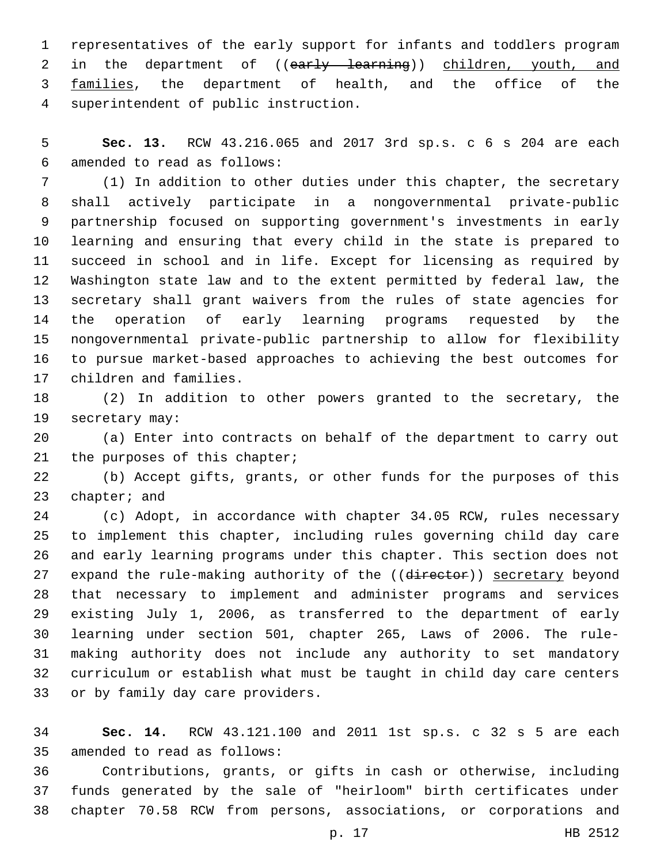representatives of the early support for infants and toddlers program 2 in the department of ((early learning)) children, youth, and 3 families, the department of health, and the office of the superintendent of public instruction.4

 **Sec. 13.** RCW 43.216.065 and 2017 3rd sp.s. c 6 s 204 are each amended to read as follows:6

 (1) In addition to other duties under this chapter, the secretary shall actively participate in a nongovernmental private-public partnership focused on supporting government's investments in early learning and ensuring that every child in the state is prepared to succeed in school and in life. Except for licensing as required by Washington state law and to the extent permitted by federal law, the secretary shall grant waivers from the rules of state agencies for the operation of early learning programs requested by the nongovernmental private-public partnership to allow for flexibility to pursue market-based approaches to achieving the best outcomes for 17 children and families.

 (2) In addition to other powers granted to the secretary, the 19 secretary may:

 (a) Enter into contracts on behalf of the department to carry out 21 the purposes of this chapter;

 (b) Accept gifts, grants, or other funds for the purposes of this 23 chapter; and

 (c) Adopt, in accordance with chapter 34.05 RCW, rules necessary to implement this chapter, including rules governing child day care and early learning programs under this chapter. This section does not 27 expand the rule-making authority of the ((director)) secretary beyond that necessary to implement and administer programs and services existing July 1, 2006, as transferred to the department of early learning under section 501, chapter 265, Laws of 2006. The rule- making authority does not include any authority to set mandatory curriculum or establish what must be taught in child day care centers 33 or by family day care providers.

 **Sec. 14.** RCW 43.121.100 and 2011 1st sp.s. c 32 s 5 are each 35 amended to read as follows:

 Contributions, grants, or gifts in cash or otherwise, including funds generated by the sale of "heirloom" birth certificates under chapter 70.58 RCW from persons, associations, or corporations and

p. 17 HB 2512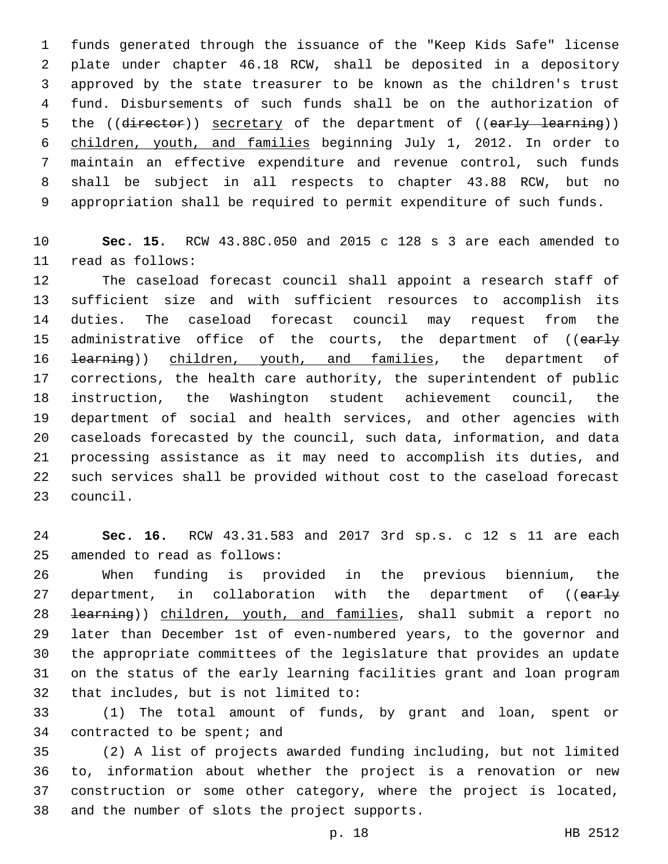funds generated through the issuance of the "Keep Kids Safe" license plate under chapter 46.18 RCW, shall be deposited in a depository approved by the state treasurer to be known as the children's trust fund. Disbursements of such funds shall be on the authorization of 5 the ((director)) secretary of the department of ((early learning)) children, youth, and families beginning July 1, 2012. In order to maintain an effective expenditure and revenue control, such funds shall be subject in all respects to chapter 43.88 RCW, but no appropriation shall be required to permit expenditure of such funds.

 **Sec. 15.** RCW 43.88C.050 and 2015 c 128 s 3 are each amended to read as follows:11

 The caseload forecast council shall appoint a research staff of sufficient size and with sufficient resources to accomplish its duties. The caseload forecast council may request from the 15 administrative office of the courts, the department of ((early 16 <del>learning</del>)) children, youth, and families, the department of corrections, the health care authority, the superintendent of public instruction, the Washington student achievement council, the department of social and health services, and other agencies with caseloads forecasted by the council, such data, information, and data processing assistance as it may need to accomplish its duties, and such services shall be provided without cost to the caseload forecast 23 council.

 **Sec. 16.** RCW 43.31.583 and 2017 3rd sp.s. c 12 s 11 are each 25 amended to read as follows:

 When funding is provided in the previous biennium, the 27 department, in collaboration with the department of ((early 28 <del>learning</del>)) children, youth, and families, shall submit a report no later than December 1st of even-numbered years, to the governor and the appropriate committees of the legislature that provides an update on the status of the early learning facilities grant and loan program 32 that includes, but is not limited to:

 (1) The total amount of funds, by grant and loan, spent or 34 contracted to be spent; and

 (2) A list of projects awarded funding including, but not limited to, information about whether the project is a renovation or new construction or some other category, where the project is located, 38 and the number of slots the project supports.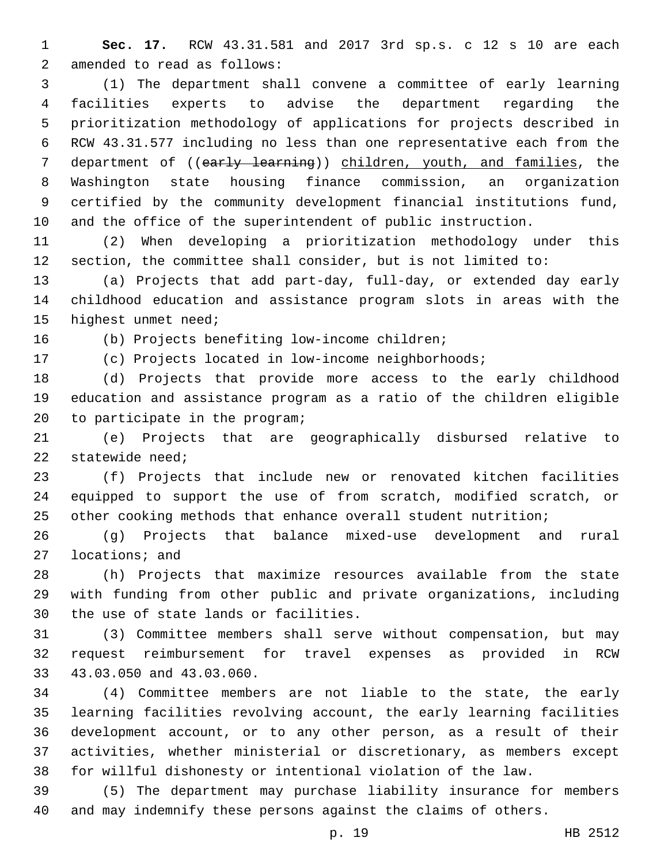**Sec. 17.** RCW 43.31.581 and 2017 3rd sp.s. c 12 s 10 are each 2 amended to read as follows:

 (1) The department shall convene a committee of early learning facilities experts to advise the department regarding the prioritization methodology of applications for projects described in RCW 43.31.577 including no less than one representative each from the 7 department of ((early learning)) children, youth, and families, the Washington state housing finance commission, an organization certified by the community development financial institutions fund, and the office of the superintendent of public instruction.

 (2) When developing a prioritization methodology under this section, the committee shall consider, but is not limited to:

 (a) Projects that add part-day, full-day, or extended day early childhood education and assistance program slots in areas with the 15 highest unmet need;

16 (b) Projects benefiting low-income children;

(c) Projects located in low-income neighborhoods;

 (d) Projects that provide more access to the early childhood education and assistance program as a ratio of the children eligible 20 to participate in the program;

 (e) Projects that are geographically disbursed relative to statewide need;

 (f) Projects that include new or renovated kitchen facilities equipped to support the use of from scratch, modified scratch, or other cooking methods that enhance overall student nutrition;

 (g) Projects that balance mixed-use development and rural 27 locations; and

 (h) Projects that maximize resources available from the state with funding from other public and private organizations, including 30 the use of state lands or facilities.

 (3) Committee members shall serve without compensation, but may request reimbursement for travel expenses as provided in RCW 33 43.03.050 and 43.03.060.

 (4) Committee members are not liable to the state, the early learning facilities revolving account, the early learning facilities development account, or to any other person, as a result of their activities, whether ministerial or discretionary, as members except for willful dishonesty or intentional violation of the law.

 (5) The department may purchase liability insurance for members and may indemnify these persons against the claims of others.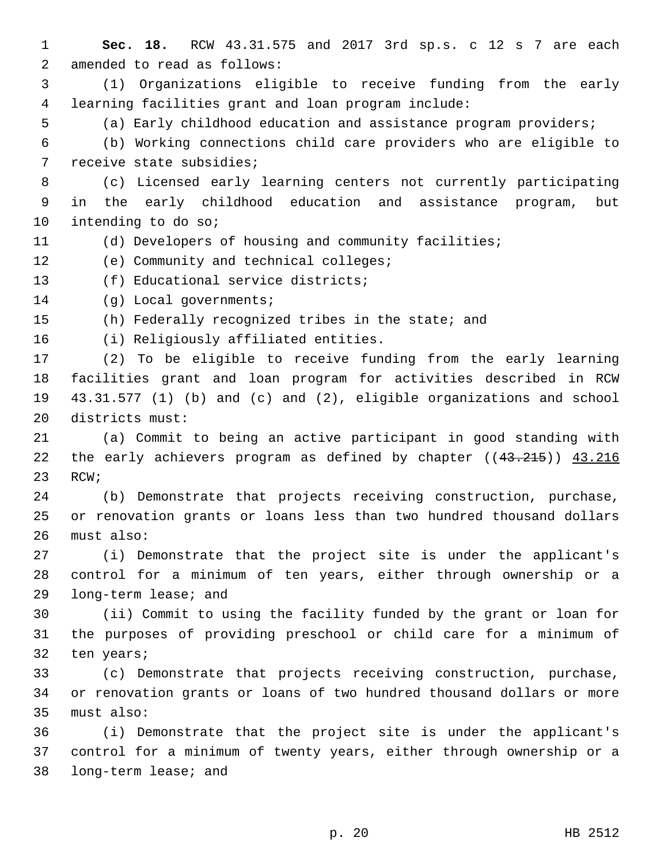**Sec. 18.** RCW 43.31.575 and 2017 3rd sp.s. c 12 s 7 are each 2 amended to read as follows: (1) Organizations eligible to receive funding from the early learning facilities grant and loan program include: (a) Early childhood education and assistance program providers; (b) Working connections child care providers who are eligible to 7 receive state subsidies; (c) Licensed early learning centers not currently participating in the early childhood education and assistance program, but 10 intending to do so; (d) Developers of housing and community facilities; 12 (e) Community and technical colleges; 13 (f) Educational service districts; 14 (g) Local governments; (h) Federally recognized tribes in the state; and 16 (i) Religiously affiliated entities. (2) To be eligible to receive funding from the early learning facilities grant and loan program for activities described in RCW 43.31.577 (1) (b) and (c) and (2), eligible organizations and school 20 districts must: (a) Commit to being an active participant in good standing with 22 the early achievers program as defined by chapter ((43.215)) 43.216 23 RCW; (b) Demonstrate that projects receiving construction, purchase, or renovation grants or loans less than two hundred thousand dollars 26 must also: (i) Demonstrate that the project site is under the applicant's control for a minimum of ten years, either through ownership or a 29 long-term lease; and (ii) Commit to using the facility funded by the grant or loan for the purposes of providing preschool or child care for a minimum of 32 ten years; (c) Demonstrate that projects receiving construction, purchase, or renovation grants or loans of two hundred thousand dollars or more 35 must also: (i) Demonstrate that the project site is under the applicant's control for a minimum of twenty years, either through ownership or a 38 long-term lease; and

p. 20 HB 2512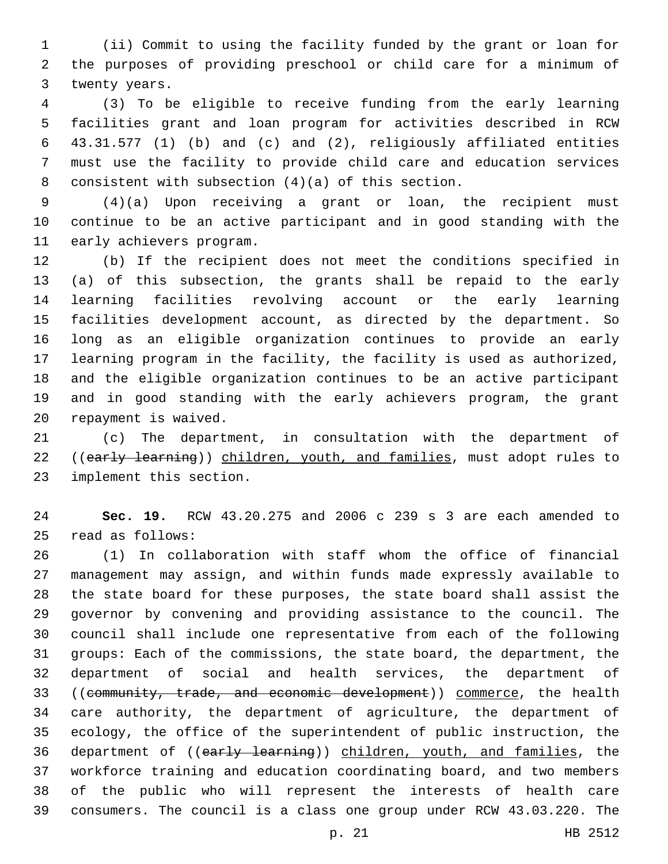(ii) Commit to using the facility funded by the grant or loan for the purposes of providing preschool or child care for a minimum of 3 twenty years.

 (3) To be eligible to receive funding from the early learning facilities grant and loan program for activities described in RCW 43.31.577 (1) (b) and (c) and (2), religiously affiliated entities must use the facility to provide child care and education services 8 consistent with subsection  $(4)(a)$  of this section.

 (4)(a) Upon receiving a grant or loan, the recipient must continue to be an active participant and in good standing with the 11 early achievers program.

 (b) If the recipient does not meet the conditions specified in (a) of this subsection, the grants shall be repaid to the early learning facilities revolving account or the early learning facilities development account, as directed by the department. So long as an eligible organization continues to provide an early learning program in the facility, the facility is used as authorized, and the eligible organization continues to be an active participant and in good standing with the early achievers program, the grant 20 repayment is waived.

 (c) The department, in consultation with the department of 22 ((early learning)) children, youth, and families, must adopt rules to 23 implement this section.

 **Sec. 19.** RCW 43.20.275 and 2006 c 239 s 3 are each amended to read as follows:25

 (1) In collaboration with staff whom the office of financial management may assign, and within funds made expressly available to the state board for these purposes, the state board shall assist the governor by convening and providing assistance to the council. The council shall include one representative from each of the following groups: Each of the commissions, the state board, the department, the department of social and health services, the department of 33 ((community, trade, and economic development)) commerce, the health care authority, the department of agriculture, the department of ecology, the office of the superintendent of public instruction, the 36 department of ((early learning)) children, youth, and families, the workforce training and education coordinating board, and two members of the public who will represent the interests of health care consumers. The council is a class one group under RCW 43.03.220. The

p. 21 HB 2512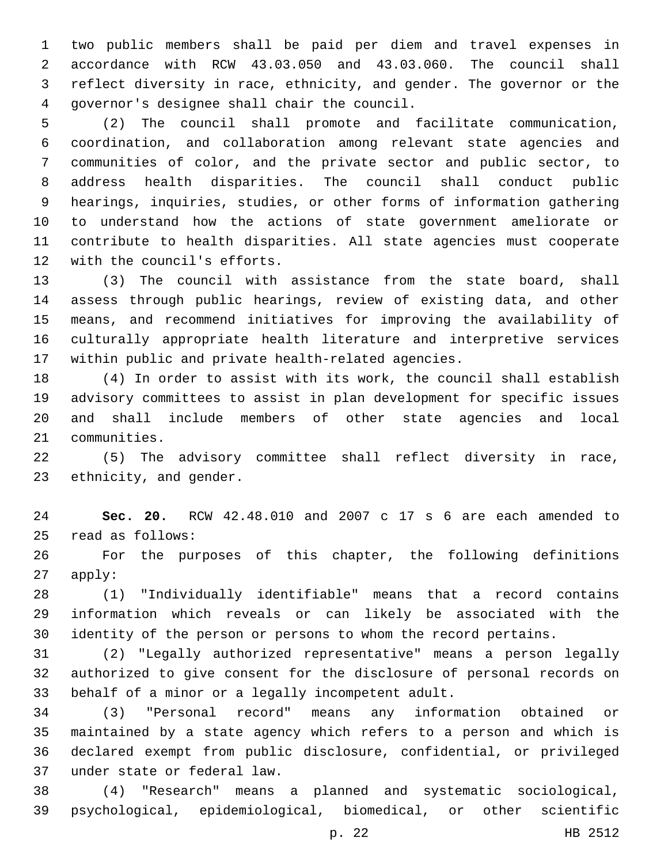two public members shall be paid per diem and travel expenses in accordance with RCW 43.03.050 and 43.03.060. The council shall reflect diversity in race, ethnicity, and gender. The governor or the governor's designee shall chair the council.4

 (2) The council shall promote and facilitate communication, coordination, and collaboration among relevant state agencies and communities of color, and the private sector and public sector, to address health disparities. The council shall conduct public hearings, inquiries, studies, or other forms of information gathering to understand how the actions of state government ameliorate or contribute to health disparities. All state agencies must cooperate 12 with the council's efforts.

 (3) The council with assistance from the state board, shall assess through public hearings, review of existing data, and other means, and recommend initiatives for improving the availability of culturally appropriate health literature and interpretive services within public and private health-related agencies.

 (4) In order to assist with its work, the council shall establish advisory committees to assist in plan development for specific issues and shall include members of other state agencies and local 21 communities.

 (5) The advisory committee shall reflect diversity in race, 23 ethnicity, and gender.

 **Sec. 20.** RCW 42.48.010 and 2007 c 17 s 6 are each amended to read as follows:25

 For the purposes of this chapter, the following definitions apply:

 (1) "Individually identifiable" means that a record contains information which reveals or can likely be associated with the identity of the person or persons to whom the record pertains.

 (2) "Legally authorized representative" means a person legally authorized to give consent for the disclosure of personal records on 33 behalf of a minor or a legally incompetent adult.

 (3) "Personal record" means any information obtained or maintained by a state agency which refers to a person and which is declared exempt from public disclosure, confidential, or privileged under state or federal law.37

 (4) "Research" means a planned and systematic sociological, psychological, epidemiological, biomedical, or other scientific

p. 22 HB 2512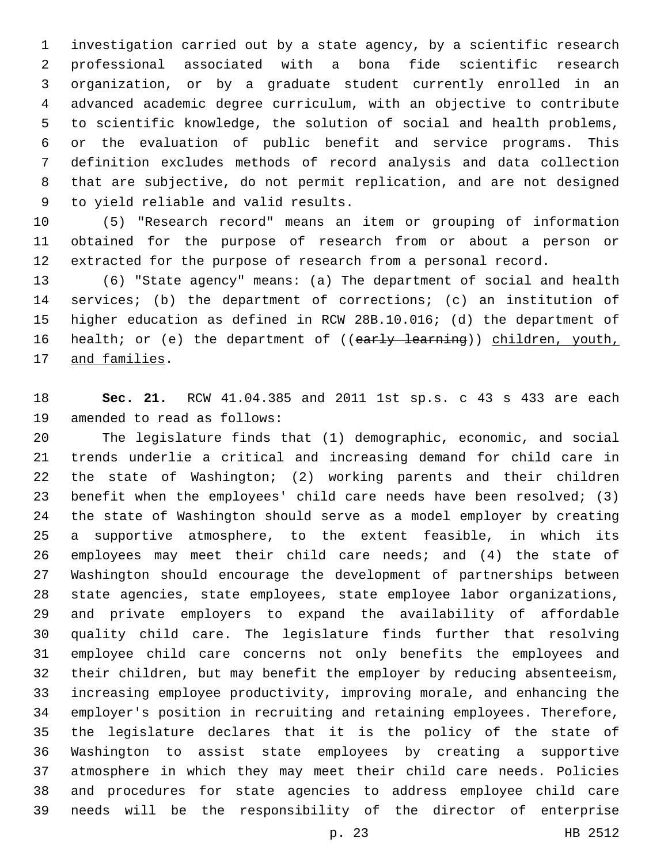investigation carried out by a state agency, by a scientific research professional associated with a bona fide scientific research organization, or by a graduate student currently enrolled in an advanced academic degree curriculum, with an objective to contribute to scientific knowledge, the solution of social and health problems, or the evaluation of public benefit and service programs. This definition excludes methods of record analysis and data collection that are subjective, do not permit replication, and are not designed 9 to yield reliable and valid results.

 (5) "Research record" means an item or grouping of information obtained for the purpose of research from or about a person or extracted for the purpose of research from a personal record.

 (6) "State agency" means: (a) The department of social and health services; (b) the department of corrections; (c) an institution of higher education as defined in RCW 28B.10.016; (d) the department of 16 health; or (e) the department of ((early learning)) children, youth, 17 and families.

 **Sec. 21.** RCW 41.04.385 and 2011 1st sp.s. c 43 s 433 are each 19 amended to read as follows:

 The legislature finds that (1) demographic, economic, and social trends underlie a critical and increasing demand for child care in the state of Washington; (2) working parents and their children benefit when the employees' child care needs have been resolved; (3) the state of Washington should serve as a model employer by creating a supportive atmosphere, to the extent feasible, in which its employees may meet their child care needs; and (4) the state of Washington should encourage the development of partnerships between state agencies, state employees, state employee labor organizations, and private employers to expand the availability of affordable quality child care. The legislature finds further that resolving employee child care concerns not only benefits the employees and their children, but may benefit the employer by reducing absenteeism, increasing employee productivity, improving morale, and enhancing the employer's position in recruiting and retaining employees. Therefore, the legislature declares that it is the policy of the state of Washington to assist state employees by creating a supportive atmosphere in which they may meet their child care needs. Policies and procedures for state agencies to address employee child care needs will be the responsibility of the director of enterprise

p. 23 HB 2512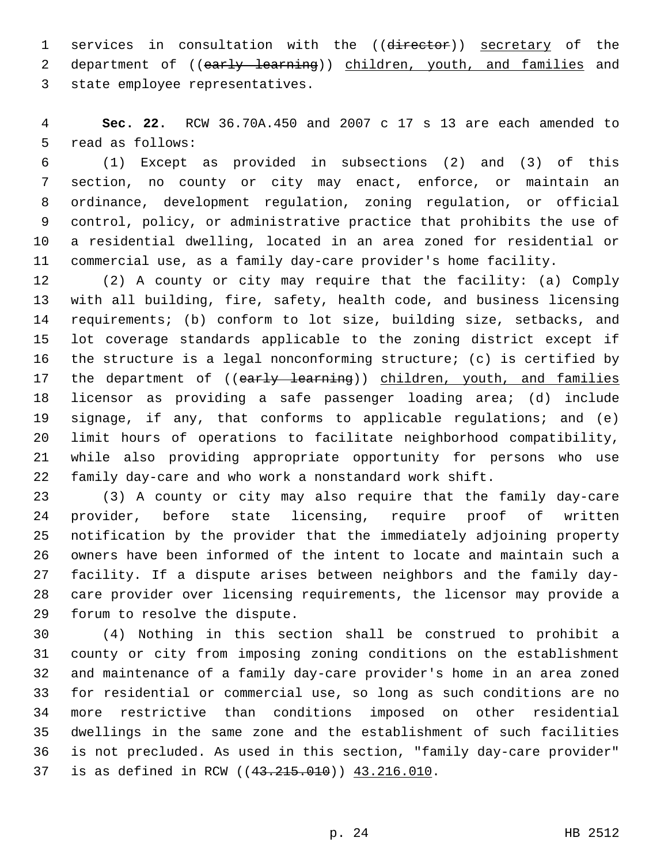1 services in consultation with the ((director)) secretary of the 2 department of ((early learning)) children, youth, and families and 3 state employee representatives.

 **Sec. 22.** RCW 36.70A.450 and 2007 c 17 s 13 are each amended to 5 read as follows:

 (1) Except as provided in subsections (2) and (3) of this section, no county or city may enact, enforce, or maintain an ordinance, development regulation, zoning regulation, or official control, policy, or administrative practice that prohibits the use of a residential dwelling, located in an area zoned for residential or commercial use, as a family day-care provider's home facility.

 (2) A county or city may require that the facility: (a) Comply with all building, fire, safety, health code, and business licensing requirements; (b) conform to lot size, building size, setbacks, and lot coverage standards applicable to the zoning district except if the structure is a legal nonconforming structure; (c) is certified by 17 the department of ((early learning)) children, youth, and families licensor as providing a safe passenger loading area; (d) include signage, if any, that conforms to applicable regulations; and (e) limit hours of operations to facilitate neighborhood compatibility, while also providing appropriate opportunity for persons who use family day-care and who work a nonstandard work shift.

 (3) A county or city may also require that the family day-care provider, before state licensing, require proof of written notification by the provider that the immediately adjoining property owners have been informed of the intent to locate and maintain such a facility. If a dispute arises between neighbors and the family day- care provider over licensing requirements, the licensor may provide a 29 forum to resolve the dispute.

 (4) Nothing in this section shall be construed to prohibit a county or city from imposing zoning conditions on the establishment and maintenance of a family day-care provider's home in an area zoned for residential or commercial use, so long as such conditions are no more restrictive than conditions imposed on other residential dwellings in the same zone and the establishment of such facilities is not precluded. As used in this section, "family day-care provider" 37 is as defined in RCW ((43.215.010)) 43.216.010.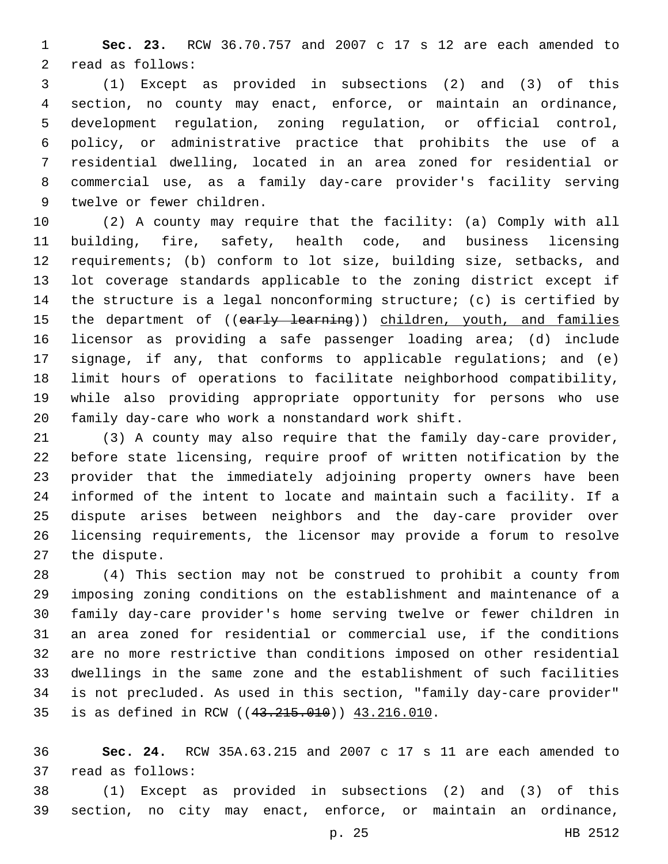**Sec. 23.** RCW 36.70.757 and 2007 c 17 s 12 are each amended to 2 read as follows:

 (1) Except as provided in subsections (2) and (3) of this section, no county may enact, enforce, or maintain an ordinance, development regulation, zoning regulation, or official control, policy, or administrative practice that prohibits the use of a residential dwelling, located in an area zoned for residential or commercial use, as a family day-care provider's facility serving 9 twelve or fewer children.

 (2) A county may require that the facility: (a) Comply with all building, fire, safety, health code, and business licensing requirements; (b) conform to lot size, building size, setbacks, and lot coverage standards applicable to the zoning district except if the structure is a legal nonconforming structure; (c) is certified by 15 the department of ((early learning)) children, youth, and families licensor as providing a safe passenger loading area; (d) include signage, if any, that conforms to applicable regulations; and (e) limit hours of operations to facilitate neighborhood compatibility, while also providing appropriate opportunity for persons who use family day-care who work a nonstandard work shift.

 (3) A county may also require that the family day-care provider, before state licensing, require proof of written notification by the provider that the immediately adjoining property owners have been informed of the intent to locate and maintain such a facility. If a dispute arises between neighbors and the day-care provider over licensing requirements, the licensor may provide a forum to resolve 27 the dispute.

 (4) This section may not be construed to prohibit a county from imposing zoning conditions on the establishment and maintenance of a family day-care provider's home serving twelve or fewer children in an area zoned for residential or commercial use, if the conditions are no more restrictive than conditions imposed on other residential dwellings in the same zone and the establishment of such facilities is not precluded. As used in this section, "family day-care provider" 35 is as defined in RCW ((43.215.010)) 43.216.010.

 **Sec. 24.** RCW 35A.63.215 and 2007 c 17 s 11 are each amended to 37 read as follows:

 (1) Except as provided in subsections (2) and (3) of this section, no city may enact, enforce, or maintain an ordinance,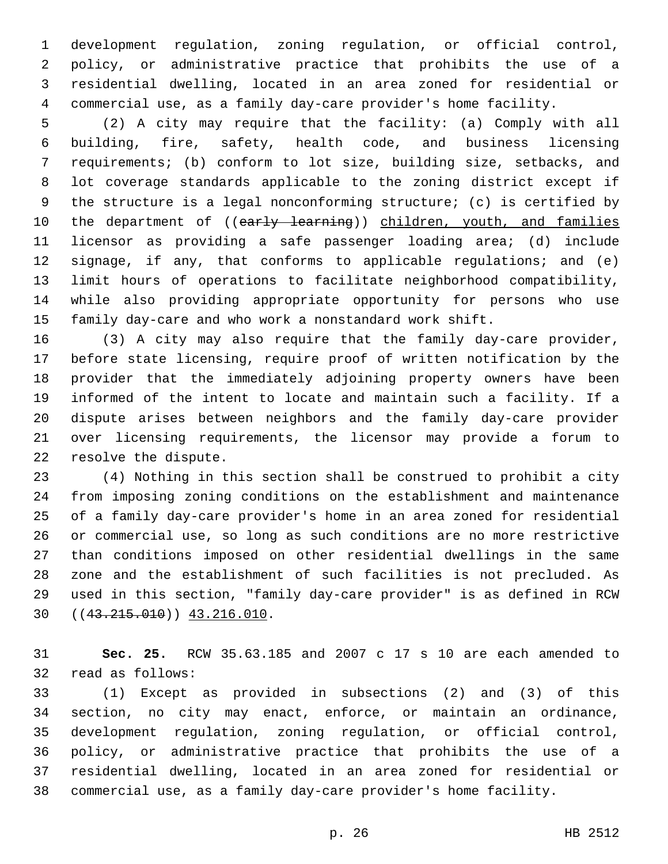development regulation, zoning regulation, or official control, policy, or administrative practice that prohibits the use of a residential dwelling, located in an area zoned for residential or commercial use, as a family day-care provider's home facility.

 (2) A city may require that the facility: (a) Comply with all building, fire, safety, health code, and business licensing requirements; (b) conform to lot size, building size, setbacks, and lot coverage standards applicable to the zoning district except if the structure is a legal nonconforming structure; (c) is certified by 10 the department of ((early learning)) children, youth, and families licensor as providing a safe passenger loading area; (d) include signage, if any, that conforms to applicable regulations; and (e) limit hours of operations to facilitate neighborhood compatibility, while also providing appropriate opportunity for persons who use family day-care and who work a nonstandard work shift.

 (3) A city may also require that the family day-care provider, before state licensing, require proof of written notification by the provider that the immediately adjoining property owners have been informed of the intent to locate and maintain such a facility. If a dispute arises between neighbors and the family day-care provider over licensing requirements, the licensor may provide a forum to 22 resolve the dispute.

 (4) Nothing in this section shall be construed to prohibit a city from imposing zoning conditions on the establishment and maintenance of a family day-care provider's home in an area zoned for residential or commercial use, so long as such conditions are no more restrictive than conditions imposed on other residential dwellings in the same zone and the establishment of such facilities is not precluded. As used in this section, "family day-care provider" is as defined in RCW  $(43.215.010)$   $(43.215.010)$ 

 **Sec. 25.** RCW 35.63.185 and 2007 c 17 s 10 are each amended to 32 read as follows:

 (1) Except as provided in subsections (2) and (3) of this section, no city may enact, enforce, or maintain an ordinance, development regulation, zoning regulation, or official control, policy, or administrative practice that prohibits the use of a residential dwelling, located in an area zoned for residential or commercial use, as a family day-care provider's home facility.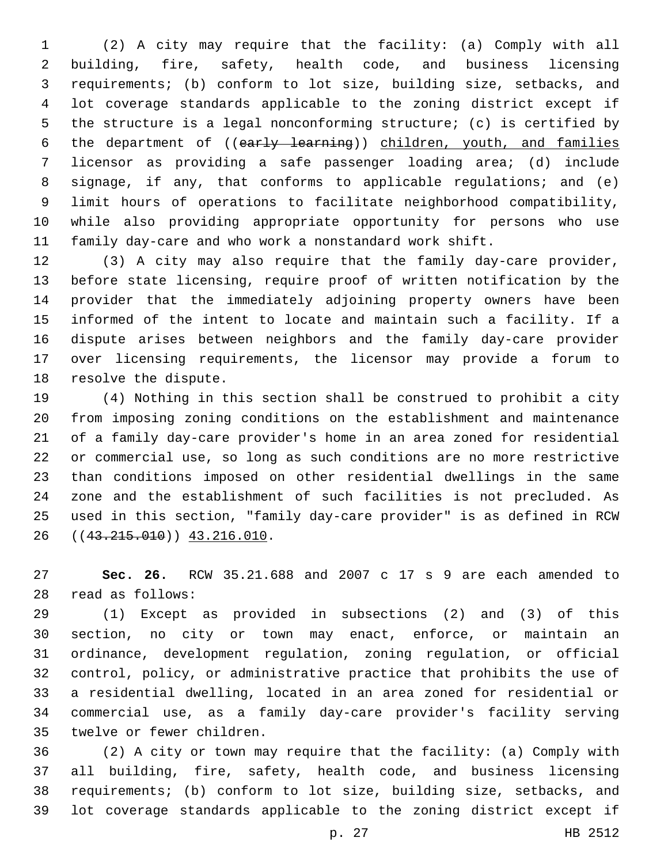(2) A city may require that the facility: (a) Comply with all building, fire, safety, health code, and business licensing requirements; (b) conform to lot size, building size, setbacks, and lot coverage standards applicable to the zoning district except if the structure is a legal nonconforming structure; (c) is certified by 6 the department of ((early learning)) children, youth, and families licensor as providing a safe passenger loading area; (d) include signage, if any, that conforms to applicable regulations; and (e) limit hours of operations to facilitate neighborhood compatibility, while also providing appropriate opportunity for persons who use family day-care and who work a nonstandard work shift.

 (3) A city may also require that the family day-care provider, before state licensing, require proof of written notification by the provider that the immediately adjoining property owners have been informed of the intent to locate and maintain such a facility. If a dispute arises between neighbors and the family day-care provider over licensing requirements, the licensor may provide a forum to 18 resolve the dispute.

 (4) Nothing in this section shall be construed to prohibit a city from imposing zoning conditions on the establishment and maintenance of a family day-care provider's home in an area zoned for residential or commercial use, so long as such conditions are no more restrictive than conditions imposed on other residential dwellings in the same zone and the establishment of such facilities is not precluded. As used in this section, "family day-care provider" is as defined in RCW 26 ((43.215.010)) 43.216.010.

 **Sec. 26.** RCW 35.21.688 and 2007 c 17 s 9 are each amended to read as follows:28

 (1) Except as provided in subsections (2) and (3) of this section, no city or town may enact, enforce, or maintain an ordinance, development regulation, zoning regulation, or official control, policy, or administrative practice that prohibits the use of a residential dwelling, located in an area zoned for residential or commercial use, as a family day-care provider's facility serving 35 twelve or fewer children.

 (2) A city or town may require that the facility: (a) Comply with all building, fire, safety, health code, and business licensing requirements; (b) conform to lot size, building size, setbacks, and lot coverage standards applicable to the zoning district except if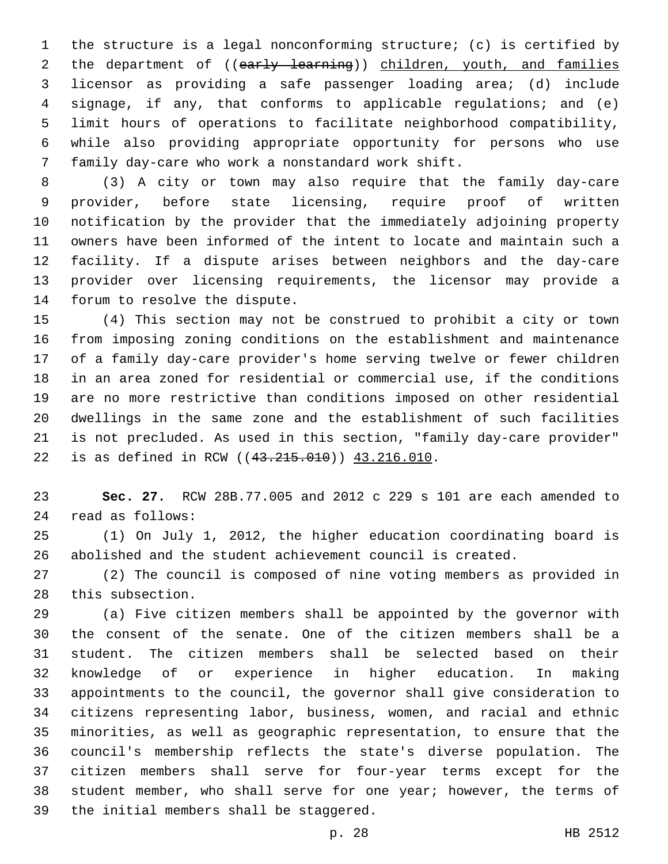the structure is a legal nonconforming structure; (c) is certified by 2 the department of ((early learning)) children, youth, and families licensor as providing a safe passenger loading area; (d) include signage, if any, that conforms to applicable regulations; and (e) limit hours of operations to facilitate neighborhood compatibility, while also providing appropriate opportunity for persons who use 7 family day-care who work a nonstandard work shift.

 (3) A city or town may also require that the family day-care provider, before state licensing, require proof of written notification by the provider that the immediately adjoining property owners have been informed of the intent to locate and maintain such a facility. If a dispute arises between neighbors and the day-care provider over licensing requirements, the licensor may provide a 14 forum to resolve the dispute.

 (4) This section may not be construed to prohibit a city or town from imposing zoning conditions on the establishment and maintenance of a family day-care provider's home serving twelve or fewer children in an area zoned for residential or commercial use, if the conditions are no more restrictive than conditions imposed on other residential dwellings in the same zone and the establishment of such facilities is not precluded. As used in this section, "family day-care provider" 22 is as defined in RCW ((43.215.010)) 43.216.010.

 **Sec. 27.** RCW 28B.77.005 and 2012 c 229 s 101 are each amended to read as follows:24

 (1) On July 1, 2012, the higher education coordinating board is abolished and the student achievement council is created.

 (2) The council is composed of nine voting members as provided in 28 this subsection.

 (a) Five citizen members shall be appointed by the governor with the consent of the senate. One of the citizen members shall be a student. The citizen members shall be selected based on their knowledge of or experience in higher education. In making appointments to the council, the governor shall give consideration to citizens representing labor, business, women, and racial and ethnic minorities, as well as geographic representation, to ensure that the council's membership reflects the state's diverse population. The citizen members shall serve for four-year terms except for the 38 student member, who shall serve for one year; however, the terms of 39 the initial members shall be staggered.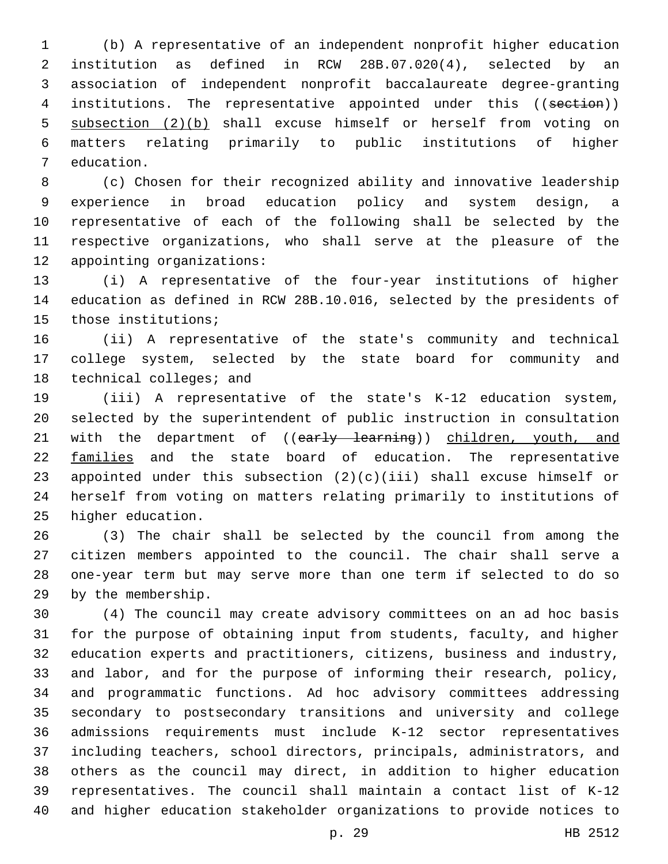(b) A representative of an independent nonprofit higher education institution as defined in RCW 28B.07.020(4), selected by an association of independent nonprofit baccalaureate degree-granting 4 institutions. The representative appointed under this ((section)) subsection (2)(b) shall excuse himself or herself from voting on matters relating primarily to public institutions of higher 7 education.

 (c) Chosen for their recognized ability and innovative leadership experience in broad education policy and system design, a representative of each of the following shall be selected by the respective organizations, who shall serve at the pleasure of the 12 appointing organizations:

 (i) A representative of the four-year institutions of higher education as defined in RCW 28B.10.016, selected by the presidents of 15 those institutions;

 (ii) A representative of the state's community and technical college system, selected by the state board for community and 18 technical colleges; and

 (iii) A representative of the state's K-12 education system, selected by the superintendent of public instruction in consultation 21 with the department of ((early learning)) children, youth, and families and the state board of education. The representative appointed under this subsection (2)(c)(iii) shall excuse himself or herself from voting on matters relating primarily to institutions of 25 higher education.

 (3) The chair shall be selected by the council from among the citizen members appointed to the council. The chair shall serve a one-year term but may serve more than one term if selected to do so 29 by the membership.

 (4) The council may create advisory committees on an ad hoc basis for the purpose of obtaining input from students, faculty, and higher education experts and practitioners, citizens, business and industry, and labor, and for the purpose of informing their research, policy, and programmatic functions. Ad hoc advisory committees addressing secondary to postsecondary transitions and university and college admissions requirements must include K-12 sector representatives including teachers, school directors, principals, administrators, and others as the council may direct, in addition to higher education representatives. The council shall maintain a contact list of K-12 and higher education stakeholder organizations to provide notices to

p. 29 HB 2512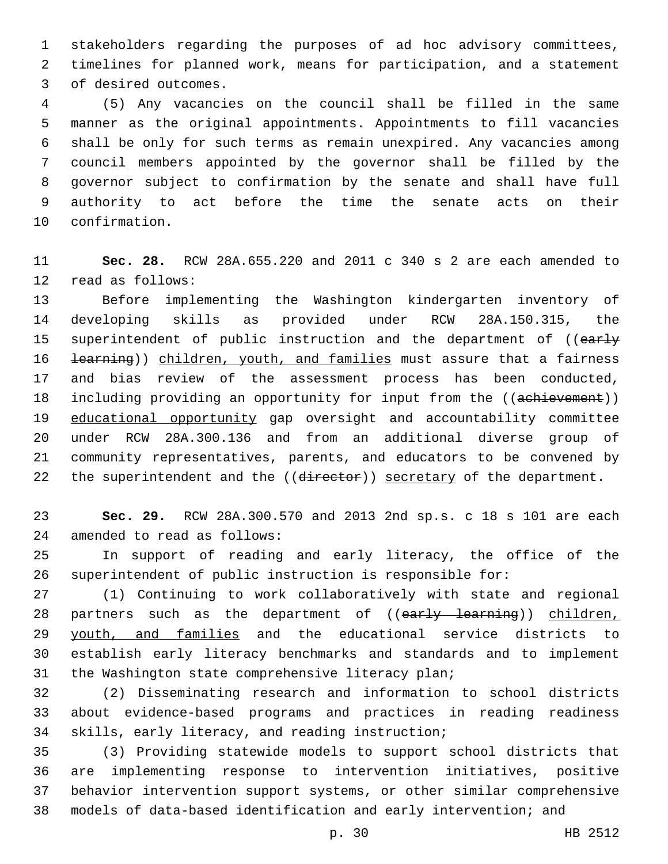stakeholders regarding the purposes of ad hoc advisory committees, timelines for planned work, means for participation, and a statement 3 of desired outcomes.

 (5) Any vacancies on the council shall be filled in the same manner as the original appointments. Appointments to fill vacancies shall be only for such terms as remain unexpired. Any vacancies among council members appointed by the governor shall be filled by the governor subject to confirmation by the senate and shall have full authority to act before the time the senate acts on their 10 confirmation.

 **Sec. 28.** RCW 28A.655.220 and 2011 c 340 s 2 are each amended to 12 read as follows:

 Before implementing the Washington kindergarten inventory of developing skills as provided under RCW 28A.150.315, the 15 superintendent of public instruction and the department of ((early 16 <del>learning</del>)) children, youth, and families must assure that a fairness and bias review of the assessment process has been conducted, 18 including providing an opportunity for input from the ((achievement)) educational opportunity gap oversight and accountability committee under RCW 28A.300.136 and from an additional diverse group of community representatives, parents, and educators to be convened by 22 the superintendent and the ((director)) secretary of the department.

 **Sec. 29.** RCW 28A.300.570 and 2013 2nd sp.s. c 18 s 101 are each 24 amended to read as follows:

 In support of reading and early literacy, the office of the superintendent of public instruction is responsible for:

 (1) Continuing to work collaboratively with state and regional 28 partners such as the department of ((early learning)) children, 29 youth, and families and the educational service districts to establish early literacy benchmarks and standards and to implement 31 the Washington state comprehensive literacy plan;

 (2) Disseminating research and information to school districts about evidence-based programs and practices in reading readiness 34 skills, early literacy, and reading instruction;

 (3) Providing statewide models to support school districts that are implementing response to intervention initiatives, positive behavior intervention support systems, or other similar comprehensive models of data-based identification and early intervention; and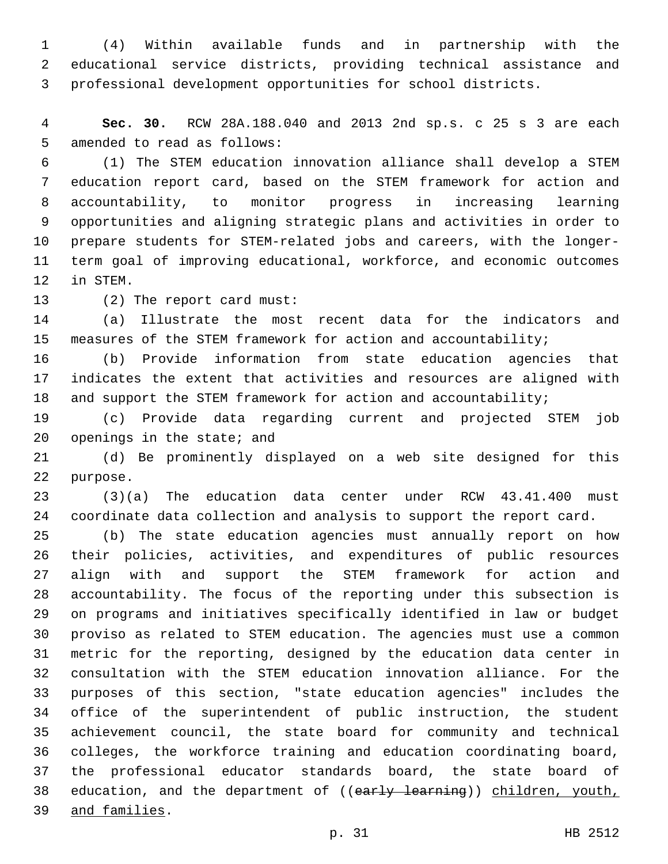(4) Within available funds and in partnership with the educational service districts, providing technical assistance and professional development opportunities for school districts.

 **Sec. 30.** RCW 28A.188.040 and 2013 2nd sp.s. c 25 s 3 are each 5 amended to read as follows:

 (1) The STEM education innovation alliance shall develop a STEM education report card, based on the STEM framework for action and accountability, to monitor progress in increasing learning opportunities and aligning strategic plans and activities in order to prepare students for STEM-related jobs and careers, with the longer- term goal of improving educational, workforce, and economic outcomes 12 in STEM.

13 (2) The report card must:

 (a) Illustrate the most recent data for the indicators and measures of the STEM framework for action and accountability;

 (b) Provide information from state education agencies that indicates the extent that activities and resources are aligned with 18 and support the STEM framework for action and accountability;

 (c) Provide data regarding current and projected STEM job openings in the state; and

 (d) Be prominently displayed on a web site designed for this 22 purpose.

 (3)(a) The education data center under RCW 43.41.400 must coordinate data collection and analysis to support the report card.

 (b) The state education agencies must annually report on how their policies, activities, and expenditures of public resources align with and support the STEM framework for action and accountability. The focus of the reporting under this subsection is on programs and initiatives specifically identified in law or budget proviso as related to STEM education. The agencies must use a common metric for the reporting, designed by the education data center in consultation with the STEM education innovation alliance. For the purposes of this section, "state education agencies" includes the office of the superintendent of public instruction, the student achievement council, the state board for community and technical colleges, the workforce training and education coordinating board, the professional educator standards board, the state board of 38 education, and the department of ((early learning)) children, youth, and families.39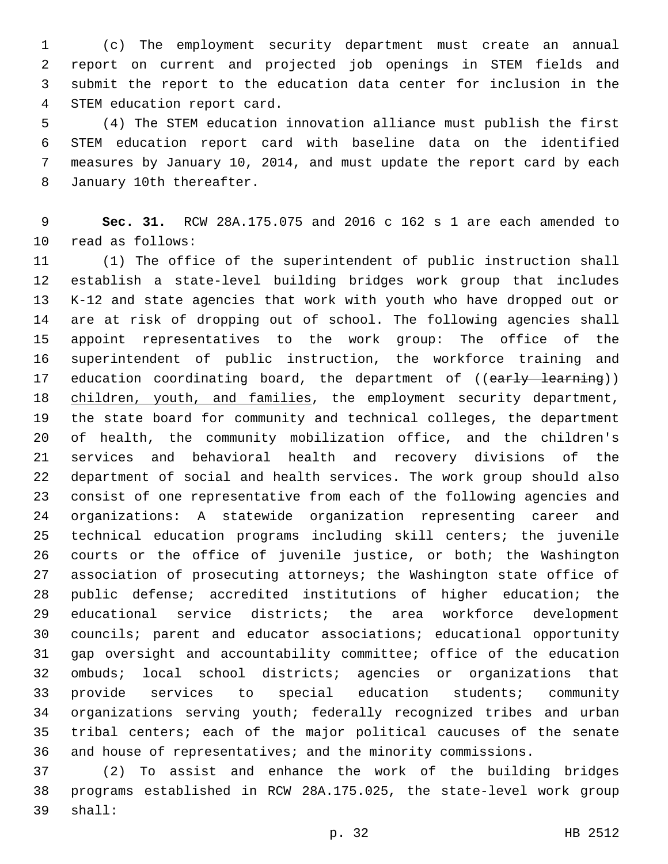(c) The employment security department must create an annual report on current and projected job openings in STEM fields and submit the report to the education data center for inclusion in the 4 STEM education report card.

 (4) The STEM education innovation alliance must publish the first STEM education report card with baseline data on the identified measures by January 10, 2014, and must update the report card by each 8 January 10th thereafter.

 **Sec. 31.** RCW 28A.175.075 and 2016 c 162 s 1 are each amended to 10 read as follows:

 (1) The office of the superintendent of public instruction shall establish a state-level building bridges work group that includes K-12 and state agencies that work with youth who have dropped out or are at risk of dropping out of school. The following agencies shall appoint representatives to the work group: The office of the superintendent of public instruction, the workforce training and 17 education coordinating board, the department of ((early learning)) 18 children, youth, and families, the employment security department, the state board for community and technical colleges, the department of health, the community mobilization office, and the children's services and behavioral health and recovery divisions of the department of social and health services. The work group should also consist of one representative from each of the following agencies and organizations: A statewide organization representing career and technical education programs including skill centers; the juvenile courts or the office of juvenile justice, or both; the Washington association of prosecuting attorneys; the Washington state office of public defense; accredited institutions of higher education; the educational service districts; the area workforce development councils; parent and educator associations; educational opportunity gap oversight and accountability committee; office of the education ombuds; local school districts; agencies or organizations that provide services to special education students; community organizations serving youth; federally recognized tribes and urban tribal centers; each of the major political caucuses of the senate and house of representatives; and the minority commissions.

 (2) To assist and enhance the work of the building bridges programs established in RCW 28A.175.025, the state-level work group 39 shall: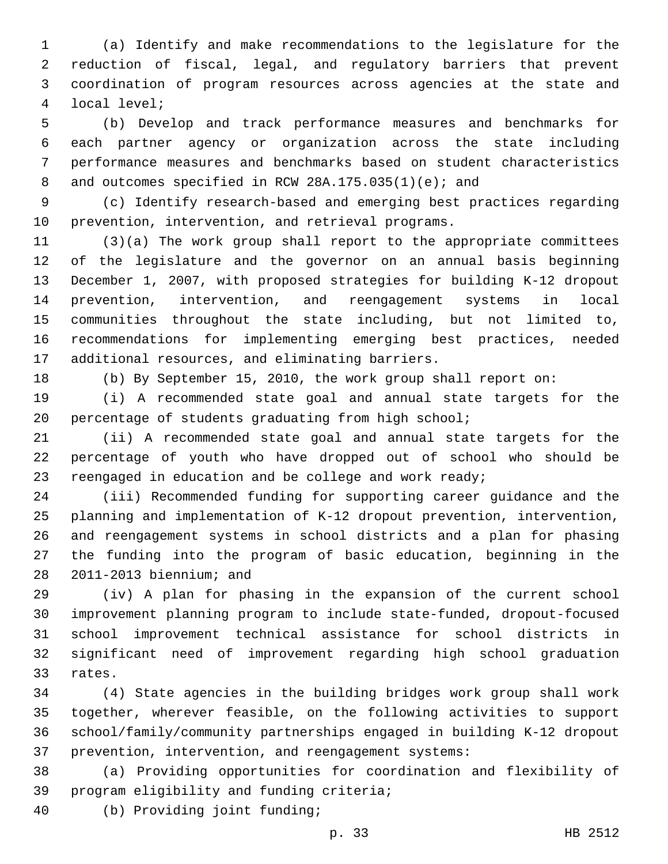(a) Identify and make recommendations to the legislature for the reduction of fiscal, legal, and regulatory barriers that prevent coordination of program resources across agencies at the state and local level;4

 (b) Develop and track performance measures and benchmarks for each partner agency or organization across the state including performance measures and benchmarks based on student characteristics 8 and outcomes specified in RCW 28A.175.035(1)(e); and

 (c) Identify research-based and emerging best practices regarding 10 prevention, intervention, and retrieval programs.

 (3)(a) The work group shall report to the appropriate committees of the legislature and the governor on an annual basis beginning December 1, 2007, with proposed strategies for building K-12 dropout prevention, intervention, and reengagement systems in local communities throughout the state including, but not limited to, recommendations for implementing emerging best practices, needed 17 additional resources, and eliminating barriers.

(b) By September 15, 2010, the work group shall report on:

 (i) A recommended state goal and annual state targets for the percentage of students graduating from high school;

 (ii) A recommended state goal and annual state targets for the percentage of youth who have dropped out of school who should be 23 reengaged in education and be college and work ready;

 (iii) Recommended funding for supporting career guidance and the planning and implementation of K-12 dropout prevention, intervention, and reengagement systems in school districts and a plan for phasing the funding into the program of basic education, beginning in the 28 2011-2013 biennium; and

 (iv) A plan for phasing in the expansion of the current school improvement planning program to include state-funded, dropout-focused school improvement technical assistance for school districts in significant need of improvement regarding high school graduation 33 rates.

 (4) State agencies in the building bridges work group shall work together, wherever feasible, on the following activities to support school/family/community partnerships engaged in building K-12 dropout prevention, intervention, and reengagement systems:

 (a) Providing opportunities for coordination and flexibility of 39 program eligibility and funding criteria;

(b) Providing joint funding;40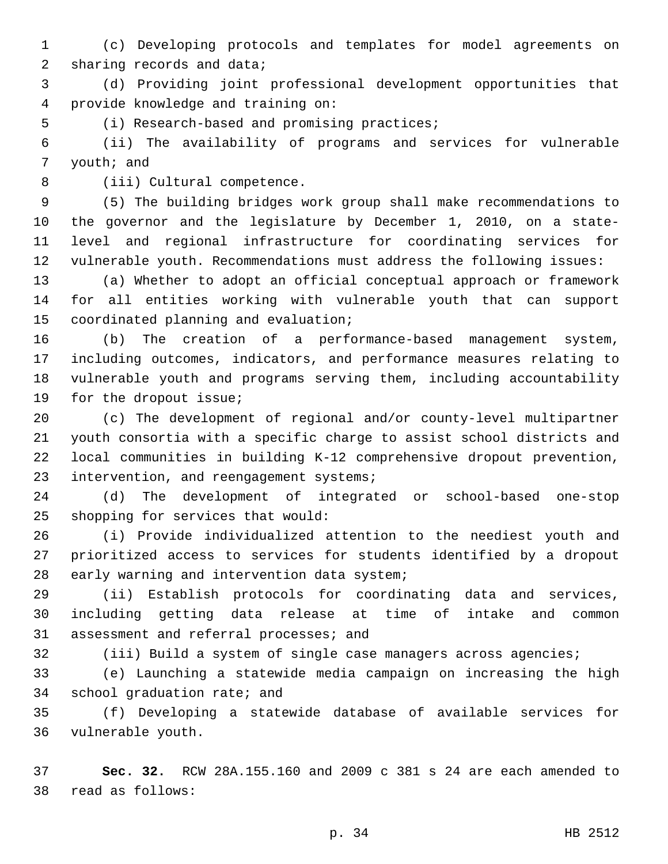(c) Developing protocols and templates for model agreements on 2 sharing records and data;

 (d) Providing joint professional development opportunities that provide knowledge and training on:4

5 (i) Research-based and promising practices;

 (ii) The availability of programs and services for vulnerable 7 youth; and

8 (iii) Cultural competence.

 (5) The building bridges work group shall make recommendations to the governor and the legislature by December 1, 2010, on a state- level and regional infrastructure for coordinating services for vulnerable youth. Recommendations must address the following issues:

 (a) Whether to adopt an official conceptual approach or framework for all entities working with vulnerable youth that can support 15 coordinated planning and evaluation;

 (b) The creation of a performance-based management system, including outcomes, indicators, and performance measures relating to vulnerable youth and programs serving them, including accountability 19 for the dropout issue;

 (c) The development of regional and/or county-level multipartner youth consortia with a specific charge to assist school districts and local communities in building K-12 comprehensive dropout prevention, 23 intervention, and reengagement systems;

 (d) The development of integrated or school-based one-stop 25 shopping for services that would:

 (i) Provide individualized attention to the neediest youth and prioritized access to services for students identified by a dropout 28 early warning and intervention data system;

 (ii) Establish protocols for coordinating data and services, including getting data release at time of intake and common 31 assessment and referral processes; and

(iii) Build a system of single case managers across agencies;

 (e) Launching a statewide media campaign on increasing the high 34 school graduation rate; and

 (f) Developing a statewide database of available services for 36 vulnerable youth.

 **Sec. 32.** RCW 28A.155.160 and 2009 c 381 s 24 are each amended to read as follows:38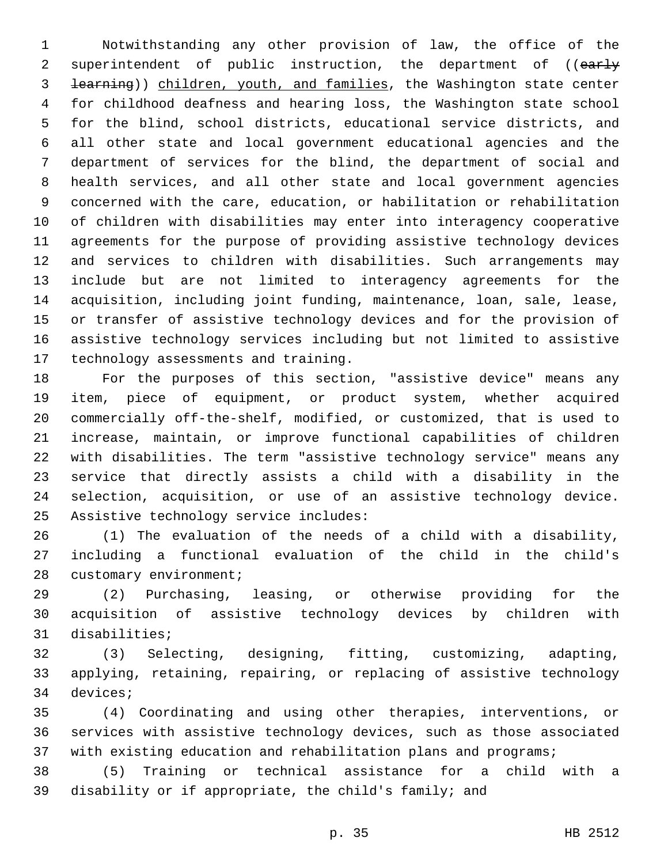Notwithstanding any other provision of law, the office of the 2 superintendent of public instruction, the department of ((early learning)) children, youth, and families, the Washington state center for childhood deafness and hearing loss, the Washington state school for the blind, school districts, educational service districts, and all other state and local government educational agencies and the department of services for the blind, the department of social and health services, and all other state and local government agencies concerned with the care, education, or habilitation or rehabilitation of children with disabilities may enter into interagency cooperative agreements for the purpose of providing assistive technology devices and services to children with disabilities. Such arrangements may include but are not limited to interagency agreements for the acquisition, including joint funding, maintenance, loan, sale, lease, or transfer of assistive technology devices and for the provision of assistive technology services including but not limited to assistive 17 technology assessments and training.

 For the purposes of this section, "assistive device" means any item, piece of equipment, or product system, whether acquired commercially off-the-shelf, modified, or customized, that is used to increase, maintain, or improve functional capabilities of children with disabilities. The term "assistive technology service" means any service that directly assists a child with a disability in the selection, acquisition, or use of an assistive technology device. 25 Assistive technology service includes:

 (1) The evaluation of the needs of a child with a disability, including a functional evaluation of the child in the child's 28 customary environment;

 (2) Purchasing, leasing, or otherwise providing for the acquisition of assistive technology devices by children with 31 disabilities;

 (3) Selecting, designing, fitting, customizing, adapting, applying, retaining, repairing, or replacing of assistive technology 34 devices;

 (4) Coordinating and using other therapies, interventions, or services with assistive technology devices, such as those associated with existing education and rehabilitation plans and programs;

 (5) Training or technical assistance for a child with a disability or if appropriate, the child's family; and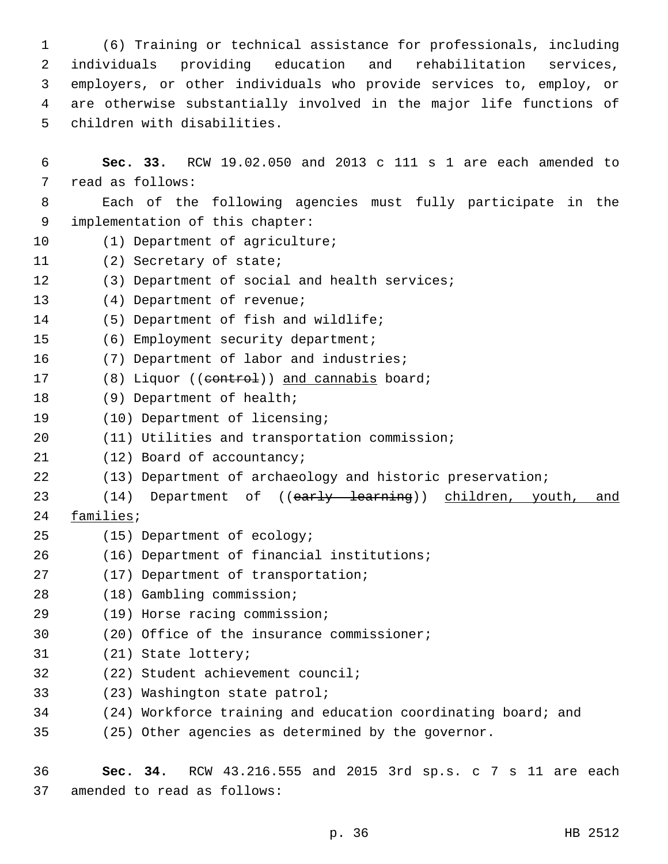(6) Training or technical assistance for professionals, including individuals providing education and rehabilitation services, employers, or other individuals who provide services to, employ, or are otherwise substantially involved in the major life functions of 5 children with disabilities.

6 **Sec. 33.** RCW 19.02.050 and 2013 c 111 s 1 are each amended to 7 read as follows: 8 Each of the following agencies must fully participate in the 9 implementation of this chapter: 10 (1) Department of agriculture; 11 (2) Secretary of state; 12 (3) Department of social and health services; 13 (4) Department of revenue; 14 (5) Department of fish and wildlife; 15 (6) Employment security department; 16 (7) Department of labor and industries; 17 (8) Liquor ((eontrol)) and cannabis board; 18 (9) Department of health; 19 (10) Department of licensing; 20 (11) Utilities and transportation commission; 21 (12) Board of accountancy; 22 (13) Department of archaeology and historic preservation; 23 (14) Department of ((early learning)) children, youth, and 24 families; 25 (15) Department of ecology; (16) Department of financial institutions;26 27 (17) Department of transportation; (18) Gambling commission;28 (19) Horse racing commission;29 30 (20) Office of the insurance commissioner; 31 (21) State lottery; 32 (22) Student achievement council; 33 (23) Washington state patrol; 34 (24) Workforce training and education coordinating board; and 35 (25) Other agencies as determined by the governor.

36 **Sec. 34.** RCW 43.216.555 and 2015 3rd sp.s. c 7 s 11 are each 37 amended to read as follows: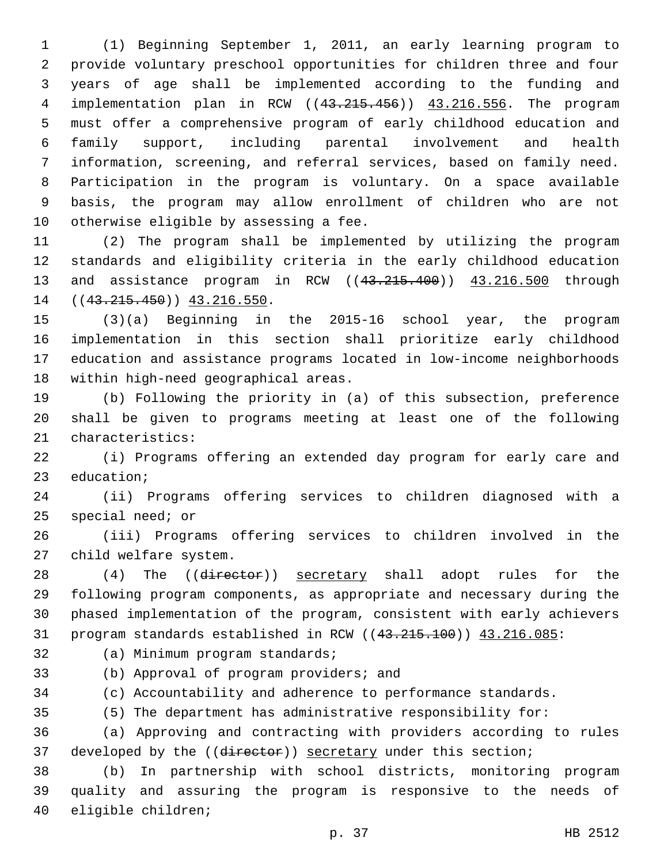(1) Beginning September 1, 2011, an early learning program to provide voluntary preschool opportunities for children three and four years of age shall be implemented according to the funding and implementation plan in RCW ((43.215.456)) 43.216.556. The program must offer a comprehensive program of early childhood education and family support, including parental involvement and health information, screening, and referral services, based on family need. Participation in the program is voluntary. On a space available basis, the program may allow enrollment of children who are not 10 otherwise eligible by assessing a fee.

 (2) The program shall be implemented by utilizing the program standards and eligibility criteria in the early childhood education and assistance program in RCW ((43.215.400)) 43.216.500 through 14 ((43.215.450)) 43.216.550.

 (3)(a) Beginning in the 2015-16 school year, the program implementation in this section shall prioritize early childhood education and assistance programs located in low-income neighborhoods 18 within high-need geographical areas.

 (b) Following the priority in (a) of this subsection, preference shall be given to programs meeting at least one of the following 21 characteristics:

 (i) Programs offering an extended day program for early care and 23 education;

 (ii) Programs offering services to children diagnosed with a special need; or

 (iii) Programs offering services to children involved in the 27 child welfare system.

28 (4) The ((director)) secretary shall adopt rules for the following program components, as appropriate and necessary during the phased implementation of the program, consistent with early achievers 31 program standards established in RCW ((43.215.100)) 43.216.085:

32 (a) Minimum program standards;

(b) Approval of program providers; and

(c) Accountability and adherence to performance standards.

(5) The department has administrative responsibility for:

 (a) Approving and contracting with providers according to rules 37 developed by the ((director)) secretary under this section;

 (b) In partnership with school districts, monitoring program quality and assuring the program is responsive to the needs of 40 eligible children;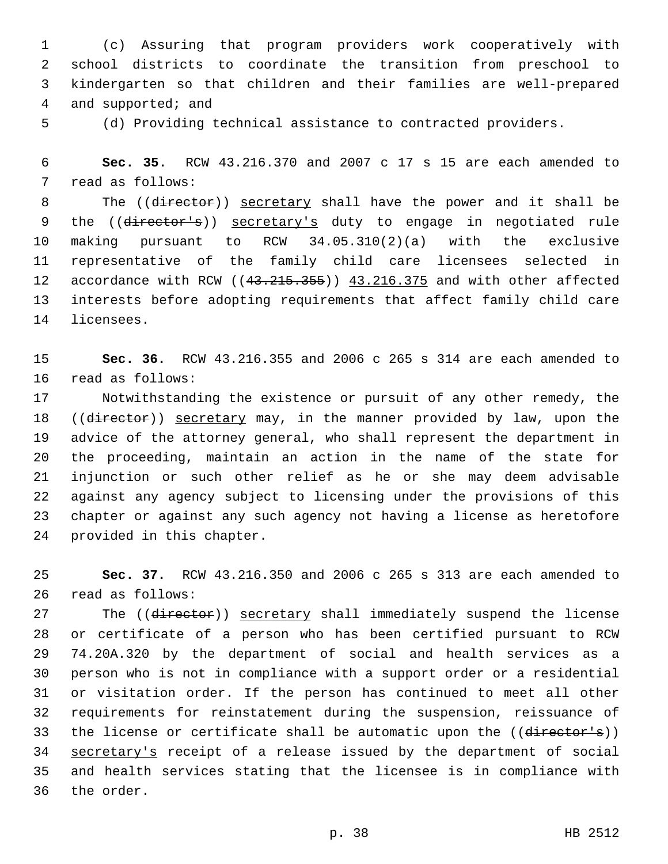(c) Assuring that program providers work cooperatively with school districts to coordinate the transition from preschool to kindergarten so that children and their families are well-prepared 4 and supported; and

(d) Providing technical assistance to contracted providers.

 **Sec. 35.** RCW 43.216.370 and 2007 c 17 s 15 are each amended to 7 read as follows:

8 The ((director)) secretary shall have the power and it shall be 9 the ((director's)) secretary's duty to engage in negotiated rule making pursuant to RCW 34.05.310(2)(a) with the exclusive representative of the family child care licensees selected in 12 accordance with RCW ((43.215.355)) 43.216.375 and with other affected interests before adopting requirements that affect family child care 14 licensees.

 **Sec. 36.** RCW 43.216.355 and 2006 c 265 s 314 are each amended to 16 read as follows:

 Notwithstanding the existence or pursuit of any other remedy, the 18 ((director)) secretary may, in the manner provided by law, upon the advice of the attorney general, who shall represent the department in the proceeding, maintain an action in the name of the state for injunction or such other relief as he or she may deem advisable against any agency subject to licensing under the provisions of this chapter or against any such agency not having a license as heretofore 24 provided in this chapter.

 **Sec. 37.** RCW 43.216.350 and 2006 c 265 s 313 are each amended to 26 read as follows:

27 The ((director)) secretary shall immediately suspend the license or certificate of a person who has been certified pursuant to RCW 74.20A.320 by the department of social and health services as a person who is not in compliance with a support order or a residential or visitation order. If the person has continued to meet all other requirements for reinstatement during the suspension, reissuance of 33 the license or certificate shall be automatic upon the ((director's)) secretary's receipt of a release issued by the department of social and health services stating that the licensee is in compliance with 36 the order.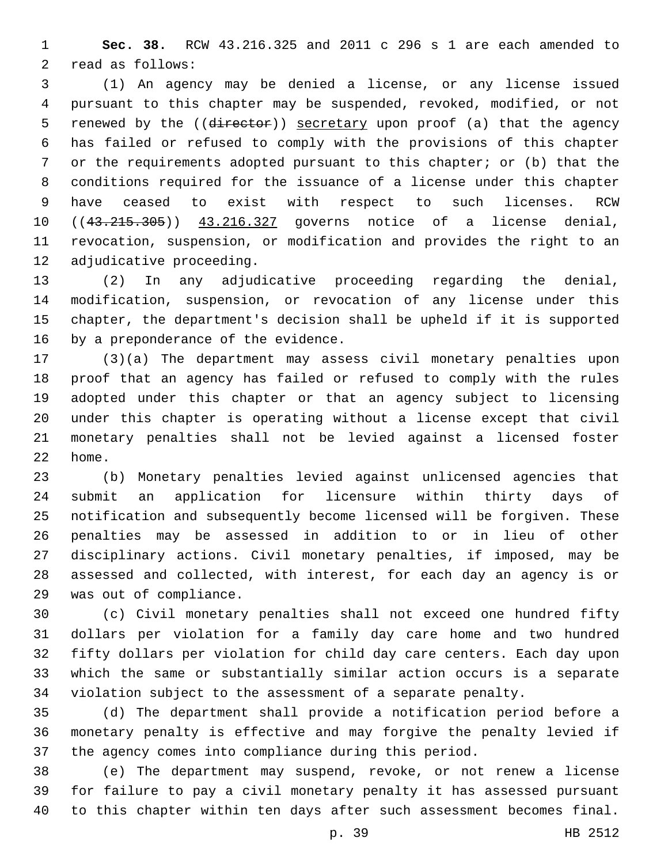**Sec. 38.** RCW 43.216.325 and 2011 c 296 s 1 are each amended to 2 read as follows:

 (1) An agency may be denied a license, or any license issued pursuant to this chapter may be suspended, revoked, modified, or not 5 renewed by the ((director)) secretary upon proof (a) that the agency has failed or refused to comply with the provisions of this chapter or the requirements adopted pursuant to this chapter; or (b) that the conditions required for the issuance of a license under this chapter have ceased to exist with respect to such licenses. RCW 10 ((43.215.305)) 43.216.327 governs notice of a license denial, revocation, suspension, or modification and provides the right to an 12 adjudicative proceeding.

 (2) In any adjudicative proceeding regarding the denial, modification, suspension, or revocation of any license under this chapter, the department's decision shall be upheld if it is supported 16 by a preponderance of the evidence.

 (3)(a) The department may assess civil monetary penalties upon proof that an agency has failed or refused to comply with the rules adopted under this chapter or that an agency subject to licensing under this chapter is operating without a license except that civil monetary penalties shall not be levied against a licensed foster 22 home.

 (b) Monetary penalties levied against unlicensed agencies that submit an application for licensure within thirty days of notification and subsequently become licensed will be forgiven. These penalties may be assessed in addition to or in lieu of other disciplinary actions. Civil monetary penalties, if imposed, may be assessed and collected, with interest, for each day an agency is or 29 was out of compliance.

 (c) Civil monetary penalties shall not exceed one hundred fifty dollars per violation for a family day care home and two hundred fifty dollars per violation for child day care centers. Each day upon which the same or substantially similar action occurs is a separate violation subject to the assessment of a separate penalty.

 (d) The department shall provide a notification period before a monetary penalty is effective and may forgive the penalty levied if the agency comes into compliance during this period.

 (e) The department may suspend, revoke, or not renew a license for failure to pay a civil monetary penalty it has assessed pursuant to this chapter within ten days after such assessment becomes final.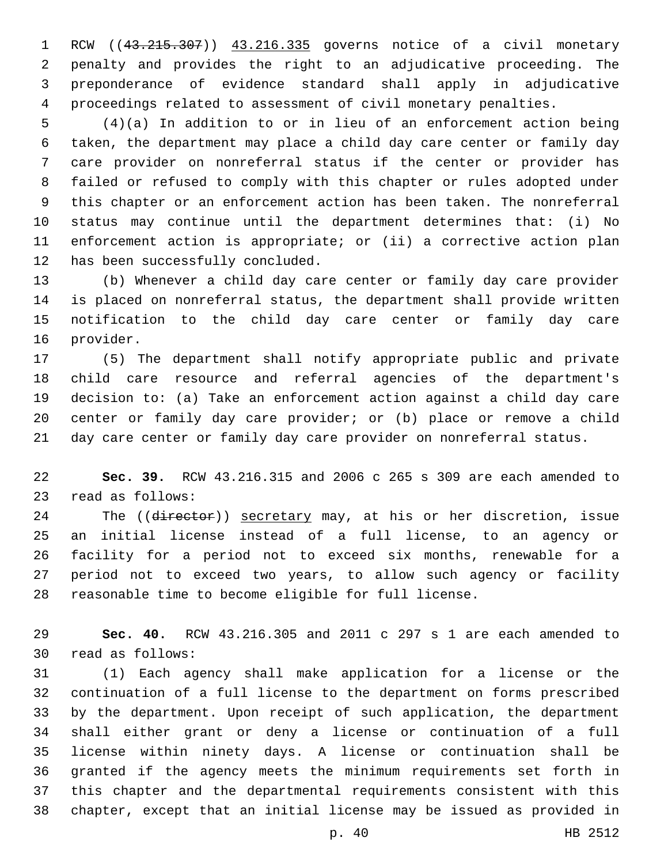RCW ((43.215.307)) 43.216.335 governs notice of a civil monetary penalty and provides the right to an adjudicative proceeding. The preponderance of evidence standard shall apply in adjudicative proceedings related to assessment of civil monetary penalties.

 (4)(a) In addition to or in lieu of an enforcement action being taken, the department may place a child day care center or family day care provider on nonreferral status if the center or provider has failed or refused to comply with this chapter or rules adopted under this chapter or an enforcement action has been taken. The nonreferral status may continue until the department determines that: (i) No enforcement action is appropriate; or (ii) a corrective action plan 12 has been successfully concluded.

 (b) Whenever a child day care center or family day care provider is placed on nonreferral status, the department shall provide written notification to the child day care center or family day care 16 provider.

 (5) The department shall notify appropriate public and private child care resource and referral agencies of the department's decision to: (a) Take an enforcement action against a child day care center or family day care provider; or (b) place or remove a child day care center or family day care provider on nonreferral status.

 **Sec. 39.** RCW 43.216.315 and 2006 c 265 s 309 are each amended to 23 read as follows:

24 The ((director)) secretary may, at his or her discretion, issue an initial license instead of a full license, to an agency or facility for a period not to exceed six months, renewable for a period not to exceed two years, to allow such agency or facility reasonable time to become eligible for full license.

 **Sec. 40.** RCW 43.216.305 and 2011 c 297 s 1 are each amended to 30 read as follows:

 (1) Each agency shall make application for a license or the continuation of a full license to the department on forms prescribed by the department. Upon receipt of such application, the department shall either grant or deny a license or continuation of a full license within ninety days. A license or continuation shall be granted if the agency meets the minimum requirements set forth in this chapter and the departmental requirements consistent with this chapter, except that an initial license may be issued as provided in

p. 40 HB 2512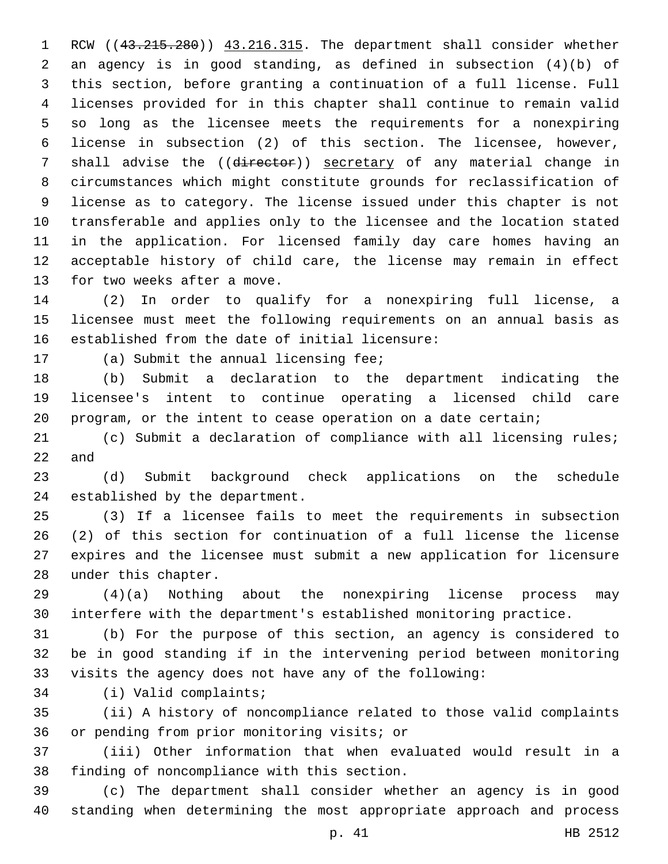1 RCW ((43.215.280)) 43.216.315. The department shall consider whether an agency is in good standing, as defined in subsection (4)(b) of this section, before granting a continuation of a full license. Full licenses provided for in this chapter shall continue to remain valid so long as the licensee meets the requirements for a nonexpiring license in subsection (2) of this section. The licensee, however, 7 shall advise the ((director)) secretary of any material change in circumstances which might constitute grounds for reclassification of license as to category. The license issued under this chapter is not transferable and applies only to the licensee and the location stated in the application. For licensed family day care homes having an acceptable history of child care, the license may remain in effect 13 for two weeks after a move.

 (2) In order to qualify for a nonexpiring full license, a licensee must meet the following requirements on an annual basis as established from the date of initial licensure:

17 (a) Submit the annual licensing fee;

 (b) Submit a declaration to the department indicating the licensee's intent to continue operating a licensed child care program, or the intent to cease operation on a date certain;

 (c) Submit a declaration of compliance with all licensing rules; and

 (d) Submit background check applications on the schedule 24 established by the department.

 (3) If a licensee fails to meet the requirements in subsection (2) of this section for continuation of a full license the license expires and the licensee must submit a new application for licensure 28 under this chapter.

 (4)(a) Nothing about the nonexpiring license process may interfere with the department's established monitoring practice.

 (b) For the purpose of this section, an agency is considered to be in good standing if in the intervening period between monitoring visits the agency does not have any of the following:

34 (i) Valid complaints;

 (ii) A history of noncompliance related to those valid complaints 36 or pending from prior monitoring visits; or

 (iii) Other information that when evaluated would result in a 38 finding of noncompliance with this section.

 (c) The department shall consider whether an agency is in good standing when determining the most appropriate approach and process

p. 41 HB 2512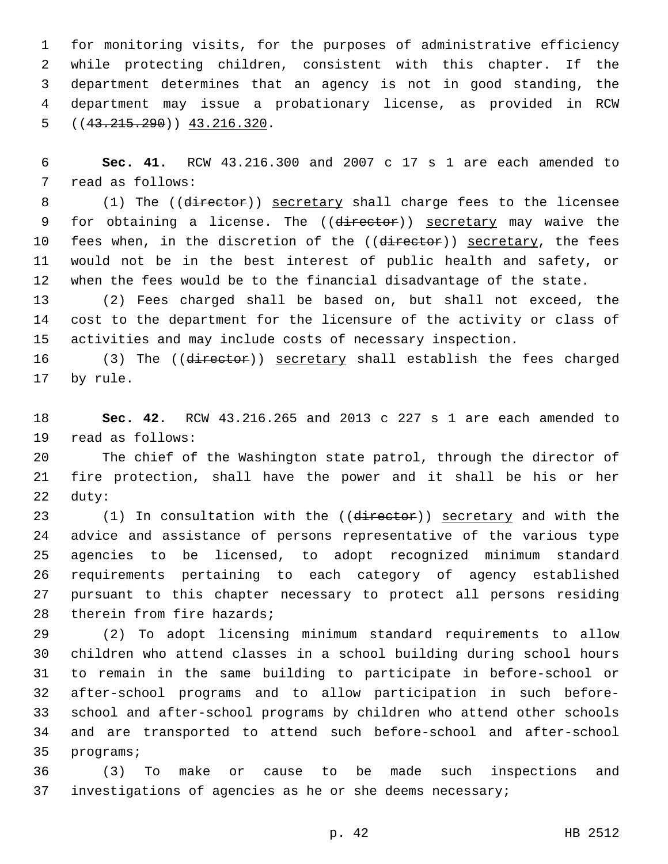for monitoring visits, for the purposes of administrative efficiency while protecting children, consistent with this chapter. If the department determines that an agency is not in good standing, the department may issue a probationary license, as provided in RCW  $( (43.215.290) )$  43.216.320.

 **Sec. 41.** RCW 43.216.300 and 2007 c 17 s 1 are each amended to 7 read as follows:

8 (1) The ((director)) secretary shall charge fees to the licensee 9 for obtaining a license. The ((director)) secretary may waive the 10 fees when, in the discretion of the ((director)) secretary, the fees would not be in the best interest of public health and safety, or when the fees would be to the financial disadvantage of the state.

 (2) Fees charged shall be based on, but shall not exceed, the cost to the department for the licensure of the activity or class of activities and may include costs of necessary inspection.

16 (3) The ((director)) secretary shall establish the fees charged 17 by rule.

 **Sec. 42.** RCW 43.216.265 and 2013 c 227 s 1 are each amended to 19 read as follows:

 The chief of the Washington state patrol, through the director of fire protection, shall have the power and it shall be his or her 22 duty:

23 (1) In consultation with the ((director)) secretary and with the advice and assistance of persons representative of the various type agencies to be licensed, to adopt recognized minimum standard requirements pertaining to each category of agency established pursuant to this chapter necessary to protect all persons residing 28 therein from fire hazards;

 (2) To adopt licensing minimum standard requirements to allow children who attend classes in a school building during school hours to remain in the same building to participate in before-school or after-school programs and to allow participation in such before- school and after-school programs by children who attend other schools and are transported to attend such before-school and after-school 35 programs;

 (3) To make or cause to be made such inspections and investigations of agencies as he or she deems necessary;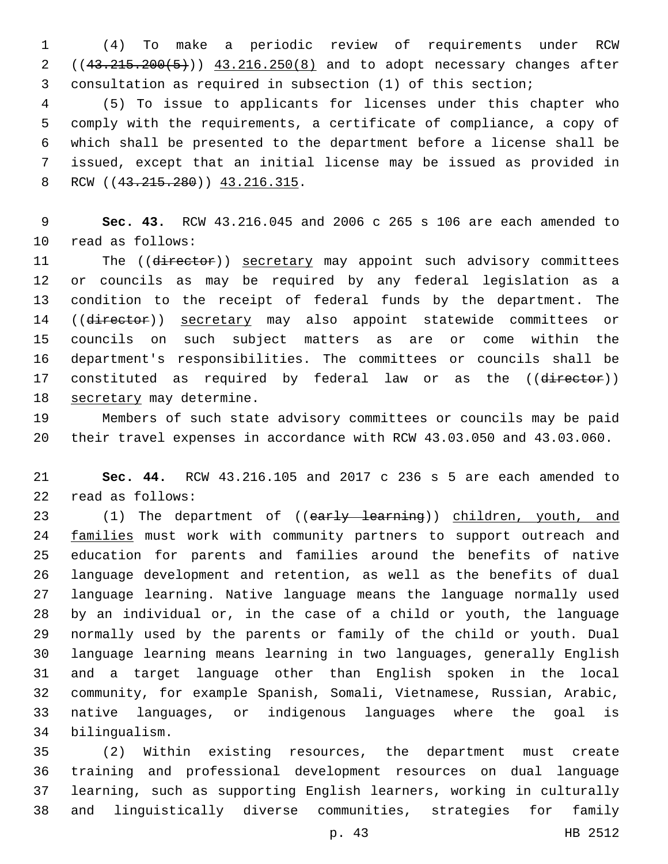(4) To make a periodic review of requirements under RCW 2 ((43.215.200(5))) 43.216.250(8) and to adopt necessary changes after consultation as required in subsection (1) of this section;

 (5) To issue to applicants for licenses under this chapter who comply with the requirements, a certificate of compliance, a copy of which shall be presented to the department before a license shall be issued, except that an initial license may be issued as provided in 8 RCW ((43.215.280)) 43.216.315.

 **Sec. 43.** RCW 43.216.045 and 2006 c 265 s 106 are each amended to 10 read as follows:

11 The ((director)) secretary may appoint such advisory committees or councils as may be required by any federal legislation as a condition to the receipt of federal funds by the department. The 14 ((director)) secretary may also appoint statewide committees or councils on such subject matters as are or come within the department's responsibilities. The committees or councils shall be 17 constituted as required by federal law or as the ((director)) 18 secretary may determine.

 Members of such state advisory committees or councils may be paid their travel expenses in accordance with RCW 43.03.050 and 43.03.060.

 **Sec. 44.** RCW 43.216.105 and 2017 c 236 s 5 are each amended to 22 read as follows:

23 (1) The department of ((early learning)) children, youth, and 24 families must work with community partners to support outreach and education for parents and families around the benefits of native language development and retention, as well as the benefits of dual language learning. Native language means the language normally used by an individual or, in the case of a child or youth, the language normally used by the parents or family of the child or youth. Dual language learning means learning in two languages, generally English and a target language other than English spoken in the local community, for example Spanish, Somali, Vietnamese, Russian, Arabic, native languages, or indigenous languages where the goal is bilingualism.34

 (2) Within existing resources, the department must create training and professional development resources on dual language learning, such as supporting English learners, working in culturally and linguistically diverse communities, strategies for family

p. 43 HB 2512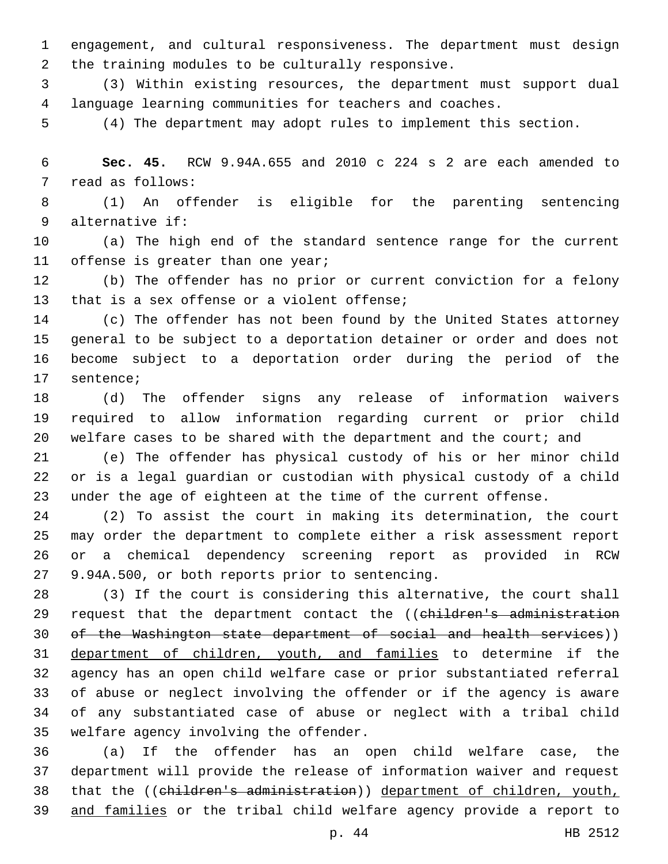engagement, and cultural responsiveness. The department must design 2 the training modules to be culturally responsive.

 (3) Within existing resources, the department must support dual language learning communities for teachers and coaches.

(4) The department may adopt rules to implement this section.

 **Sec. 45.** RCW 9.94A.655 and 2010 c 224 s 2 are each amended to 7 read as follows:

 (1) An offender is eligible for the parenting sentencing alternative if:9

 (a) The high end of the standard sentence range for the current 11 offense is greater than one year;

 (b) The offender has no prior or current conviction for a felony 13 that is a sex offense or a violent offense;

 (c) The offender has not been found by the United States attorney general to be subject to a deportation detainer or order and does not become subject to a deportation order during the period of the 17 sentence;

 (d) The offender signs any release of information waivers required to allow information regarding current or prior child 20 welfare cases to be shared with the department and the court; and

 (e) The offender has physical custody of his or her minor child or is a legal guardian or custodian with physical custody of a child under the age of eighteen at the time of the current offense.

 (2) To assist the court in making its determination, the court may order the department to complete either a risk assessment report or a chemical dependency screening report as provided in RCW 27 9.94A.500, or both reports prior to sentencing.

 (3) If the court is considering this alternative, the court shall 29 request that the department contact the ((children's administration of the Washington state department of social and health services)) department of children, youth, and families to determine if the agency has an open child welfare case or prior substantiated referral of abuse or neglect involving the offender or if the agency is aware of any substantiated case of abuse or neglect with a tribal child 35 welfare agency involving the offender.

 (a) If the offender has an open child welfare case, the department will provide the release of information waiver and request that the ((children's administration)) department of children, youth, and families or the tribal child welfare agency provide a report to

p. 44 HB 2512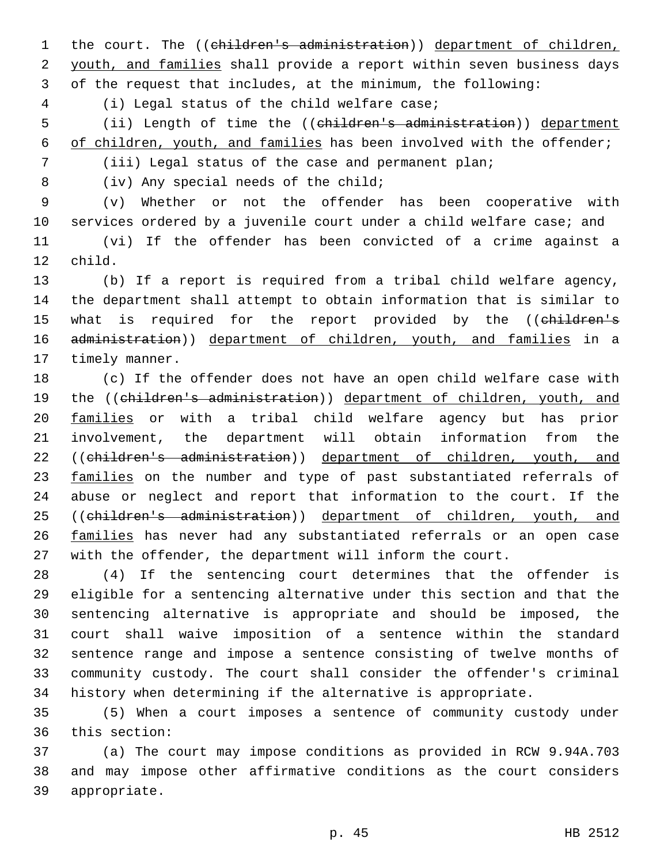1 the court. The ((children's administration)) department of children, 2 youth, and families shall provide a report within seven business days 3 of the request that includes, at the minimum, the following:

(i) Legal status of the child welfare case;4

5 (ii) Length of time the ((children's administration)) department 6 of children, youth, and families has been involved with the offender;

7 (iii) Legal status of the case and permanent plan;

8 (iv) Any special needs of the child;

 (v) Whether or not the offender has been cooperative with services ordered by a juvenile court under a child welfare case; and (vi) If the offender has been convicted of a crime against a 12 child.

13 (b) If a report is required from a tribal child welfare agency, 14 the department shall attempt to obtain information that is similar to 15 what is required for the report provided by the ((children's 16 administration)) department of children, youth, and families in a 17 timely manner.

18 (c) If the offender does not have an open child welfare case with 19 the ((children's administration)) department of children, youth, and 20 families or with a tribal child welfare agency but has prior 21 involvement, the department will obtain information from the 22 ((children's administration)) department of children, youth, and 23 families on the number and type of past substantiated referrals of 24 abuse or neglect and report that information to the court. If the 25 ((children's administration)) department of children, youth, and 26 families has never had any substantiated referrals or an open case 27 with the offender, the department will inform the court.

 (4) If the sentencing court determines that the offender is eligible for a sentencing alternative under this section and that the sentencing alternative is appropriate and should be imposed, the court shall waive imposition of a sentence within the standard sentence range and impose a sentence consisting of twelve months of community custody. The court shall consider the offender's criminal history when determining if the alternative is appropriate.

35 (5) When a court imposes a sentence of community custody under 36 this section:

37 (a) The court may impose conditions as provided in RCW 9.94A.703 38 and may impose other affirmative conditions as the court considers 39 appropriate.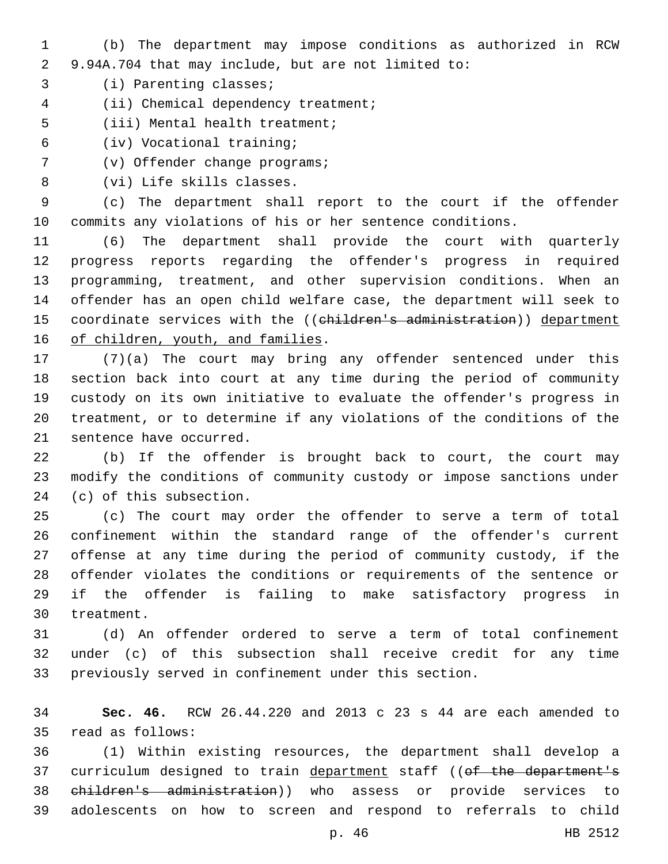- (b) The department may impose conditions as authorized in RCW 9.94A.704 that may include, but are not limited to:
- 3 (i) Parenting classes;
- 4 (ii) Chemical dependency treatment;
- 5 (iii) Mental health treatment;
- (iv) Vocational training;6
- 7 (v) Offender change programs;
- 8 (vi) Life skills classes.

 (c) The department shall report to the court if the offender commits any violations of his or her sentence conditions.

 (6) The department shall provide the court with quarterly progress reports regarding the offender's progress in required programming, treatment, and other supervision conditions. When an offender has an open child welfare case, the department will seek to 15 coordinate services with the ((children's administration)) department 16 of children, youth, and families.

 (7)(a) The court may bring any offender sentenced under this section back into court at any time during the period of community custody on its own initiative to evaluate the offender's progress in treatment, or to determine if any violations of the conditions of the 21 sentence have occurred.

 (b) If the offender is brought back to court, the court may modify the conditions of community custody or impose sanctions under 24 (c) of this subsection.

 (c) The court may order the offender to serve a term of total confinement within the standard range of the offender's current offense at any time during the period of community custody, if the offender violates the conditions or requirements of the sentence or if the offender is failing to make satisfactory progress in 30 treatment.

 (d) An offender ordered to serve a term of total confinement under (c) of this subsection shall receive credit for any time previously served in confinement under this section.

 **Sec. 46.** RCW 26.44.220 and 2013 c 23 s 44 are each amended to read as follows:35

 (1) Within existing resources, the department shall develop a 37 curriculum designed to train department staff ((of the department's children's administration)) who assess or provide services to adolescents on how to screen and respond to referrals to child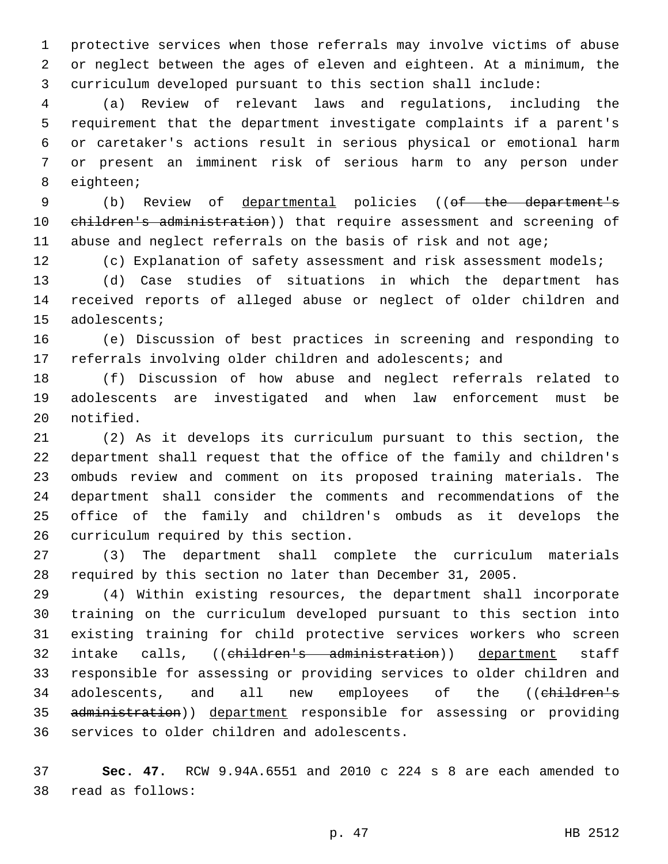protective services when those referrals may involve victims of abuse or neglect between the ages of eleven and eighteen. At a minimum, the curriculum developed pursuant to this section shall include:

 (a) Review of relevant laws and regulations, including the requirement that the department investigate complaints if a parent's or caretaker's actions result in serious physical or emotional harm or present an imminent risk of serious harm to any person under 8 eighteen;

 (b) Review of departmental policies ((of the department's 10 children's administration)) that require assessment and screening of abuse and neglect referrals on the basis of risk and not age;

(c) Explanation of safety assessment and risk assessment models;

 (d) Case studies of situations in which the department has received reports of alleged abuse or neglect of older children and 15 adolescents;

 (e) Discussion of best practices in screening and responding to referrals involving older children and adolescents; and

 (f) Discussion of how abuse and neglect referrals related to adolescents are investigated and when law enforcement must be 20 notified.

 (2) As it develops its curriculum pursuant to this section, the department shall request that the office of the family and children's ombuds review and comment on its proposed training materials. The department shall consider the comments and recommendations of the office of the family and children's ombuds as it develops the 26 curriculum required by this section.

 (3) The department shall complete the curriculum materials required by this section no later than December 31, 2005.

 (4) Within existing resources, the department shall incorporate training on the curriculum developed pursuant to this section into existing training for child protective services workers who screen 32 intake calls, ((children's administration)) department staff responsible for assessing or providing services to older children and 34 adolescents, and all new employees of the ((children's 35 administration)) department responsible for assessing or providing 36 services to older children and adolescents.

 **Sec. 47.** RCW 9.94A.6551 and 2010 c 224 s 8 are each amended to read as follows:38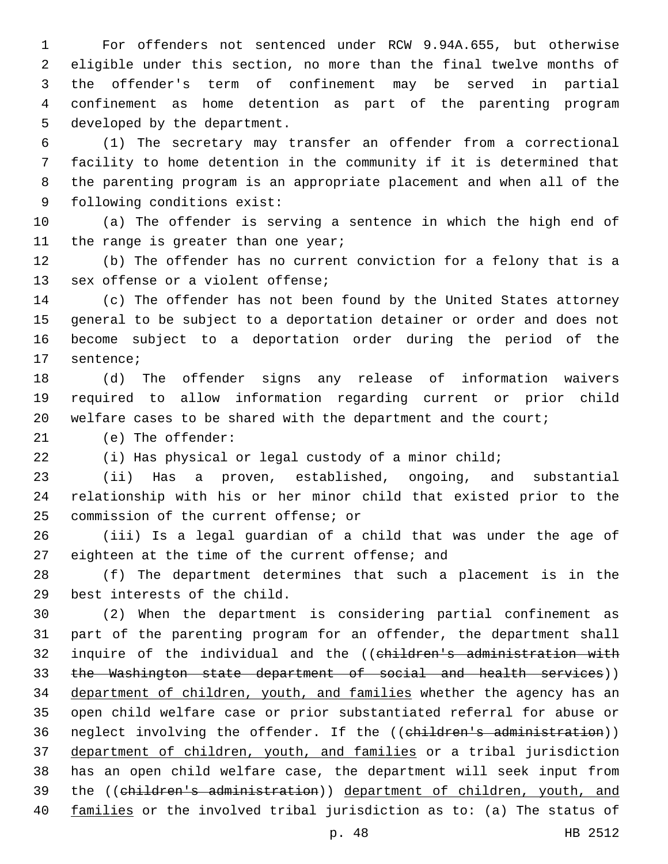For offenders not sentenced under RCW 9.94A.655, but otherwise eligible under this section, no more than the final twelve months of the offender's term of confinement may be served in partial confinement as home detention as part of the parenting program 5 developed by the department.

 (1) The secretary may transfer an offender from a correctional facility to home detention in the community if it is determined that the parenting program is an appropriate placement and when all of the 9 following conditions exist:

 (a) The offender is serving a sentence in which the high end of 11 the range is greater than one year;

 (b) The offender has no current conviction for a felony that is a 13 sex offense or a violent offense;

 (c) The offender has not been found by the United States attorney general to be subject to a deportation detainer or order and does not become subject to a deportation order during the period of the 17 sentence;

 (d) The offender signs any release of information waivers required to allow information regarding current or prior child welfare cases to be shared with the department and the court;

21 (e) The offender:

(i) Has physical or legal custody of a minor child;

 (ii) Has a proven, established, ongoing, and substantial relationship with his or her minor child that existed prior to the 25 commission of the current offense; or

 (iii) Is a legal guardian of a child that was under the age of 27 eighteen at the time of the current offense; and

 (f) The department determines that such a placement is in the 29 best interests of the child.

 (2) When the department is considering partial confinement as part of the parenting program for an offender, the department shall 32 inquire of the individual and the ((children's administration with 33 the Washington state department of social and health services)) 34 department of children, youth, and families whether the agency has an open child welfare case or prior substantiated referral for abuse or 36 neglect involving the offender. If the ((children's administration)) department of children, youth, and families or a tribal jurisdiction has an open child welfare case, the department will seek input from the ((children's administration)) department of children, youth, and families or the involved tribal jurisdiction as to: (a) The status of

p. 48 HB 2512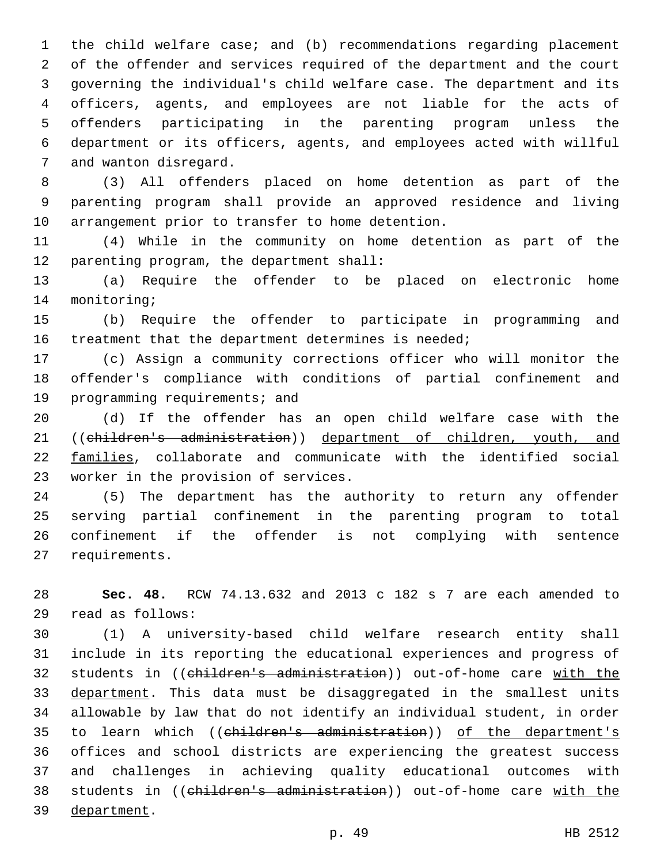the child welfare case; and (b) recommendations regarding placement of the offender and services required of the department and the court governing the individual's child welfare case. The department and its officers, agents, and employees are not liable for the acts of offenders participating in the parenting program unless the department or its officers, agents, and employees acted with willful 7 and wanton disregard.

 (3) All offenders placed on home detention as part of the parenting program shall provide an approved residence and living 10 arrangement prior to transfer to home detention.

 (4) While in the community on home detention as part of the 12 parenting program, the department shall:

 (a) Require the offender to be placed on electronic home 14 monitoring;

 (b) Require the offender to participate in programming and 16 treatment that the department determines is needed;

 (c) Assign a community corrections officer who will monitor the offender's compliance with conditions of partial confinement and 19 programming requirements; and

 (d) If the offender has an open child welfare case with the ((children's administration)) department of children, youth, and families, collaborate and communicate with the identified social 23 worker in the provision of services.

 (5) The department has the authority to return any offender serving partial confinement in the parenting program to total confinement if the offender is not complying with sentence 27 requirements.

 **Sec. 48.** RCW 74.13.632 and 2013 c 182 s 7 are each amended to read as follows:29

 (1) A university-based child welfare research entity shall include in its reporting the educational experiences and progress of students in ((children's administration)) out-of-home care with the 33 department. This data must be disaggregated in the smallest units allowable by law that do not identify an individual student, in order 35 to learn which ((children's administration)) of the department's offices and school districts are experiencing the greatest success and challenges in achieving quality educational outcomes with 38 students in ((children's administration)) out-of-home care with the 39 department.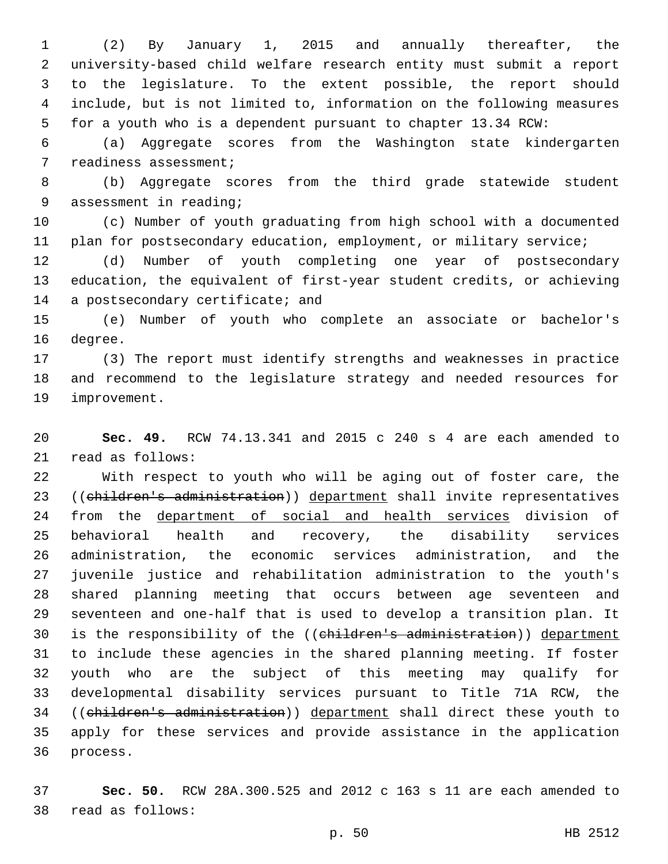(2) By January 1, 2015 and annually thereafter, the university-based child welfare research entity must submit a report to the legislature. To the extent possible, the report should include, but is not limited to, information on the following measures for a youth who is a dependent pursuant to chapter 13.34 RCW:

 (a) Aggregate scores from the Washington state kindergarten 7 readiness assessment;

 (b) Aggregate scores from the third grade statewide student 9 assessment in reading;

 (c) Number of youth graduating from high school with a documented 11 plan for postsecondary education, employment, or military service;

 (d) Number of youth completing one year of postsecondary education, the equivalent of first-year student credits, or achieving 14 a postsecondary certificate; and

 (e) Number of youth who complete an associate or bachelor's 16 degree.

 (3) The report must identify strengths and weaknesses in practice and recommend to the legislature strategy and needed resources for 19 improvement.

 **Sec. 49.** RCW 74.13.341 and 2015 c 240 s 4 are each amended to 21 read as follows:

 With respect to youth who will be aging out of foster care, the 23 ((children's administration)) department shall invite representatives 24 from the department of social and health services division of behavioral health and recovery, the disability services administration, the economic services administration, and the juvenile justice and rehabilitation administration to the youth's shared planning meeting that occurs between age seventeen and seventeen and one-half that is used to develop a transition plan. It 30 is the responsibility of the ((children's administration)) department to include these agencies in the shared planning meeting. If foster youth who are the subject of this meeting may qualify for developmental disability services pursuant to Title 71A RCW, the ((children's administration)) department shall direct these youth to apply for these services and provide assistance in the application 36 process.

 **Sec. 50.** RCW 28A.300.525 and 2012 c 163 s 11 are each amended to 38 read as follows: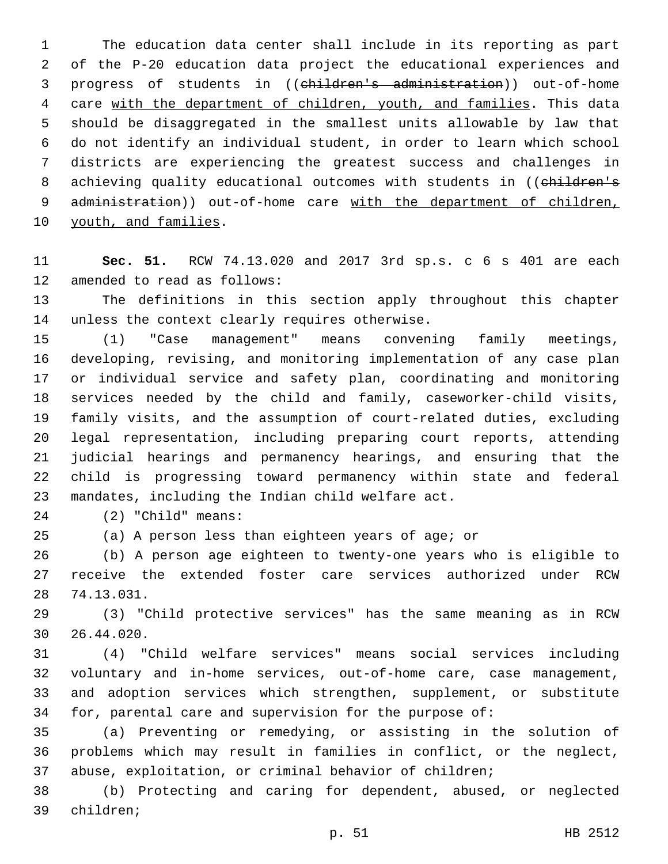The education data center shall include in its reporting as part of the P-20 education data project the educational experiences and progress of students in ((children's administration)) out-of-home care with the department of children, youth, and families. This data should be disaggregated in the smallest units allowable by law that do not identify an individual student, in order to learn which school districts are experiencing the greatest success and challenges in 8 achieving quality educational outcomes with students in ((children's 9 administration)) out-of-home care with the department of children, 10 youth, and families.

 **Sec. 51.** RCW 74.13.020 and 2017 3rd sp.s. c 6 s 401 are each 12 amended to read as follows:

 The definitions in this section apply throughout this chapter 14 unless the context clearly requires otherwise.

 (1) "Case management" means convening family meetings, developing, revising, and monitoring implementation of any case plan or individual service and safety plan, coordinating and monitoring services needed by the child and family, caseworker-child visits, family visits, and the assumption of court-related duties, excluding legal representation, including preparing court reports, attending judicial hearings and permanency hearings, and ensuring that the child is progressing toward permanency within state and federal 23 mandates, including the Indian child welfare act.

(2) "Child" means:24

(a) A person less than eighteen years of age; or

 (b) A person age eighteen to twenty-one years who is eligible to receive the extended foster care services authorized under RCW 74.13.031.28

 (3) "Child protective services" has the same meaning as in RCW 26.44.020.30

 (4) "Child welfare services" means social services including voluntary and in-home services, out-of-home care, case management, and adoption services which strengthen, supplement, or substitute for, parental care and supervision for the purpose of:

 (a) Preventing or remedying, or assisting in the solution of problems which may result in families in conflict, or the neglect, abuse, exploitation, or criminal behavior of children;

 (b) Protecting and caring for dependent, abused, or neglected 39 children;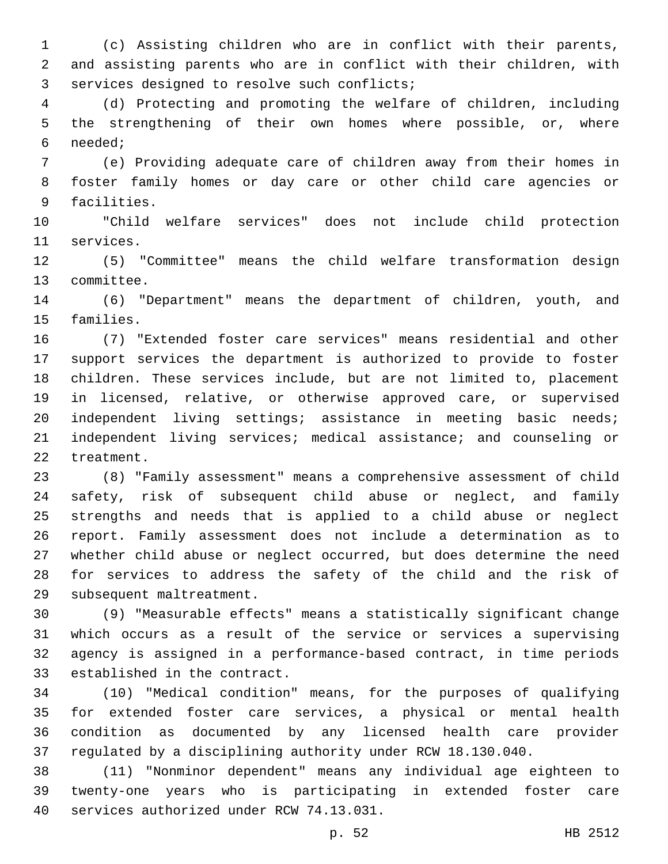(c) Assisting children who are in conflict with their parents, and assisting parents who are in conflict with their children, with 3 services designed to resolve such conflicts;

 (d) Protecting and promoting the welfare of children, including the strengthening of their own homes where possible, or, where needed;6

 (e) Providing adequate care of children away from their homes in foster family homes or day care or other child care agencies or 9 facilities.

 "Child welfare services" does not include child protection 11 services.

 (5) "Committee" means the child welfare transformation design 13 committee.

 (6) "Department" means the department of children, youth, and 15 families.

 (7) "Extended foster care services" means residential and other support services the department is authorized to provide to foster children. These services include, but are not limited to, placement in licensed, relative, or otherwise approved care, or supervised independent living settings; assistance in meeting basic needs; independent living services; medical assistance; and counseling or 22 treatment.

 (8) "Family assessment" means a comprehensive assessment of child safety, risk of subsequent child abuse or neglect, and family strengths and needs that is applied to a child abuse or neglect report. Family assessment does not include a determination as to whether child abuse or neglect occurred, but does determine the need for services to address the safety of the child and the risk of 29 subsequent maltreatment.

 (9) "Measurable effects" means a statistically significant change which occurs as a result of the service or services a supervising agency is assigned in a performance-based contract, in time periods 33 established in the contract.

 (10) "Medical condition" means, for the purposes of qualifying for extended foster care services, a physical or mental health condition as documented by any licensed health care provider regulated by a disciplining authority under RCW 18.130.040.

 (11) "Nonminor dependent" means any individual age eighteen to twenty-one years who is participating in extended foster care 40 services authorized under RCW 74.13.031.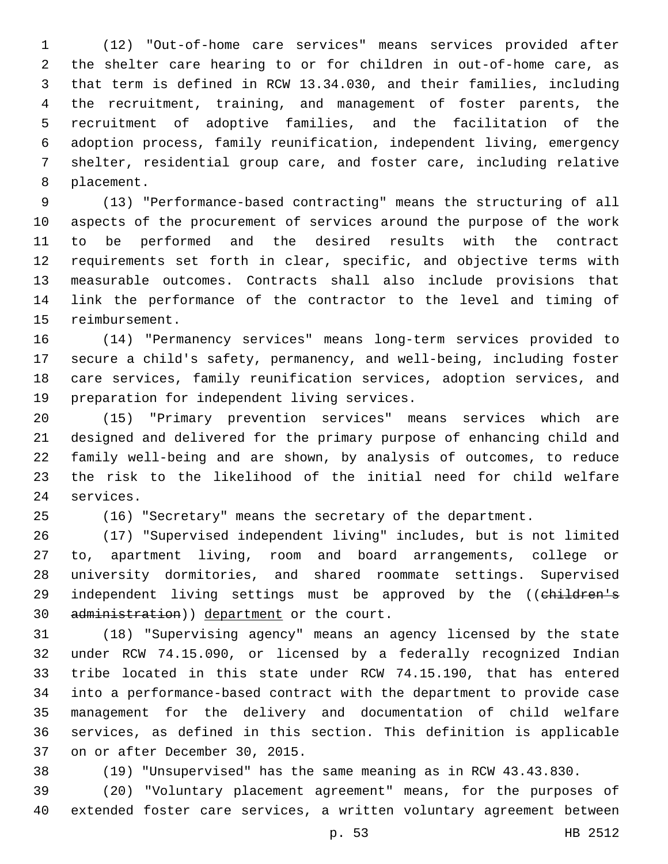(12) "Out-of-home care services" means services provided after the shelter care hearing to or for children in out-of-home care, as that term is defined in RCW 13.34.030, and their families, including the recruitment, training, and management of foster parents, the recruitment of adoptive families, and the facilitation of the adoption process, family reunification, independent living, emergency shelter, residential group care, and foster care, including relative 8 placement.

 (13) "Performance-based contracting" means the structuring of all aspects of the procurement of services around the purpose of the work to be performed and the desired results with the contract requirements set forth in clear, specific, and objective terms with measurable outcomes. Contracts shall also include provisions that link the performance of the contractor to the level and timing of 15 reimbursement.

 (14) "Permanency services" means long-term services provided to secure a child's safety, permanency, and well-being, including foster care services, family reunification services, adoption services, and 19 preparation for independent living services.

 (15) "Primary prevention services" means services which are designed and delivered for the primary purpose of enhancing child and family well-being and are shown, by analysis of outcomes, to reduce the risk to the likelihood of the initial need for child welfare 24 services.

(16) "Secretary" means the secretary of the department.

 (17) "Supervised independent living" includes, but is not limited to, apartment living, room and board arrangements, college or university dormitories, and shared roommate settings. Supervised 29 independent living settings must be approved by the ((children's 30 administration)) department or the court.

 (18) "Supervising agency" means an agency licensed by the state under RCW 74.15.090, or licensed by a federally recognized Indian tribe located in this state under RCW 74.15.190, that has entered into a performance-based contract with the department to provide case management for the delivery and documentation of child welfare services, as defined in this section. This definition is applicable 37 on or after December 30, 2015.

(19) "Unsupervised" has the same meaning as in RCW 43.43.830.

 (20) "Voluntary placement agreement" means, for the purposes of extended foster care services, a written voluntary agreement between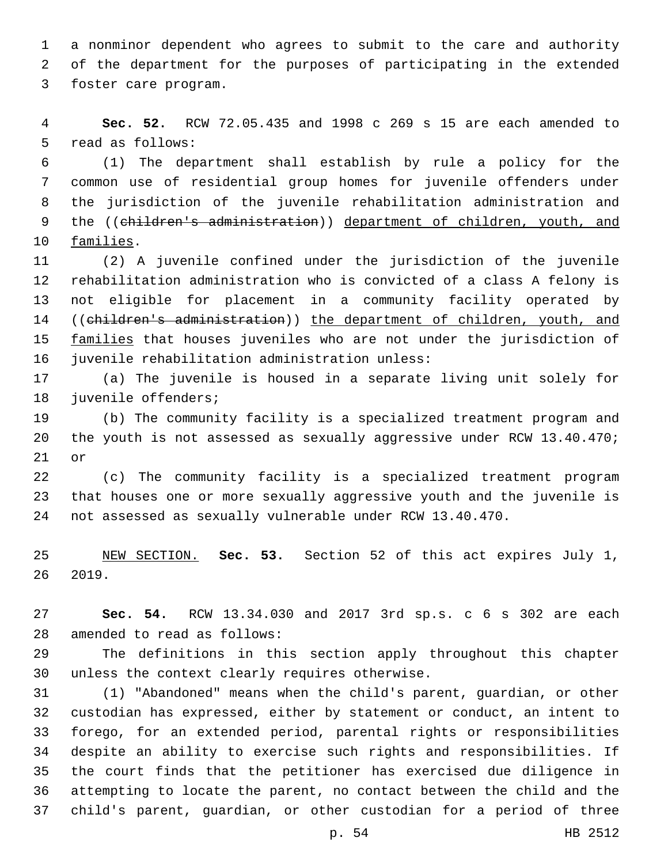a nonminor dependent who agrees to submit to the care and authority of the department for the purposes of participating in the extended 3 foster care program.

 **Sec. 52.** RCW 72.05.435 and 1998 c 269 s 15 are each amended to 5 read as follows:

 (1) The department shall establish by rule a policy for the common use of residential group homes for juvenile offenders under the jurisdiction of the juvenile rehabilitation administration and 9 the ((children's administration)) department of children, youth, and 10 families.

 (2) A juvenile confined under the jurisdiction of the juvenile rehabilitation administration who is convicted of a class A felony is not eligible for placement in a community facility operated by ((children's administration)) the department of children, youth, and 15 families that houses juveniles who are not under the jurisdiction of 16 juvenile rehabilitation administration unless:

 (a) The juvenile is housed in a separate living unit solely for 18 juvenile offenders;

 (b) The community facility is a specialized treatment program and the youth is not assessed as sexually aggressive under RCW 13.40.470; or

 (c) The community facility is a specialized treatment program that houses one or more sexually aggressive youth and the juvenile is not assessed as sexually vulnerable under RCW 13.40.470.

 NEW SECTION. **Sec. 53.** Section 52 of this act expires July 1, 2019.

 **Sec. 54.** RCW 13.34.030 and 2017 3rd sp.s. c 6 s 302 are each 28 amended to read as follows:

 The definitions in this section apply throughout this chapter 30 unless the context clearly requires otherwise.

 (1) "Abandoned" means when the child's parent, guardian, or other custodian has expressed, either by statement or conduct, an intent to forego, for an extended period, parental rights or responsibilities despite an ability to exercise such rights and responsibilities. If the court finds that the petitioner has exercised due diligence in attempting to locate the parent, no contact between the child and the child's parent, guardian, or other custodian for a period of three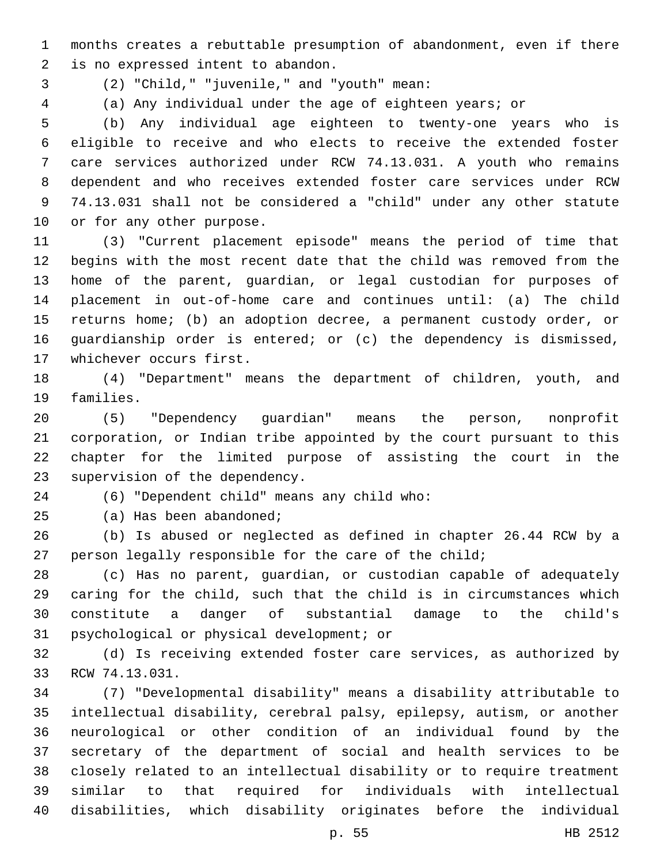months creates a rebuttable presumption of abandonment, even if there 2 is no expressed intent to abandon.

- (2) "Child," "juvenile," and "youth" mean:3
- 

(a) Any individual under the age of eighteen years; or

 (b) Any individual age eighteen to twenty-one years who is eligible to receive and who elects to receive the extended foster care services authorized under RCW 74.13.031. A youth who remains dependent and who receives extended foster care services under RCW 74.13.031 shall not be considered a "child" under any other statute 10 or for any other purpose.

 (3) "Current placement episode" means the period of time that begins with the most recent date that the child was removed from the home of the parent, guardian, or legal custodian for purposes of placement in out-of-home care and continues until: (a) The child returns home; (b) an adoption decree, a permanent custody order, or guardianship order is entered; or (c) the dependency is dismissed, 17 whichever occurs first.

 (4) "Department" means the department of children, youth, and 19 families.

 (5) "Dependency guardian" means the person, nonprofit corporation, or Indian tribe appointed by the court pursuant to this chapter for the limited purpose of assisting the court in the 23 supervision of the dependency.

(6) "Dependent child" means any child who:24

25 (a) Has been abandoned;

 (b) Is abused or neglected as defined in chapter 26.44 RCW by a 27 person legally responsible for the care of the child;

 (c) Has no parent, guardian, or custodian capable of adequately caring for the child, such that the child is in circumstances which constitute a danger of substantial damage to the child's 31 psychological or physical development; or

 (d) Is receiving extended foster care services, as authorized by 33 RCW 74.13.031.

 (7) "Developmental disability" means a disability attributable to intellectual disability, cerebral palsy, epilepsy, autism, or another neurological or other condition of an individual found by the secretary of the department of social and health services to be closely related to an intellectual disability or to require treatment similar to that required for individuals with intellectual disabilities, which disability originates before the individual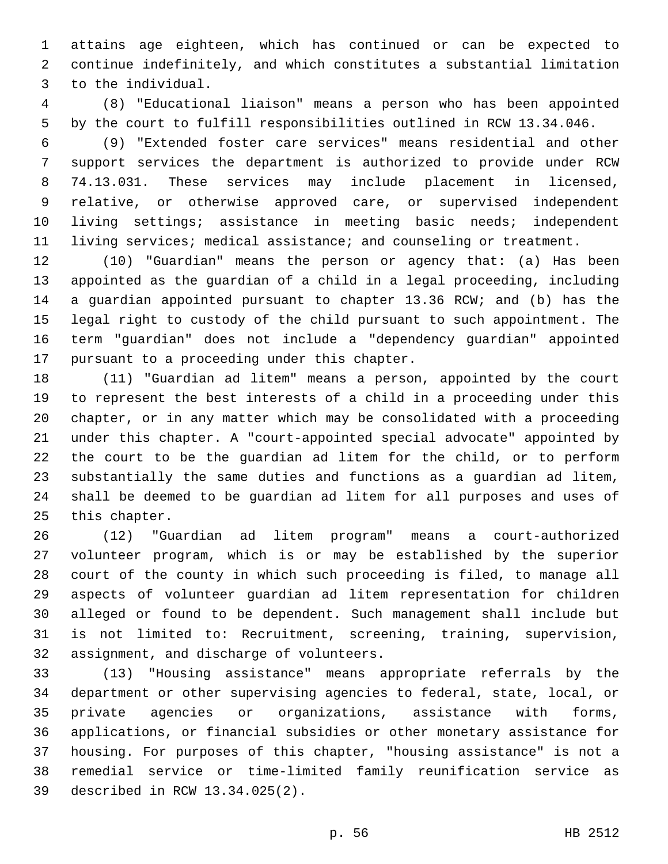attains age eighteen, which has continued or can be expected to continue indefinitely, and which constitutes a substantial limitation 3 to the individual.

 (8) "Educational liaison" means a person who has been appointed by the court to fulfill responsibilities outlined in RCW 13.34.046.

 (9) "Extended foster care services" means residential and other support services the department is authorized to provide under RCW 74.13.031. These services may include placement in licensed, relative, or otherwise approved care, or supervised independent living settings; assistance in meeting basic needs; independent living services; medical assistance; and counseling or treatment.

 (10) "Guardian" means the person or agency that: (a) Has been appointed as the guardian of a child in a legal proceeding, including a guardian appointed pursuant to chapter 13.36 RCW; and (b) has the legal right to custody of the child pursuant to such appointment. The term "guardian" does not include a "dependency guardian" appointed 17 pursuant to a proceeding under this chapter.

 (11) "Guardian ad litem" means a person, appointed by the court to represent the best interests of a child in a proceeding under this chapter, or in any matter which may be consolidated with a proceeding under this chapter. A "court-appointed special advocate" appointed by the court to be the guardian ad litem for the child, or to perform substantially the same duties and functions as a guardian ad litem, shall be deemed to be guardian ad litem for all purposes and uses of 25 this chapter.

 (12) "Guardian ad litem program" means a court-authorized volunteer program, which is or may be established by the superior court of the county in which such proceeding is filed, to manage all aspects of volunteer guardian ad litem representation for children alleged or found to be dependent. Such management shall include but is not limited to: Recruitment, screening, training, supervision, 32 assignment, and discharge of volunteers.

 (13) "Housing assistance" means appropriate referrals by the department or other supervising agencies to federal, state, local, or private agencies or organizations, assistance with forms, applications, or financial subsidies or other monetary assistance for housing. For purposes of this chapter, "housing assistance" is not a remedial service or time-limited family reunification service as described in RCW 13.34.025(2).39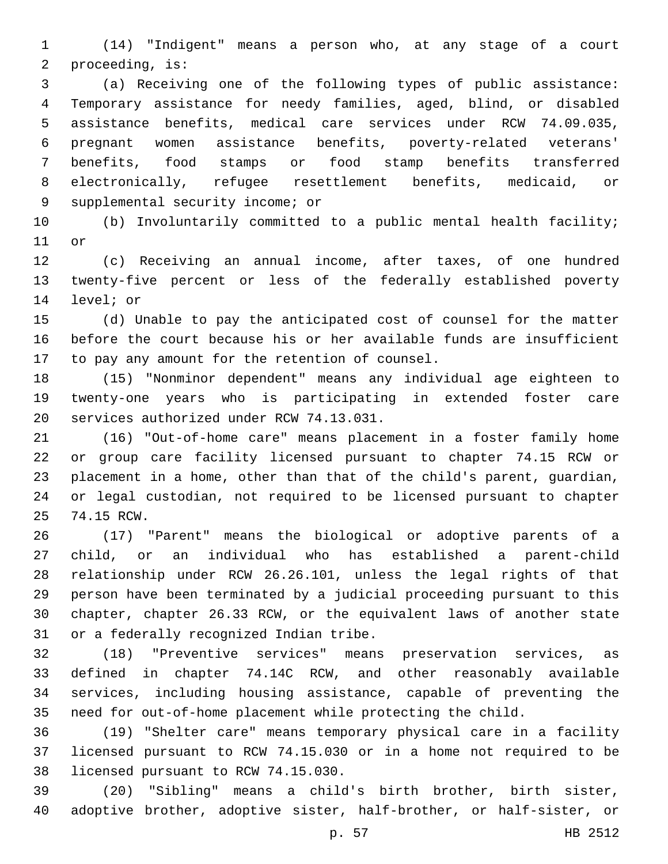(14) "Indigent" means a person who, at any stage of a court 2 proceeding, is:

 (a) Receiving one of the following types of public assistance: Temporary assistance for needy families, aged, blind, or disabled assistance benefits, medical care services under RCW 74.09.035, pregnant women assistance benefits, poverty-related veterans' benefits, food stamps or food stamp benefits transferred electronically, refugee resettlement benefits, medicaid, or 9 supplemental security income; or

 (b) Involuntarily committed to a public mental health facility; 11 or

 (c) Receiving an annual income, after taxes, of one hundred twenty-five percent or less of the federally established poverty 14 level; or

 (d) Unable to pay the anticipated cost of counsel for the matter before the court because his or her available funds are insufficient 17 to pay any amount for the retention of counsel.

 (15) "Nonminor dependent" means any individual age eighteen to twenty-one years who is participating in extended foster care 20 services authorized under RCW 74.13.031.

 (16) "Out-of-home care" means placement in a foster family home or group care facility licensed pursuant to chapter 74.15 RCW or placement in a home, other than that of the child's parent, guardian, or legal custodian, not required to be licensed pursuant to chapter 25 74.15 RCW.

 (17) "Parent" means the biological or adoptive parents of a child, or an individual who has established a parent-child relationship under RCW 26.26.101, unless the legal rights of that person have been terminated by a judicial proceeding pursuant to this chapter, chapter 26.33 RCW, or the equivalent laws of another state 31 or a federally recognized Indian tribe.

 (18) "Preventive services" means preservation services, as defined in chapter 74.14C RCW, and other reasonably available services, including housing assistance, capable of preventing the need for out-of-home placement while protecting the child.

 (19) "Shelter care" means temporary physical care in a facility licensed pursuant to RCW 74.15.030 or in a home not required to be 38 licensed pursuant to RCW 74.15.030.

 (20) "Sibling" means a child's birth brother, birth sister, adoptive brother, adoptive sister, half-brother, or half-sister, or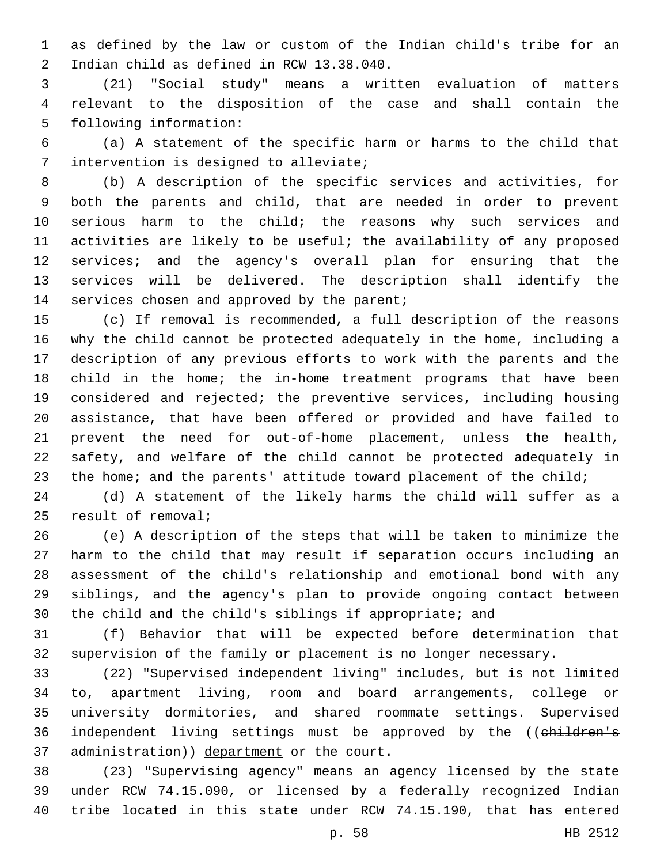as defined by the law or custom of the Indian child's tribe for an 2 Indian child as defined in RCW 13.38.040.

 (21) "Social study" means a written evaluation of matters relevant to the disposition of the case and shall contain the 5 following information:

 (a) A statement of the specific harm or harms to the child that 7 intervention is designed to alleviate;

 (b) A description of the specific services and activities, for both the parents and child, that are needed in order to prevent serious harm to the child; the reasons why such services and activities are likely to be useful; the availability of any proposed services; and the agency's overall plan for ensuring that the services will be delivered. The description shall identify the 14 services chosen and approved by the parent;

 (c) If removal is recommended, a full description of the reasons why the child cannot be protected adequately in the home, including a description of any previous efforts to work with the parents and the child in the home; the in-home treatment programs that have been considered and rejected; the preventive services, including housing assistance, that have been offered or provided and have failed to prevent the need for out-of-home placement, unless the health, safety, and welfare of the child cannot be protected adequately in 23 the home; and the parents' attitude toward placement of the child;

 (d) A statement of the likely harms the child will suffer as a 25 result of removal;

 (e) A description of the steps that will be taken to minimize the harm to the child that may result if separation occurs including an assessment of the child's relationship and emotional bond with any siblings, and the agency's plan to provide ongoing contact between the child and the child's siblings if appropriate; and

 (f) Behavior that will be expected before determination that supervision of the family or placement is no longer necessary.

 (22) "Supervised independent living" includes, but is not limited to, apartment living, room and board arrangements, college or university dormitories, and shared roommate settings. Supervised 36 independent living settings must be approved by the ((children's 37 administration)) department or the court.

 (23) "Supervising agency" means an agency licensed by the state under RCW 74.15.090, or licensed by a federally recognized Indian tribe located in this state under RCW 74.15.190, that has entered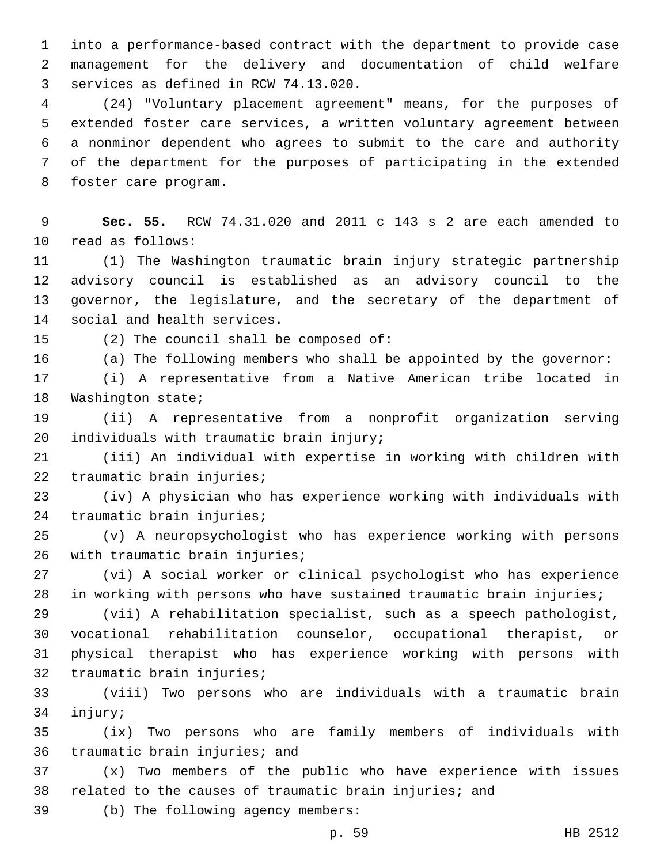into a performance-based contract with the department to provide case management for the delivery and documentation of child welfare 3 services as defined in RCW 74.13.020.

 (24) "Voluntary placement agreement" means, for the purposes of extended foster care services, a written voluntary agreement between a nonminor dependent who agrees to submit to the care and authority of the department for the purposes of participating in the extended 8 foster care program.

 **Sec. 55.** RCW 74.31.020 and 2011 c 143 s 2 are each amended to 10 read as follows:

 (1) The Washington traumatic brain injury strategic partnership advisory council is established as an advisory council to the governor, the legislature, and the secretary of the department of 14 social and health services.

(2) The council shall be composed of:

(a) The following members who shall be appointed by the governor:

 (i) A representative from a Native American tribe located in 18 Washington state;

 (ii) A representative from a nonprofit organization serving 20 individuals with traumatic brain injury;

 (iii) An individual with expertise in working with children with 22 traumatic brain injuries;

 (iv) A physician who has experience working with individuals with 24 traumatic brain injuries;

 (v) A neuropsychologist who has experience working with persons 26 with traumatic brain injuries;

 (vi) A social worker or clinical psychologist who has experience in working with persons who have sustained traumatic brain injuries;

 (vii) A rehabilitation specialist, such as a speech pathologist, vocational rehabilitation counselor, occupational therapist, or physical therapist who has experience working with persons with 32 traumatic brain injuries;

 (viii) Two persons who are individuals with a traumatic brain 34 injury;

 (ix) Two persons who are family members of individuals with 36 traumatic brain injuries; and

 (x) Two members of the public who have experience with issues 38 related to the causes of traumatic brain injuries; and

39 (b) The following agency members: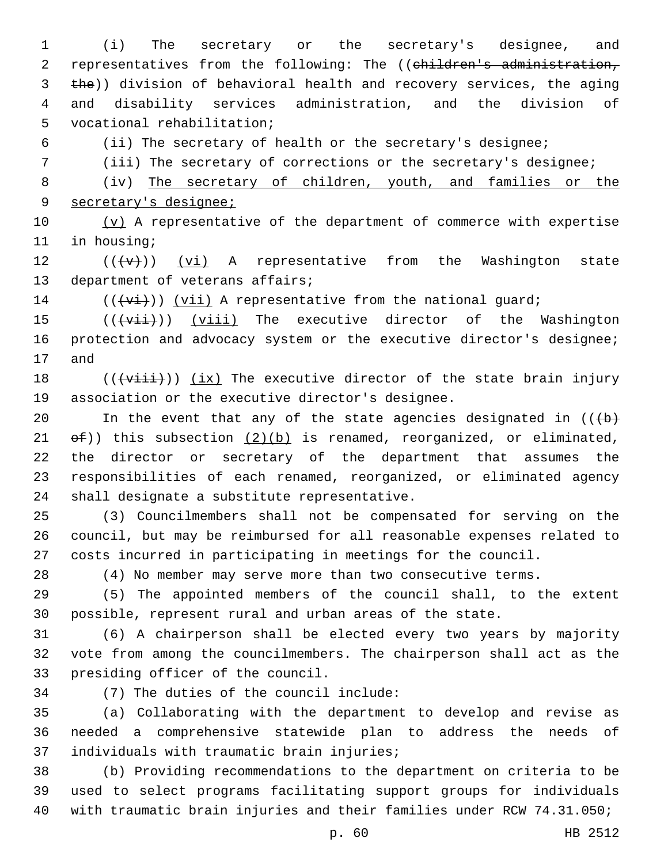(i) The secretary or the secretary's designee, and 2 representatives from the following: The ((children's administration, 3 the)) division of behavioral health and recovery services, the aging and disability services administration, and the division of 5 vocational rehabilitation;

(ii) The secretary of health or the secretary's designee;

(iii) The secretary of corrections or the secretary's designee;

 (iv) The secretary of children, youth, and families or the secretary's designee;

 $(v)$  A representative of the department of commerce with expertise 11 in housing;

12  $((\lbrace v \rbrace))$  (vi) A representative from the Washington state 13 department of veterans affairs;

(( $\overline{(+v\textbf{i})}$ ) ( $\overline{v\textbf{i}}$ ) A representative from the national guard;

 $((\overline{\text{viii}}))$  (viii) The executive director of the Washington 16 protection and advocacy system or the executive director's designee; 17 and

 $((\overline{\text{visit}}))$  (ix) The executive director of the state brain injury 19 association or the executive director's designee.

20 In the event that any of the state agencies designated in  $((+b)^2)$ 21  $\Theta$  ( $\Theta$ )) this subsection  $(2)(b)$  is renamed, reorganized, or eliminated, the director or secretary of the department that assumes the responsibilities of each renamed, reorganized, or eliminated agency 24 shall designate a substitute representative.

 (3) Councilmembers shall not be compensated for serving on the council, but may be reimbursed for all reasonable expenses related to costs incurred in participating in meetings for the council.

(4) No member may serve more than two consecutive terms.

 (5) The appointed members of the council shall, to the extent possible, represent rural and urban areas of the state.

 (6) A chairperson shall be elected every two years by majority vote from among the councilmembers. The chairperson shall act as the 33 presiding officer of the council.

(7) The duties of the council include:34

 (a) Collaborating with the department to develop and revise as needed a comprehensive statewide plan to address the needs of 37 individuals with traumatic brain injuries;

 (b) Providing recommendations to the department on criteria to be used to select programs facilitating support groups for individuals with traumatic brain injuries and their families under RCW 74.31.050;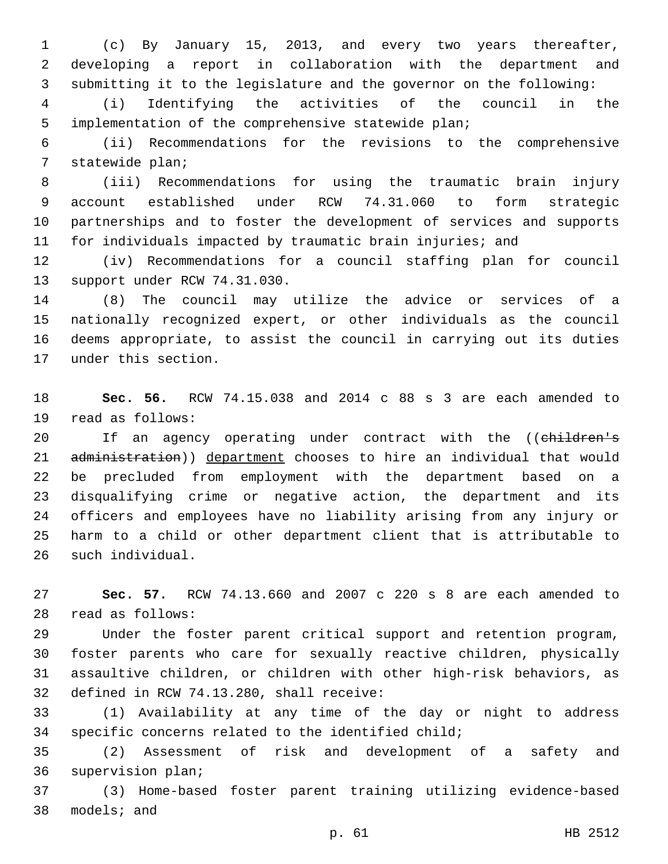(c) By January 15, 2013, and every two years thereafter, developing a report in collaboration with the department and submitting it to the legislature and the governor on the following:

 (i) Identifying the activities of the council in the implementation of the comprehensive statewide plan;

 (ii) Recommendations for the revisions to the comprehensive 7 statewide plan;

 (iii) Recommendations for using the traumatic brain injury account established under RCW 74.31.060 to form strategic partnerships and to foster the development of services and supports for individuals impacted by traumatic brain injuries; and

 (iv) Recommendations for a council staffing plan for council 13 support under RCW 74.31.030.

 (8) The council may utilize the advice or services of a nationally recognized expert, or other individuals as the council deems appropriate, to assist the council in carrying out its duties 17 under this section.

 **Sec. 56.** RCW 74.15.038 and 2014 c 88 s 3 are each amended to 19 read as follows:

20 If an agency operating under contract with the ((children's 21 administration)) department chooses to hire an individual that would be precluded from employment with the department based on a disqualifying crime or negative action, the department and its officers and employees have no liability arising from any injury or harm to a child or other department client that is attributable to 26 such individual.

 **Sec. 57.** RCW 74.13.660 and 2007 c 220 s 8 are each amended to 28 read as follows:

 Under the foster parent critical support and retention program, foster parents who care for sexually reactive children, physically assaultive children, or children with other high-risk behaviors, as 32 defined in RCW 74.13.280, shall receive:

 (1) Availability at any time of the day or night to address specific concerns related to the identified child;

 (2) Assessment of risk and development of a safety and 36 supervision plan;

 (3) Home-based foster parent training utilizing evidence-based 38 models; and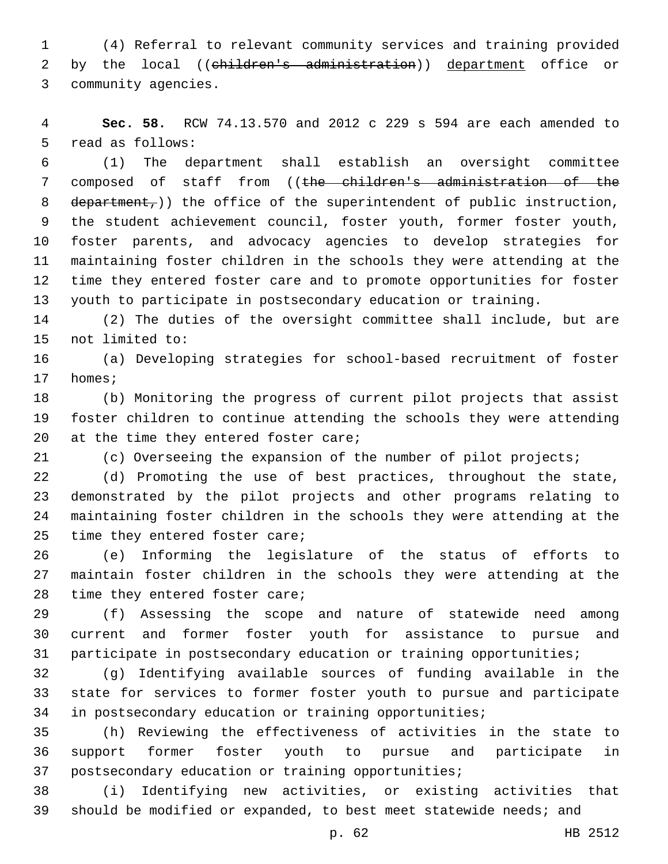(4) Referral to relevant community services and training provided 2 by the local ((children's administration)) department office or 3 community agencies.

 **Sec. 58.** RCW 74.13.570 and 2012 c 229 s 594 are each amended to 5 read as follows:

 (1) The department shall establish an oversight committee composed of staff from ((the children's administration of the 8 department,)) the office of the superintendent of public instruction, the student achievement council, foster youth, former foster youth, foster parents, and advocacy agencies to develop strategies for maintaining foster children in the schools they were attending at the time they entered foster care and to promote opportunities for foster youth to participate in postsecondary education or training.

 (2) The duties of the oversight committee shall include, but are 15 not limited to:

 (a) Developing strategies for school-based recruitment of foster 17 homes;

 (b) Monitoring the progress of current pilot projects that assist foster children to continue attending the schools they were attending 20  $at$  the time they entered foster care;

(c) Overseeing the expansion of the number of pilot projects;

 (d) Promoting the use of best practices, throughout the state, demonstrated by the pilot projects and other programs relating to maintaining foster children in the schools they were attending at the 25 time they entered foster care;

 (e) Informing the legislature of the status of efforts to maintain foster children in the schools they were attending at the 28 time they entered foster care;

 (f) Assessing the scope and nature of statewide need among current and former foster youth for assistance to pursue and participate in postsecondary education or training opportunities;

 (g) Identifying available sources of funding available in the state for services to former foster youth to pursue and participate in postsecondary education or training opportunities;

 (h) Reviewing the effectiveness of activities in the state to support former foster youth to pursue and participate in postsecondary education or training opportunities;

 (i) Identifying new activities, or existing activities that should be modified or expanded, to best meet statewide needs; and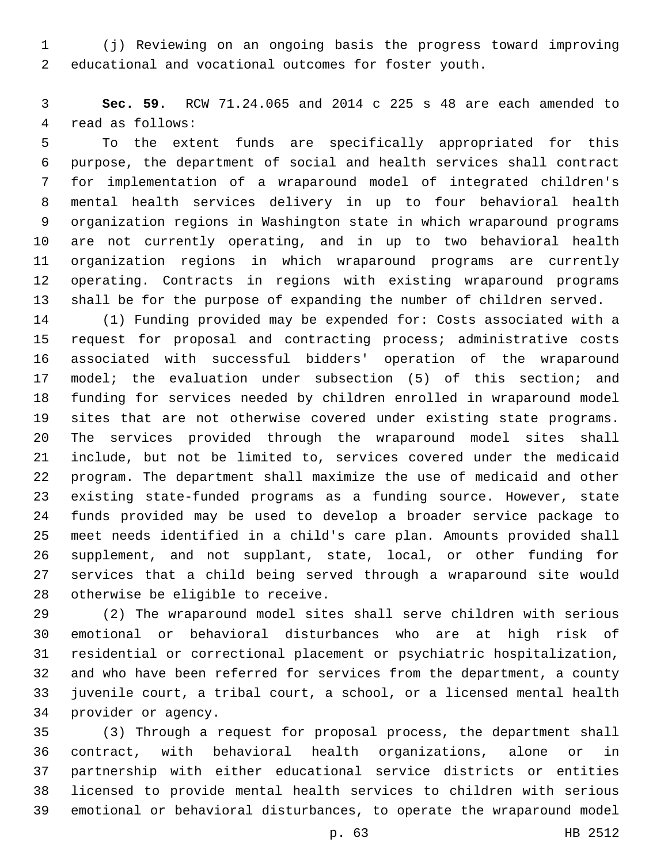(j) Reviewing on an ongoing basis the progress toward improving educational and vocational outcomes for foster youth.

 **Sec. 59.** RCW 71.24.065 and 2014 c 225 s 48 are each amended to 4 read as follows:

 To the extent funds are specifically appropriated for this purpose, the department of social and health services shall contract for implementation of a wraparound model of integrated children's mental health services delivery in up to four behavioral health organization regions in Washington state in which wraparound programs are not currently operating, and in up to two behavioral health organization regions in which wraparound programs are currently operating. Contracts in regions with existing wraparound programs shall be for the purpose of expanding the number of children served.

 (1) Funding provided may be expended for: Costs associated with a request for proposal and contracting process; administrative costs associated with successful bidders' operation of the wraparound model; the evaluation under subsection (5) of this section; and funding for services needed by children enrolled in wraparound model sites that are not otherwise covered under existing state programs. The services provided through the wraparound model sites shall include, but not be limited to, services covered under the medicaid program. The department shall maximize the use of medicaid and other existing state-funded programs as a funding source. However, state funds provided may be used to develop a broader service package to meet needs identified in a child's care plan. Amounts provided shall supplement, and not supplant, state, local, or other funding for services that a child being served through a wraparound site would 28 otherwise be eligible to receive.

 (2) The wraparound model sites shall serve children with serious emotional or behavioral disturbances who are at high risk of residential or correctional placement or psychiatric hospitalization, and who have been referred for services from the department, a county juvenile court, a tribal court, a school, or a licensed mental health 34 provider or agency.

 (3) Through a request for proposal process, the department shall contract, with behavioral health organizations, alone or in partnership with either educational service districts or entities licensed to provide mental health services to children with serious emotional or behavioral disturbances, to operate the wraparound model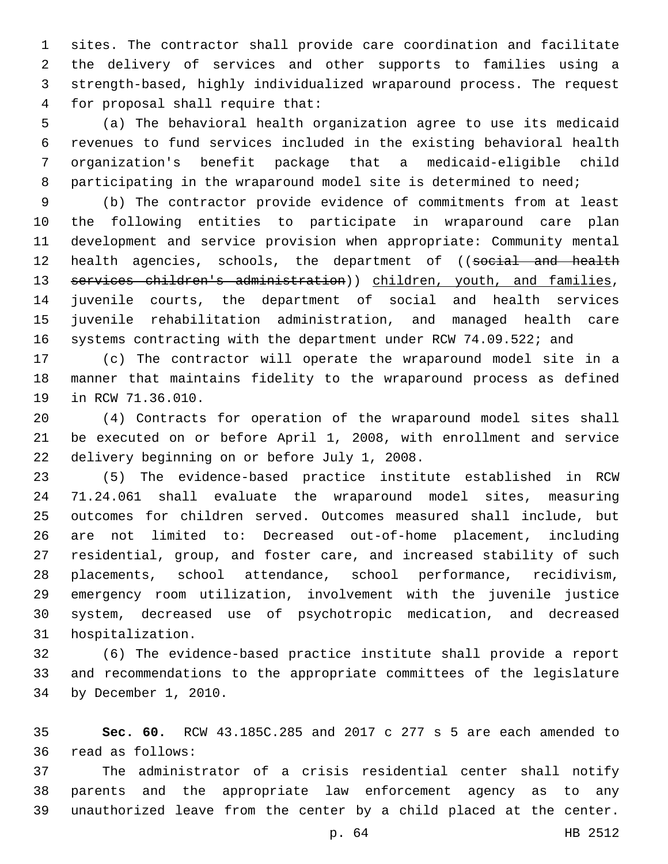sites. The contractor shall provide care coordination and facilitate the delivery of services and other supports to families using a strength-based, highly individualized wraparound process. The request for proposal shall require that:4

 (a) The behavioral health organization agree to use its medicaid revenues to fund services included in the existing behavioral health organization's benefit package that a medicaid-eligible child 8 participating in the wraparound model site is determined to need;

 (b) The contractor provide evidence of commitments from at least the following entities to participate in wraparound care plan development and service provision when appropriate: Community mental 12 health agencies, schools, the department of ((social and health 13 services children's administration)) children, youth, and families, juvenile courts, the department of social and health services juvenile rehabilitation administration, and managed health care 16 systems contracting with the department under RCW 74.09.522; and

 (c) The contractor will operate the wraparound model site in a manner that maintains fidelity to the wraparound process as defined 19 in RCW 71.36.010.

 (4) Contracts for operation of the wraparound model sites shall be executed on or before April 1, 2008, with enrollment and service 22 delivery beginning on or before July 1, 2008.

 (5) The evidence-based practice institute established in RCW 71.24.061 shall evaluate the wraparound model sites, measuring outcomes for children served. Outcomes measured shall include, but are not limited to: Decreased out-of-home placement, including residential, group, and foster care, and increased stability of such placements, school attendance, school performance, recidivism, emergency room utilization, involvement with the juvenile justice system, decreased use of psychotropic medication, and decreased 31 hospitalization.

 (6) The evidence-based practice institute shall provide a report and recommendations to the appropriate committees of the legislature 34 by December 1, 2010.

 **Sec. 60.** RCW 43.185C.285 and 2017 c 277 s 5 are each amended to read as follows:36

 The administrator of a crisis residential center shall notify parents and the appropriate law enforcement agency as to any unauthorized leave from the center by a child placed at the center.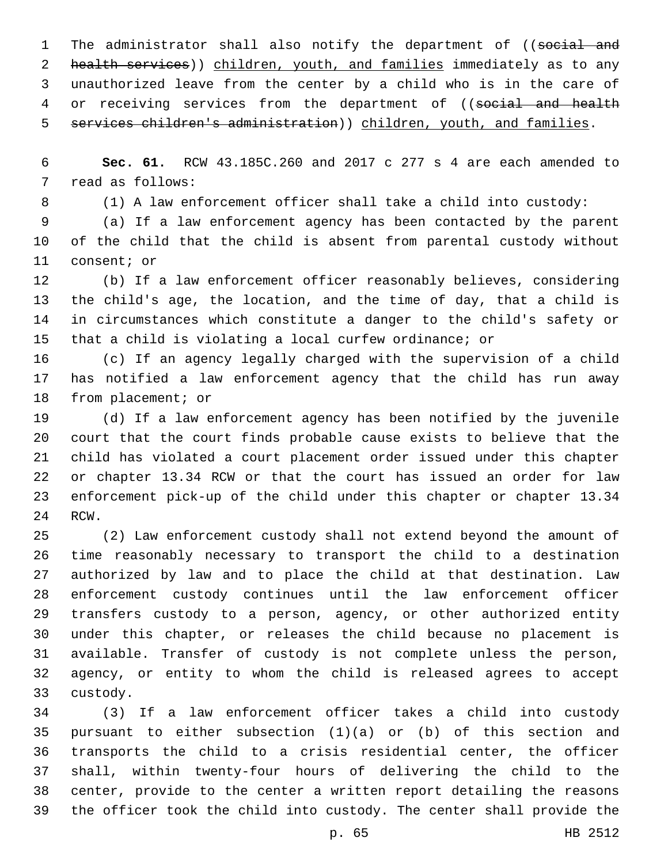1 The administrator shall also notify the department of ((social and 2 health services)) children, youth, and families immediately as to any unauthorized leave from the center by a child who is in the care of 4 or receiving services from the department of ((social and health 5 services children's administration)) children, youth, and families.

 **Sec. 61.** RCW 43.185C.260 and 2017 c 277 s 4 are each amended to 7 read as follows:

(1) A law enforcement officer shall take a child into custody:

 (a) If a law enforcement agency has been contacted by the parent of the child that the child is absent from parental custody without 11 consent; or

 (b) If a law enforcement officer reasonably believes, considering the child's age, the location, and the time of day, that a child is in circumstances which constitute a danger to the child's safety or that a child is violating a local curfew ordinance; or

 (c) If an agency legally charged with the supervision of a child has notified a law enforcement agency that the child has run away 18 from placement; or

 (d) If a law enforcement agency has been notified by the juvenile court that the court finds probable cause exists to believe that the child has violated a court placement order issued under this chapter or chapter 13.34 RCW or that the court has issued an order for law enforcement pick-up of the child under this chapter or chapter 13.34 24 RCW.

 (2) Law enforcement custody shall not extend beyond the amount of time reasonably necessary to transport the child to a destination authorized by law and to place the child at that destination. Law enforcement custody continues until the law enforcement officer transfers custody to a person, agency, or other authorized entity under this chapter, or releases the child because no placement is available. Transfer of custody is not complete unless the person, agency, or entity to whom the child is released agrees to accept 33 custody.

 (3) If a law enforcement officer takes a child into custody pursuant to either subsection (1)(a) or (b) of this section and transports the child to a crisis residential center, the officer shall, within twenty-four hours of delivering the child to the center, provide to the center a written report detailing the reasons the officer took the child into custody. The center shall provide the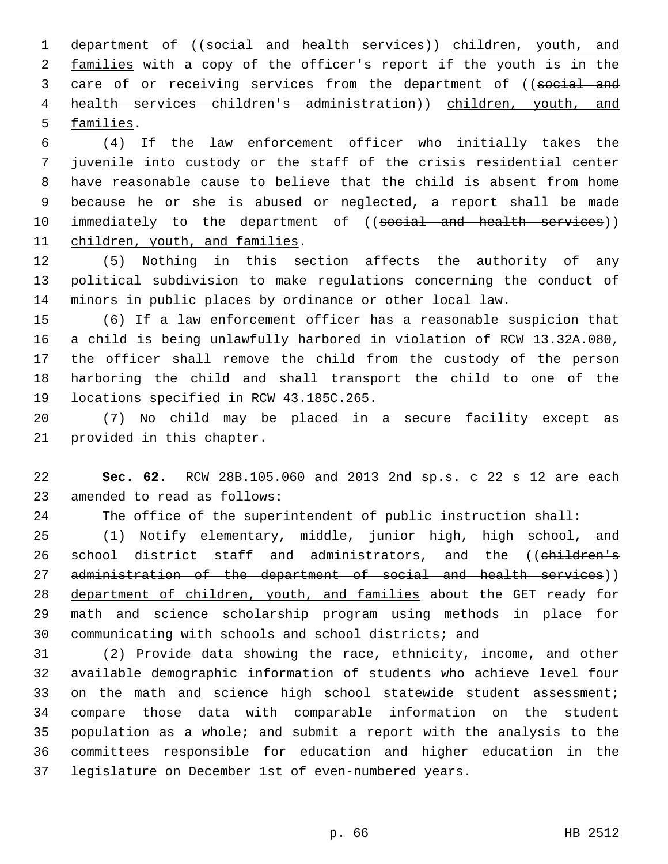department of ((social and health services)) children, youth, and 2 families with a copy of the officer's report if the youth is in the 3 care of or receiving services from the department of ((social and health services children's administration)) children, youth, and 5 families.

 (4) If the law enforcement officer who initially takes the juvenile into custody or the staff of the crisis residential center have reasonable cause to believe that the child is absent from home because he or she is abused or neglected, a report shall be made 10 immediately to the department of ((social and health services)) 11 children, youth, and families.

 (5) Nothing in this section affects the authority of any political subdivision to make regulations concerning the conduct of minors in public places by ordinance or other local law.

 (6) If a law enforcement officer has a reasonable suspicion that a child is being unlawfully harbored in violation of RCW 13.32A.080, the officer shall remove the child from the custody of the person harboring the child and shall transport the child to one of the 19 locations specified in RCW 43.185C.265.

 (7) No child may be placed in a secure facility except as 21 provided in this chapter.

 **Sec. 62.** RCW 28B.105.060 and 2013 2nd sp.s. c 22 s 12 are each 23 amended to read as follows:

The office of the superintendent of public instruction shall:

 (1) Notify elementary, middle, junior high, high school, and 26 school district staff and administrators, and the ((children's 27 administration of the department of social and health services)) department of children, youth, and families about the GET ready for math and science scholarship program using methods in place for communicating with schools and school districts; and

 (2) Provide data showing the race, ethnicity, income, and other available demographic information of students who achieve level four 33 on the math and science high school statewide student assessment; compare those data with comparable information on the student population as a whole; and submit a report with the analysis to the committees responsible for education and higher education in the legislature on December 1st of even-numbered years.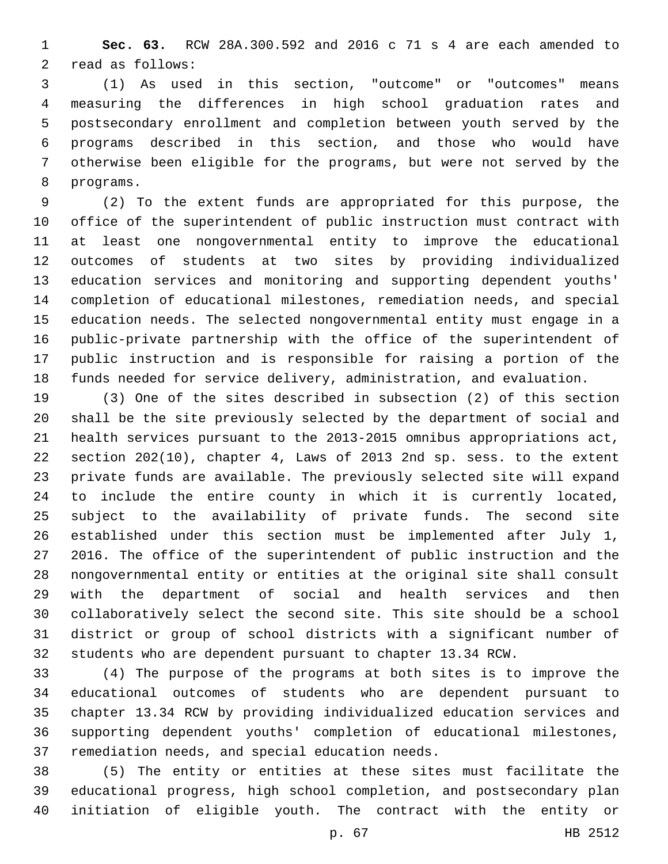**Sec. 63.** RCW 28A.300.592 and 2016 c 71 s 4 are each amended to 2 read as follows:

 (1) As used in this section, "outcome" or "outcomes" means measuring the differences in high school graduation rates and postsecondary enrollment and completion between youth served by the programs described in this section, and those who would have otherwise been eligible for the programs, but were not served by the 8 programs.

 (2) To the extent funds are appropriated for this purpose, the office of the superintendent of public instruction must contract with at least one nongovernmental entity to improve the educational outcomes of students at two sites by providing individualized education services and monitoring and supporting dependent youths' completion of educational milestones, remediation needs, and special education needs. The selected nongovernmental entity must engage in a public-private partnership with the office of the superintendent of public instruction and is responsible for raising a portion of the funds needed for service delivery, administration, and evaluation.

 (3) One of the sites described in subsection (2) of this section shall be the site previously selected by the department of social and health services pursuant to the 2013-2015 omnibus appropriations act, section 202(10), chapter 4, Laws of 2013 2nd sp. sess. to the extent private funds are available. The previously selected site will expand to include the entire county in which it is currently located, subject to the availability of private funds. The second site established under this section must be implemented after July 1, 2016. The office of the superintendent of public instruction and the nongovernmental entity or entities at the original site shall consult with the department of social and health services and then collaboratively select the second site. This site should be a school district or group of school districts with a significant number of students who are dependent pursuant to chapter 13.34 RCW.

 (4) The purpose of the programs at both sites is to improve the educational outcomes of students who are dependent pursuant to chapter 13.34 RCW by providing individualized education services and supporting dependent youths' completion of educational milestones, 37 remediation needs, and special education needs.

 (5) The entity or entities at these sites must facilitate the educational progress, high school completion, and postsecondary plan initiation of eligible youth. The contract with the entity or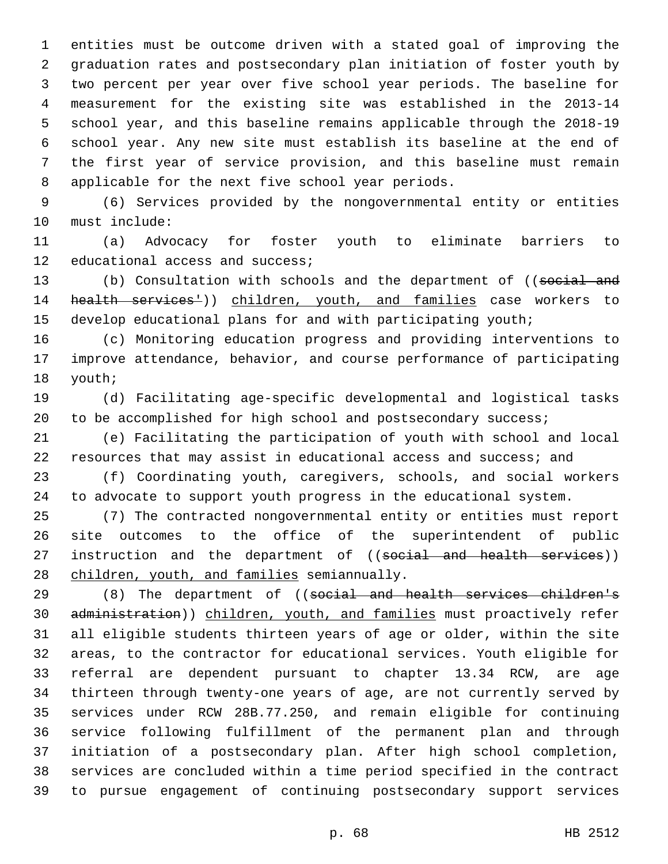entities must be outcome driven with a stated goal of improving the graduation rates and postsecondary plan initiation of foster youth by two percent per year over five school year periods. The baseline for measurement for the existing site was established in the 2013-14 school year, and this baseline remains applicable through the 2018-19 school year. Any new site must establish its baseline at the end of the first year of service provision, and this baseline must remain 8 applicable for the next five school year periods.

 (6) Services provided by the nongovernmental entity or entities 10 must include:

 (a) Advocacy for foster youth to eliminate barriers to 12 educational access and success;

13 (b) Consultation with schools and the department of ((social and 14 health services<sup>1</sup>)) children, youth, and families case workers to develop educational plans for and with participating youth;

 (c) Monitoring education progress and providing interventions to improve attendance, behavior, and course performance of participating 18 youth;

 (d) Facilitating age-specific developmental and logistical tasks 20 to be accomplished for high school and postsecondary success;

 (e) Facilitating the participation of youth with school and local resources that may assist in educational access and success; and

 (f) Coordinating youth, caregivers, schools, and social workers to advocate to support youth progress in the educational system.

 (7) The contracted nongovernmental entity or entities must report site outcomes to the office of the superintendent of public 27 instruction and the department of ((social and health services)) 28 children, youth, and families semiannually.

29 (8) The department of ((social and health services children's administration)) children, youth, and families must proactively refer all eligible students thirteen years of age or older, within the site areas, to the contractor for educational services. Youth eligible for referral are dependent pursuant to chapter 13.34 RCW, are age thirteen through twenty-one years of age, are not currently served by services under RCW 28B.77.250, and remain eligible for continuing service following fulfillment of the permanent plan and through initiation of a postsecondary plan. After high school completion, services are concluded within a time period specified in the contract to pursue engagement of continuing postsecondary support services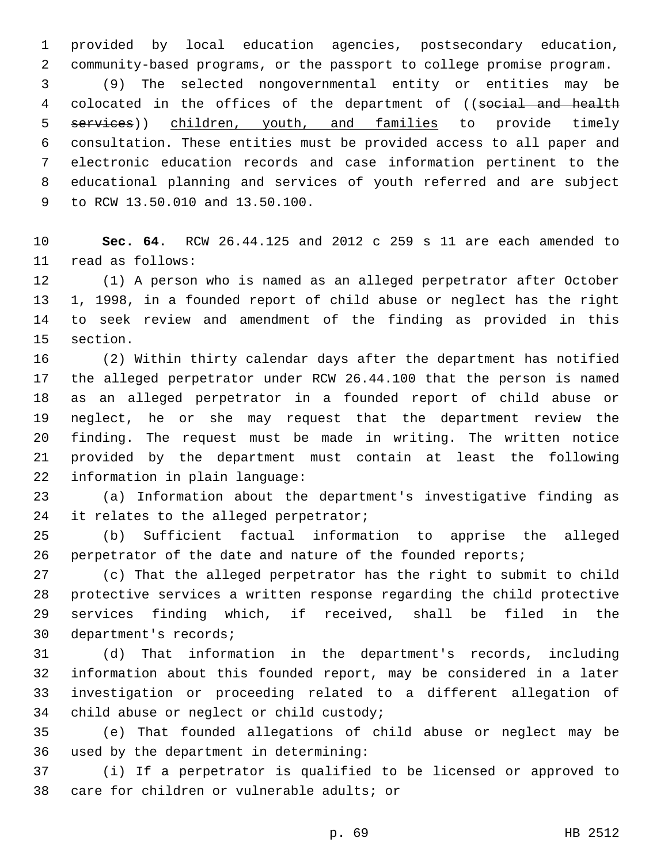provided by local education agencies, postsecondary education, community-based programs, or the passport to college promise program.

 (9) The selected nongovernmental entity or entities may be 4 colocated in the offices of the department of ((social and health 5 services)) children, youth, and families to provide timely consultation. These entities must be provided access to all paper and electronic education records and case information pertinent to the educational planning and services of youth referred and are subject 9 to RCW 13.50.010 and 13.50.100.

 **Sec. 64.** RCW 26.44.125 and 2012 c 259 s 11 are each amended to 11 read as follows:

 (1) A person who is named as an alleged perpetrator after October 1, 1998, in a founded report of child abuse or neglect has the right to seek review and amendment of the finding as provided in this 15 section.

 (2) Within thirty calendar days after the department has notified the alleged perpetrator under RCW 26.44.100 that the person is named as an alleged perpetrator in a founded report of child abuse or neglect, he or she may request that the department review the finding. The request must be made in writing. The written notice provided by the department must contain at least the following 22 information in plain language:

 (a) Information about the department's investigative finding as 24 it relates to the alleged perpetrator;

 (b) Sufficient factual information to apprise the alleged 26 perpetrator of the date and nature of the founded reports;

 (c) That the alleged perpetrator has the right to submit to child protective services a written response regarding the child protective services finding which, if received, shall be filed in the 30 department's records;

 (d) That information in the department's records, including information about this founded report, may be considered in a later investigation or proceeding related to a different allegation of 34 child abuse or neglect or child custody;

 (e) That founded allegations of child abuse or neglect may be 36 used by the department in determining:

 (i) If a perpetrator is qualified to be licensed or approved to 38 care for children or vulnerable adults; or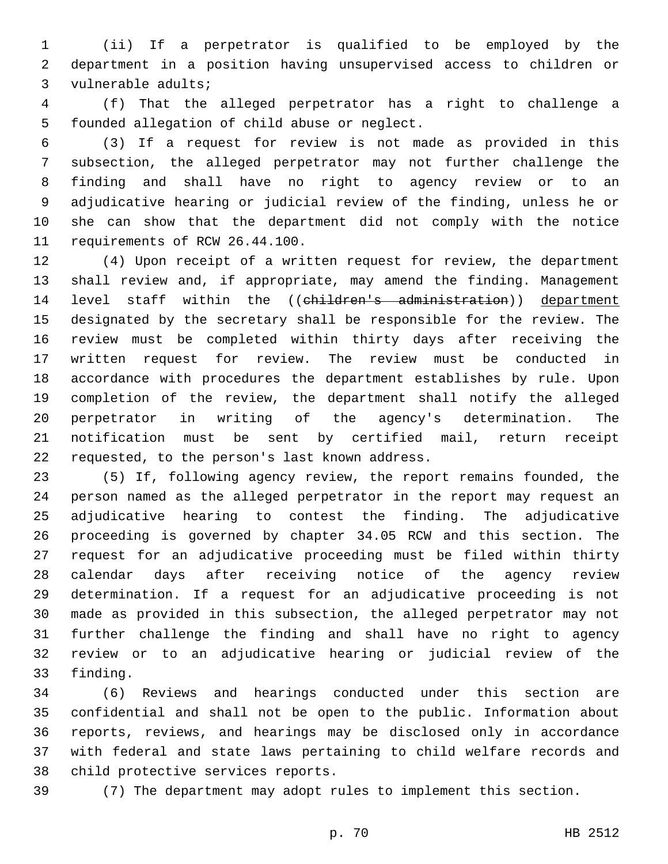(ii) If a perpetrator is qualified to be employed by the department in a position having unsupervised access to children or 3 vulnerable adults;

 (f) That the alleged perpetrator has a right to challenge a 5 founded allegation of child abuse or neglect.

 (3) If a request for review is not made as provided in this subsection, the alleged perpetrator may not further challenge the finding and shall have no right to agency review or to an adjudicative hearing or judicial review of the finding, unless he or she can show that the department did not comply with the notice 11 requirements of RCW 26.44.100.

 (4) Upon receipt of a written request for review, the department shall review and, if appropriate, may amend the finding. Management 14 level staff within the ((children's administration)) department designated by the secretary shall be responsible for the review. The review must be completed within thirty days after receiving the written request for review. The review must be conducted in accordance with procedures the department establishes by rule. Upon completion of the review, the department shall notify the alleged perpetrator in writing of the agency's determination. The notification must be sent by certified mail, return receipt 22 requested, to the person's last known address.

 (5) If, following agency review, the report remains founded, the person named as the alleged perpetrator in the report may request an adjudicative hearing to contest the finding. The adjudicative proceeding is governed by chapter 34.05 RCW and this section. The request for an adjudicative proceeding must be filed within thirty calendar days after receiving notice of the agency review determination. If a request for an adjudicative proceeding is not made as provided in this subsection, the alleged perpetrator may not further challenge the finding and shall have no right to agency review or to an adjudicative hearing or judicial review of the 33 finding.

 (6) Reviews and hearings conducted under this section are confidential and shall not be open to the public. Information about reports, reviews, and hearings may be disclosed only in accordance with federal and state laws pertaining to child welfare records and 38 child protective services reports.

(7) The department may adopt rules to implement this section.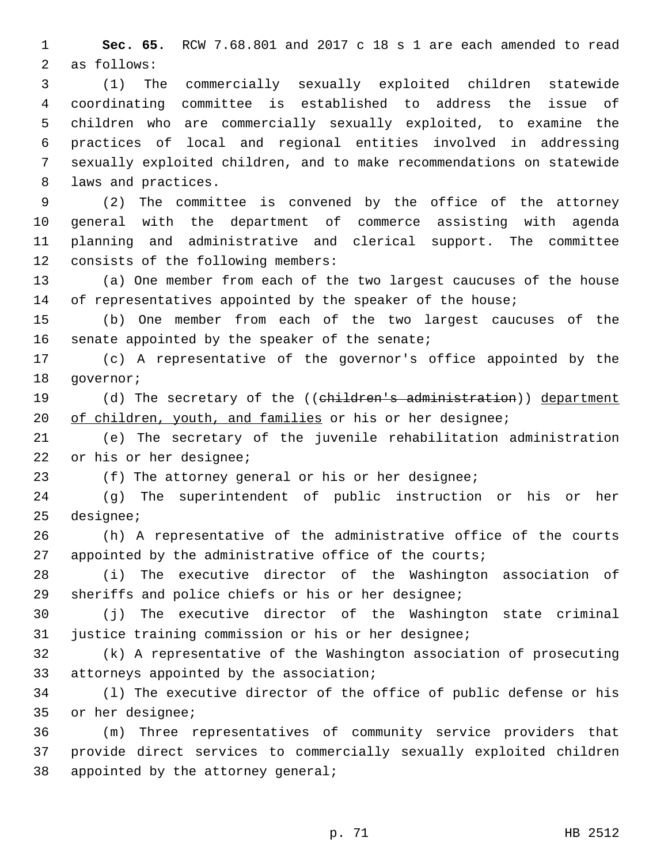**Sec. 65.** RCW 7.68.801 and 2017 c 18 s 1 are each amended to read 2 as follows:

 (1) The commercially sexually exploited children statewide coordinating committee is established to address the issue of children who are commercially sexually exploited, to examine the practices of local and regional entities involved in addressing sexually exploited children, and to make recommendations on statewide 8 laws and practices.

 (2) The committee is convened by the office of the attorney general with the department of commerce assisting with agenda planning and administrative and clerical support. The committee 12 consists of the following members:

 (a) One member from each of the two largest caucuses of the house 14 of representatives appointed by the speaker of the house;

 (b) One member from each of the two largest caucuses of the 16 senate appointed by the speaker of the senate;

 (c) A representative of the governor's office appointed by the 18 qovernor;

19 (d) The secretary of the ((children's administration)) department 20 of children, youth, and families or his or her designee;

 (e) The secretary of the juvenile rehabilitation administration 22 or his or her designee;

(f) The attorney general or his or her designee;

 (g) The superintendent of public instruction or his or her 25 designee;

 (h) A representative of the administrative office of the courts 27 appointed by the administrative office of the courts;

 (i) The executive director of the Washington association of sheriffs and police chiefs or his or her designee;

 (j) The executive director of the Washington state criminal justice training commission or his or her designee;

 (k) A representative of the Washington association of prosecuting 33 attorneys appointed by the association;

 (l) The executive director of the office of public defense or his 35 or her designee;

 (m) Three representatives of community service providers that provide direct services to commercially sexually exploited children 38 appointed by the attorney general;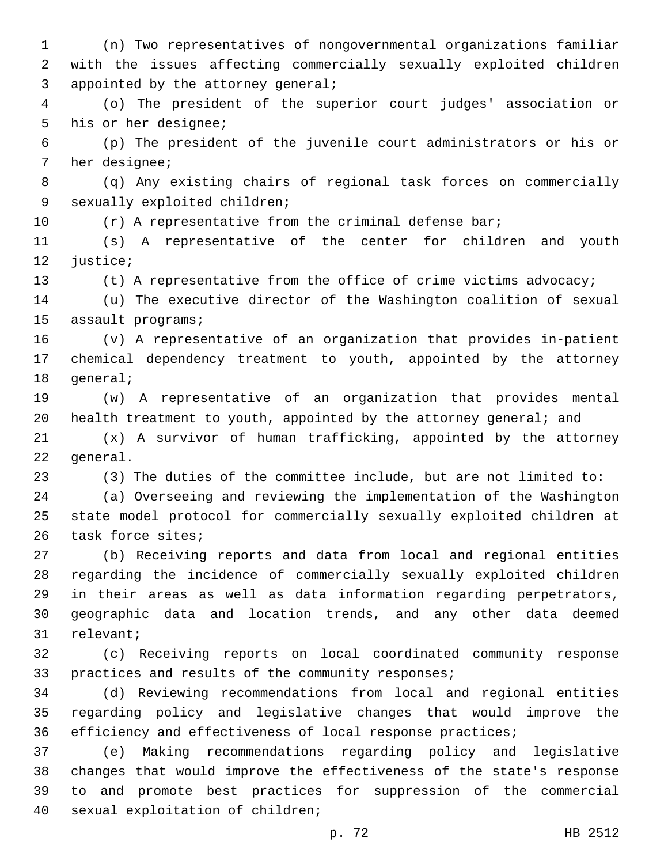(n) Two representatives of nongovernmental organizations familiar with the issues affecting commercially sexually exploited children 3 appointed by the attorney general;

 (o) The president of the superior court judges' association or 5 his or her designee;

 (p) The president of the juvenile court administrators or his or 7 her designee;

 (q) Any existing chairs of regional task forces on commercially 9 sexually exploited children;

10 (r) A representative from the criminal defense bar;

 (s) A representative of the center for children and youth 12 justice;

(t) A representative from the office of crime victims advocacy;

 (u) The executive director of the Washington coalition of sexual 15 assault programs;

 (v) A representative of an organization that provides in-patient chemical dependency treatment to youth, appointed by the attorney 18 general;

 (w) A representative of an organization that provides mental health treatment to youth, appointed by the attorney general; and

 (x) A survivor of human trafficking, appointed by the attorney 22 general.

(3) The duties of the committee include, but are not limited to:

 (a) Overseeing and reviewing the implementation of the Washington state model protocol for commercially sexually exploited children at 26 task force sites;

 (b) Receiving reports and data from local and regional entities regarding the incidence of commercially sexually exploited children in their areas as well as data information regarding perpetrators, geographic data and location trends, and any other data deemed 31 relevant;

 (c) Receiving reports on local coordinated community response 33 practices and results of the community responses;

 (d) Reviewing recommendations from local and regional entities regarding policy and legislative changes that would improve the efficiency and effectiveness of local response practices;

 (e) Making recommendations regarding policy and legislative changes that would improve the effectiveness of the state's response to and promote best practices for suppression of the commercial 40 sexual exploitation of children;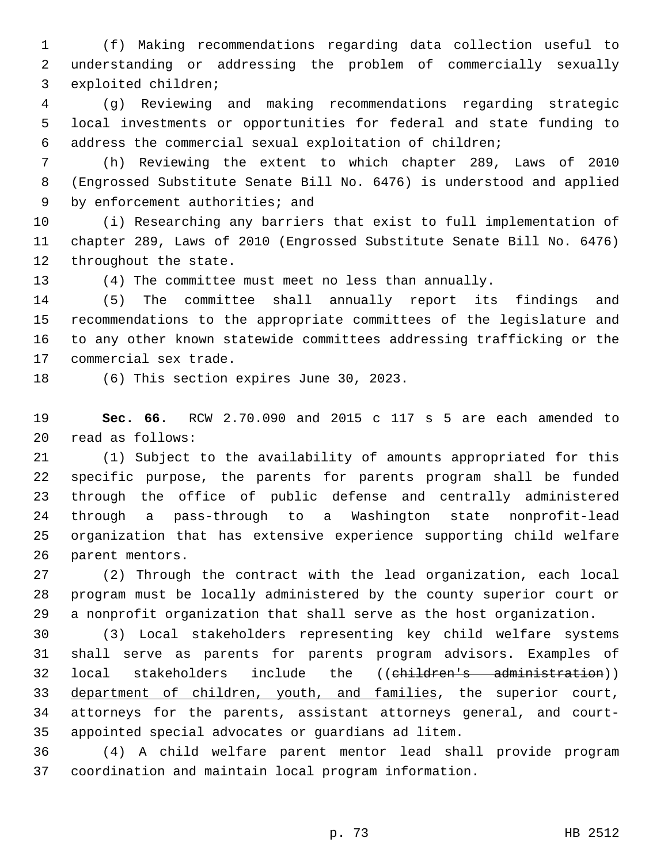(f) Making recommendations regarding data collection useful to understanding or addressing the problem of commercially sexually 3 exploited children;

 (g) Reviewing and making recommendations regarding strategic local investments or opportunities for federal and state funding to address the commercial sexual exploitation of children;

 (h) Reviewing the extent to which chapter 289, Laws of 2010 (Engrossed Substitute Senate Bill No. 6476) is understood and applied 9 by enforcement authorities; and

 (i) Researching any barriers that exist to full implementation of chapter 289, Laws of 2010 (Engrossed Substitute Senate Bill No. 6476) 12 throughout the state.

(4) The committee must meet no less than annually.

 (5) The committee shall annually report its findings and recommendations to the appropriate committees of the legislature and to any other known statewide committees addressing trafficking or the 17 commercial sex trade.

18 (6) This section expires June 30, 2023.

 **Sec. 66.** RCW 2.70.090 and 2015 c 117 s 5 are each amended to read as follows:20

 (1) Subject to the availability of amounts appropriated for this specific purpose, the parents for parents program shall be funded through the office of public defense and centrally administered through a pass-through to a Washington state nonprofit-lead organization that has extensive experience supporting child welfare 26 parent mentors.

 (2) Through the contract with the lead organization, each local program must be locally administered by the county superior court or a nonprofit organization that shall serve as the host organization.

 (3) Local stakeholders representing key child welfare systems shall serve as parents for parents program advisors. Examples of local stakeholders include the ((children's administration)) department of children, youth, and families, the superior court, attorneys for the parents, assistant attorneys general, and court-appointed special advocates or guardians ad litem.

 (4) A child welfare parent mentor lead shall provide program coordination and maintain local program information.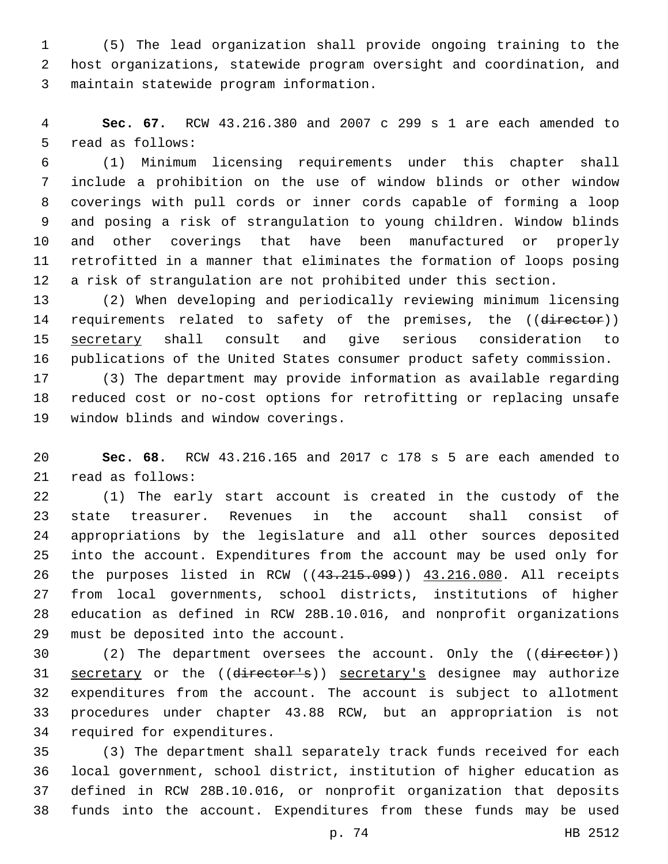(5) The lead organization shall provide ongoing training to the host organizations, statewide program oversight and coordination, and maintain statewide program information.3

 **Sec. 67.** RCW 43.216.380 and 2007 c 299 s 1 are each amended to 5 read as follows:

 (1) Minimum licensing requirements under this chapter shall include a prohibition on the use of window blinds or other window coverings with pull cords or inner cords capable of forming a loop and posing a risk of strangulation to young children. Window blinds and other coverings that have been manufactured or properly retrofitted in a manner that eliminates the formation of loops posing a risk of strangulation are not prohibited under this section.

 (2) When developing and periodically reviewing minimum licensing 14 requirements related to safety of the premises, the ((director)) secretary shall consult and give serious consideration to publications of the United States consumer product safety commission.

 (3) The department may provide information as available regarding reduced cost or no-cost options for retrofitting or replacing unsafe 19 window blinds and window coverings.

 **Sec. 68.** RCW 43.216.165 and 2017 c 178 s 5 are each amended to 21 read as follows:

 (1) The early start account is created in the custody of the state treasurer. Revenues in the account shall consist of appropriations by the legislature and all other sources deposited into the account. Expenditures from the account may be used only for the purposes listed in RCW ((43.215.099)) 43.216.080. All receipts from local governments, school districts, institutions of higher education as defined in RCW 28B.10.016, and nonprofit organizations 29 must be deposited into the account.

30 (2) The department oversees the account. Only the ((director)) 31 secretary or the ((director's)) secretary's designee may authorize expenditures from the account. The account is subject to allotment procedures under chapter 43.88 RCW, but an appropriation is not 34 required for expenditures.

 (3) The department shall separately track funds received for each local government, school district, institution of higher education as defined in RCW 28B.10.016, or nonprofit organization that deposits funds into the account. Expenditures from these funds may be used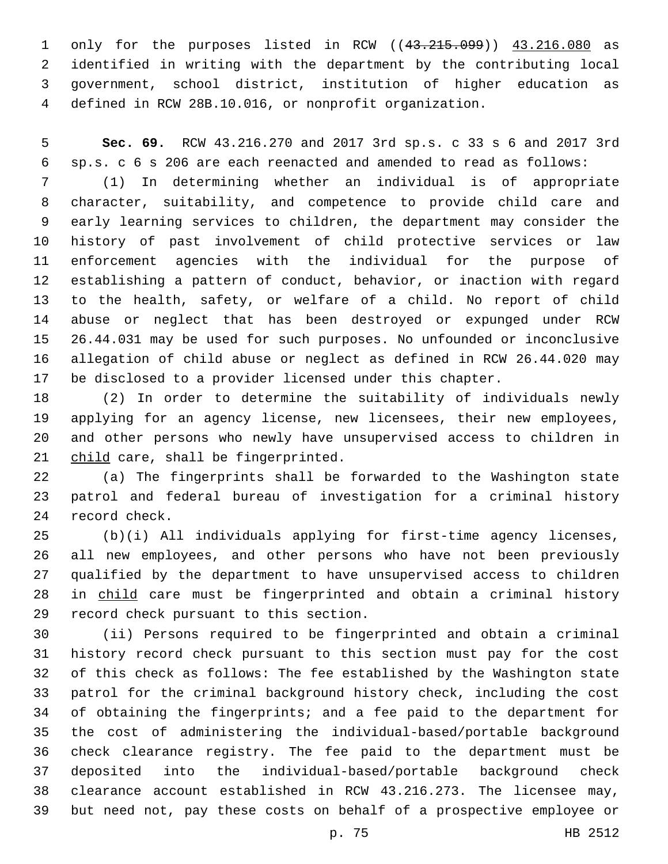only for the purposes listed in RCW ((43.215.099)) 43.216.080 as identified in writing with the department by the contributing local government, school district, institution of higher education as defined in RCW 28B.10.016, or nonprofit organization.

 **Sec. 69.** RCW 43.216.270 and 2017 3rd sp.s. c 33 s 6 and 2017 3rd sp.s. c 6 s 206 are each reenacted and amended to read as follows:

 (1) In determining whether an individual is of appropriate character, suitability, and competence to provide child care and early learning services to children, the department may consider the history of past involvement of child protective services or law enforcement agencies with the individual for the purpose of establishing a pattern of conduct, behavior, or inaction with regard to the health, safety, or welfare of a child. No report of child abuse or neglect that has been destroyed or expunged under RCW 26.44.031 may be used for such purposes. No unfounded or inconclusive allegation of child abuse or neglect as defined in RCW 26.44.020 may be disclosed to a provider licensed under this chapter.

 (2) In order to determine the suitability of individuals newly applying for an agency license, new licensees, their new employees, and other persons who newly have unsupervised access to children in 21 child care, shall be fingerprinted.

 (a) The fingerprints shall be forwarded to the Washington state patrol and federal bureau of investigation for a criminal history 24 record check.

 (b)(i) All individuals applying for first-time agency licenses, all new employees, and other persons who have not been previously qualified by the department to have unsupervised access to children in child care must be fingerprinted and obtain a criminal history 29 record check pursuant to this section.

 (ii) Persons required to be fingerprinted and obtain a criminal history record check pursuant to this section must pay for the cost of this check as follows: The fee established by the Washington state patrol for the criminal background history check, including the cost of obtaining the fingerprints; and a fee paid to the department for the cost of administering the individual-based/portable background check clearance registry. The fee paid to the department must be deposited into the individual-based/portable background check clearance account established in RCW 43.216.273. The licensee may, but need not, pay these costs on behalf of a prospective employee or

p. 75 HB 2512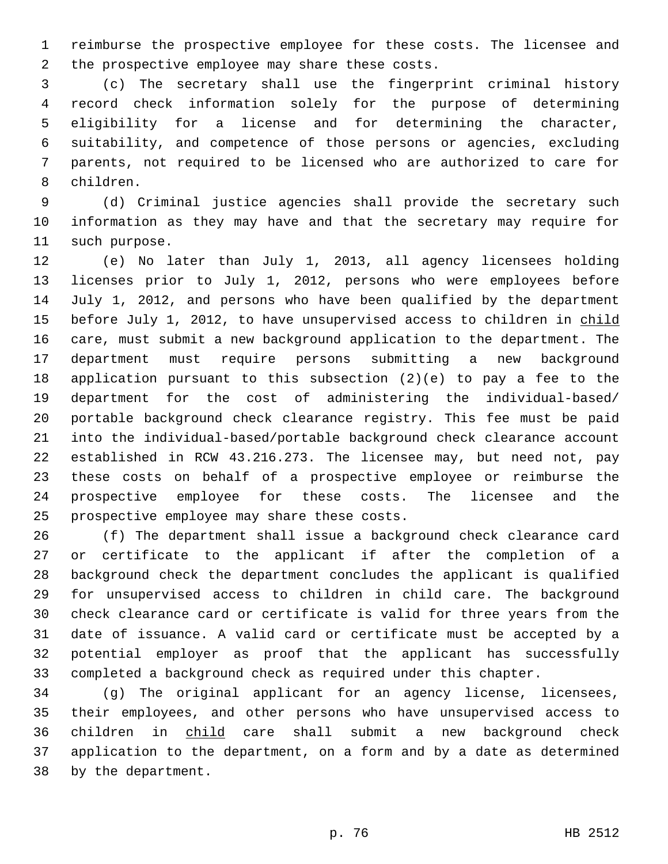reimburse the prospective employee for these costs. The licensee and 2 the prospective employee may share these costs.

 (c) The secretary shall use the fingerprint criminal history record check information solely for the purpose of determining eligibility for a license and for determining the character, suitability, and competence of those persons or agencies, excluding parents, not required to be licensed who are authorized to care for 8 children.

 (d) Criminal justice agencies shall provide the secretary such information as they may have and that the secretary may require for 11 such purpose.

 (e) No later than July 1, 2013, all agency licensees holding licenses prior to July 1, 2012, persons who were employees before July 1, 2012, and persons who have been qualified by the department 15 before July 1, 2012, to have unsupervised access to children in child care, must submit a new background application to the department. The department must require persons submitting a new background application pursuant to this subsection (2)(e) to pay a fee to the department for the cost of administering the individual-based/ portable background check clearance registry. This fee must be paid into the individual-based/portable background check clearance account established in RCW 43.216.273. The licensee may, but need not, pay these costs on behalf of a prospective employee or reimburse the prospective employee for these costs. The licensee and the 25 prospective employee may share these costs.

 (f) The department shall issue a background check clearance card or certificate to the applicant if after the completion of a background check the department concludes the applicant is qualified for unsupervised access to children in child care. The background check clearance card or certificate is valid for three years from the date of issuance. A valid card or certificate must be accepted by a potential employer as proof that the applicant has successfully completed a background check as required under this chapter.

34 (g) The original applicant for an agency license, licensees, their employees, and other persons who have unsupervised access to children in child care shall submit a new background check application to the department, on a form and by a date as determined 38 by the department.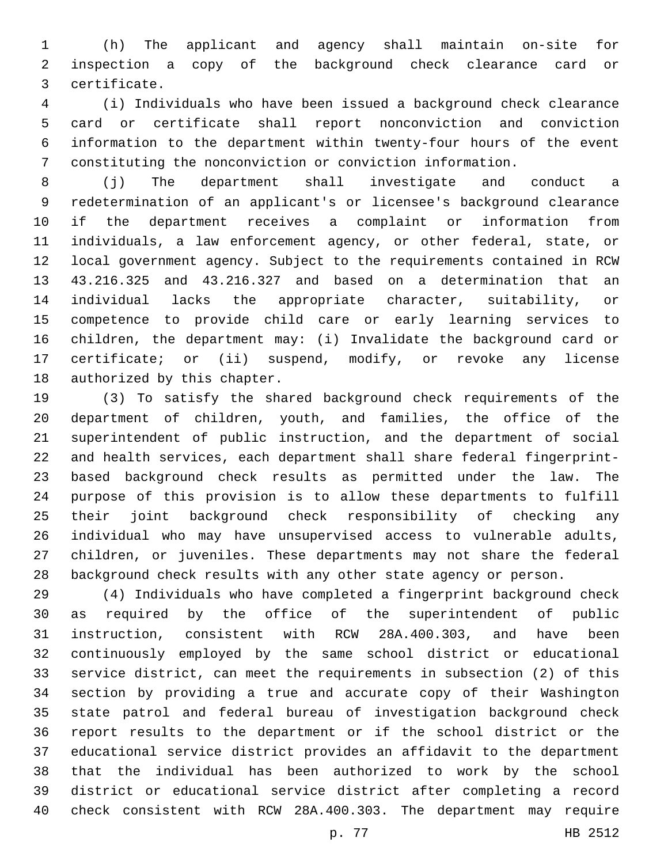(h) The applicant and agency shall maintain on-site for inspection a copy of the background check clearance card or certificate.3

 (i) Individuals who have been issued a background check clearance card or certificate shall report nonconviction and conviction information to the department within twenty-four hours of the event constituting the nonconviction or conviction information.

 (j) The department shall investigate and conduct a redetermination of an applicant's or licensee's background clearance if the department receives a complaint or information from individuals, a law enforcement agency, or other federal, state, or local government agency. Subject to the requirements contained in RCW 43.216.325 and 43.216.327 and based on a determination that an individual lacks the appropriate character, suitability, or competence to provide child care or early learning services to children, the department may: (i) Invalidate the background card or certificate; or (ii) suspend, modify, or revoke any license 18 authorized by this chapter.

 (3) To satisfy the shared background check requirements of the department of children, youth, and families, the office of the superintendent of public instruction, and the department of social and health services, each department shall share federal fingerprint- based background check results as permitted under the law. The purpose of this provision is to allow these departments to fulfill their joint background check responsibility of checking any individual who may have unsupervised access to vulnerable adults, children, or juveniles. These departments may not share the federal background check results with any other state agency or person.

 (4) Individuals who have completed a fingerprint background check as required by the office of the superintendent of public instruction, consistent with RCW 28A.400.303, and have been continuously employed by the same school district or educational service district, can meet the requirements in subsection (2) of this section by providing a true and accurate copy of their Washington state patrol and federal bureau of investigation background check report results to the department or if the school district or the educational service district provides an affidavit to the department that the individual has been authorized to work by the school district or educational service district after completing a record check consistent with RCW 28A.400.303. The department may require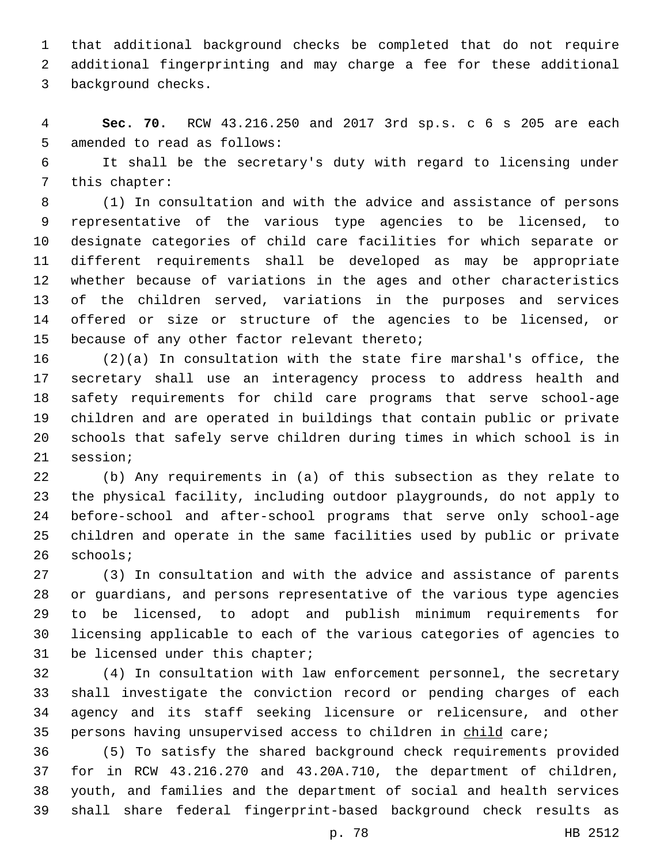that additional background checks be completed that do not require additional fingerprinting and may charge a fee for these additional 3 background checks.

 **Sec. 70.** RCW 43.216.250 and 2017 3rd sp.s. c 6 s 205 are each 5 amended to read as follows:

 It shall be the secretary's duty with regard to licensing under 7 this chapter:

 (1) In consultation and with the advice and assistance of persons representative of the various type agencies to be licensed, to designate categories of child care facilities for which separate or different requirements shall be developed as may be appropriate whether because of variations in the ages and other characteristics of the children served, variations in the purposes and services offered or size or structure of the agencies to be licensed, or 15 because of any other factor relevant thereto;

 (2)(a) In consultation with the state fire marshal's office, the secretary shall use an interagency process to address health and safety requirements for child care programs that serve school-age children and are operated in buildings that contain public or private schools that safely serve children during times in which school is in 21 session;

 (b) Any requirements in (a) of this subsection as they relate to the physical facility, including outdoor playgrounds, do not apply to before-school and after-school programs that serve only school-age children and operate in the same facilities used by public or private 26 schools;

 (3) In consultation and with the advice and assistance of parents or guardians, and persons representative of the various type agencies to be licensed, to adopt and publish minimum requirements for licensing applicable to each of the various categories of agencies to 31 be licensed under this chapter;

 (4) In consultation with law enforcement personnel, the secretary shall investigate the conviction record or pending charges of each agency and its staff seeking licensure or relicensure, and other 35 persons having unsupervised access to children in child care;

 (5) To satisfy the shared background check requirements provided for in RCW 43.216.270 and 43.20A.710, the department of children, youth, and families and the department of social and health services shall share federal fingerprint-based background check results as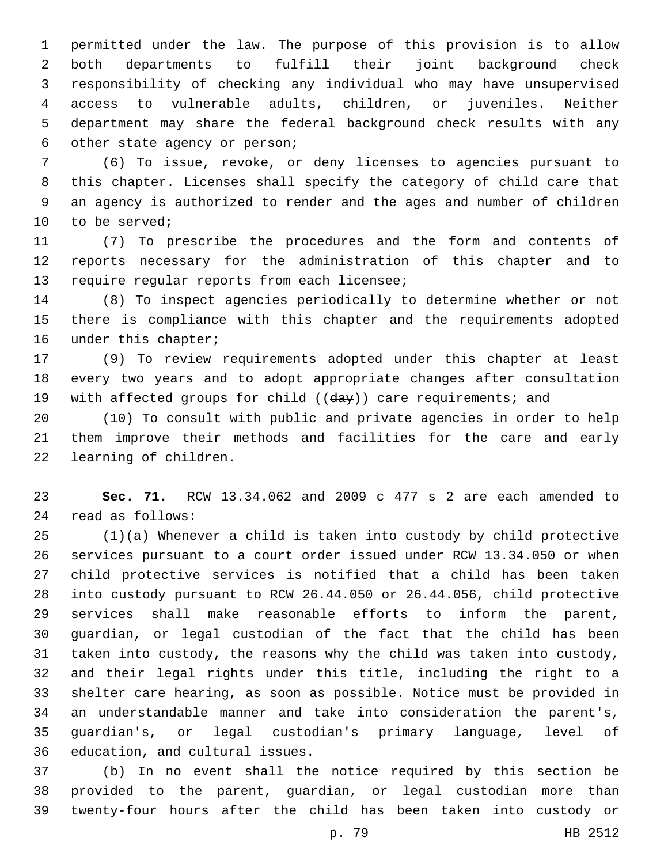permitted under the law. The purpose of this provision is to allow both departments to fulfill their joint background check responsibility of checking any individual who may have unsupervised access to vulnerable adults, children, or juveniles. Neither department may share the federal background check results with any 6 other state agency or person;

 (6) To issue, revoke, or deny licenses to agencies pursuant to 8 this chapter. Licenses shall specify the category of child care that an agency is authorized to render and the ages and number of children 10 to be served;

 (7) To prescribe the procedures and the form and contents of reports necessary for the administration of this chapter and to 13 require regular reports from each licensee;

 (8) To inspect agencies periodically to determine whether or not there is compliance with this chapter and the requirements adopted 16 under this chapter;

 (9) To review requirements adopted under this chapter at least every two years and to adopt appropriate changes after consultation 19 with affected groups for child ((day)) care requirements; and

 (10) To consult with public and private agencies in order to help them improve their methods and facilities for the care and early 22 learning of children.

 **Sec. 71.** RCW 13.34.062 and 2009 c 477 s 2 are each amended to read as follows:24

 (1)(a) Whenever a child is taken into custody by child protective services pursuant to a court order issued under RCW 13.34.050 or when child protective services is notified that a child has been taken into custody pursuant to RCW 26.44.050 or 26.44.056, child protective services shall make reasonable efforts to inform the parent, guardian, or legal custodian of the fact that the child has been taken into custody, the reasons why the child was taken into custody, and their legal rights under this title, including the right to a shelter care hearing, as soon as possible. Notice must be provided in an understandable manner and take into consideration the parent's, guardian's, or legal custodian's primary language, level of 36 education, and cultural issues.

 (b) In no event shall the notice required by this section be provided to the parent, guardian, or legal custodian more than twenty-four hours after the child has been taken into custody or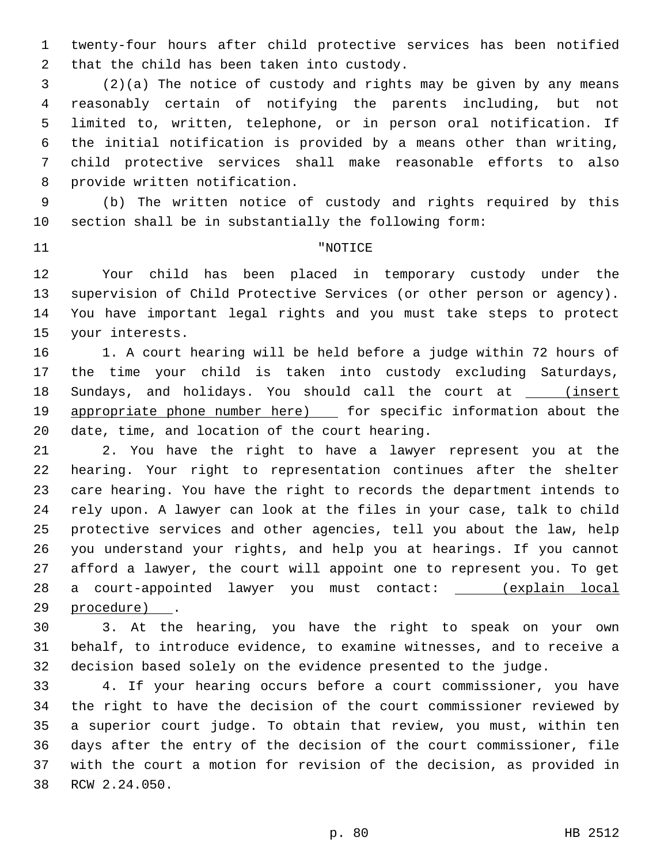twenty-four hours after child protective services has been notified 2 that the child has been taken into custody.

 (2)(a) The notice of custody and rights may be given by any means reasonably certain of notifying the parents including, but not limited to, written, telephone, or in person oral notification. If the initial notification is provided by a means other than writing, child protective services shall make reasonable efforts to also 8 provide written notification.

 (b) The written notice of custody and rights required by this section shall be in substantially the following form:

## 11 THE TERM PROPERTY AND THE TRUE TO THE TERM PROPERTY AND THE TERM PROPERTY.

 Your child has been placed in temporary custody under the supervision of Child Protective Services (or other person or agency). You have important legal rights and you must take steps to protect 15 your interests.

 1. A court hearing will be held before a judge within 72 hours of the time your child is taken into custody excluding Saturdays, 18 Sundays, and holidays. You should call the court at \_\_\_\_(insert 19 appropriate phone number here) [ for specific information about the 20 date, time, and location of the court hearing.

 2. You have the right to have a lawyer represent you at the hearing. Your right to representation continues after the shelter care hearing. You have the right to records the department intends to rely upon. A lawyer can look at the files in your case, talk to child protective services and other agencies, tell you about the law, help you understand your rights, and help you at hearings. If you cannot afford a lawyer, the court will appoint one to represent you. To get 28 a court-appointed lawyer you must contact: \_\_\_\_\_ (explain local 29 procedure) .

 3. At the hearing, you have the right to speak on your own behalf, to introduce evidence, to examine witnesses, and to receive a decision based solely on the evidence presented to the judge.

 4. If your hearing occurs before a court commissioner, you have the right to have the decision of the court commissioner reviewed by a superior court judge. To obtain that review, you must, within ten days after the entry of the decision of the court commissioner, file with the court a motion for revision of the decision, as provided in 38 RCW 2.24.050.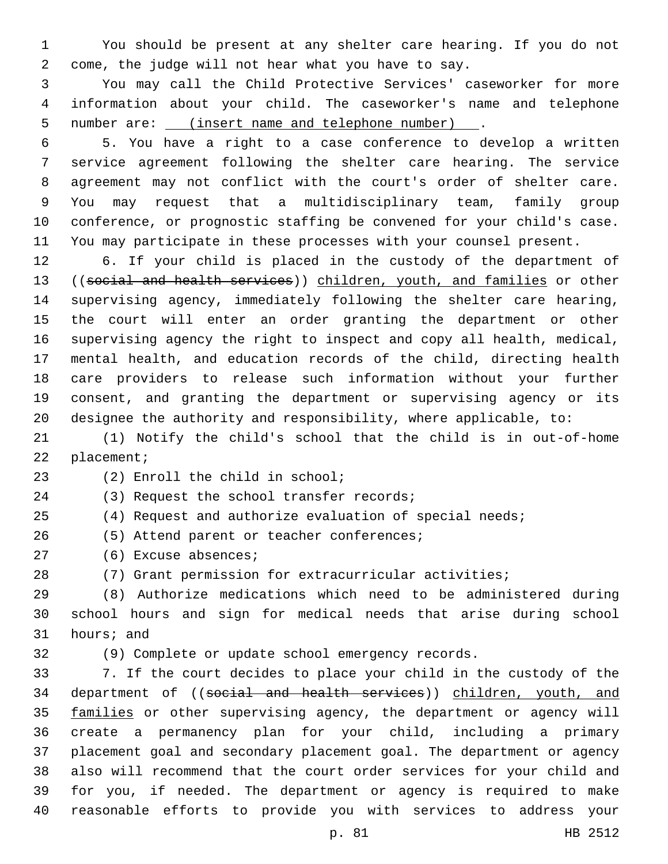You should be present at any shelter care hearing. If you do not come, the judge will not hear what you have to say.

 You may call the Child Protective Services' caseworker for more information about your child. The caseworker's name and telephone number are: (insert name and telephone number) .

 5. You have a right to a case conference to develop a written service agreement following the shelter care hearing. The service agreement may not conflict with the court's order of shelter care. You may request that a multidisciplinary team, family group conference, or prognostic staffing be convened for your child's case. You may participate in these processes with your counsel present.

 6. If your child is placed in the custody of the department of 13 ((social and health services)) children, youth, and families or other supervising agency, immediately following the shelter care hearing, the court will enter an order granting the department or other supervising agency the right to inspect and copy all health, medical, mental health, and education records of the child, directing health care providers to release such information without your further consent, and granting the department or supervising agency or its designee the authority and responsibility, where applicable, to:

 (1) Notify the child's school that the child is in out-of-home 22 placement;

(2) Enroll the child in school;23

24 (3) Request the school transfer records;

(4) Request and authorize evaluation of special needs;

26 (5) Attend parent or teacher conferences;

27 (6) Excuse absences;

(7) Grant permission for extracurricular activities;

 (8) Authorize medications which need to be administered during school hours and sign for medical needs that arise during school 31 hours; and

(9) Complete or update school emergency records.

 7. If the court decides to place your child in the custody of the 34 department of ((social and health services)) children, youth, and 35 families or other supervising agency, the department or agency will create a permanency plan for your child, including a primary placement goal and secondary placement goal. The department or agency also will recommend that the court order services for your child and for you, if needed. The department or agency is required to make reasonable efforts to provide you with services to address your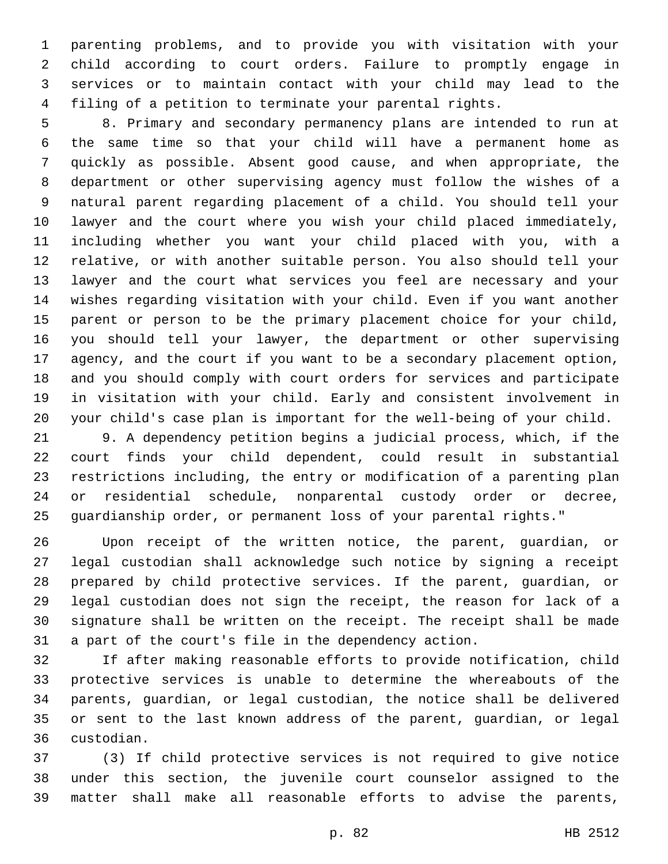parenting problems, and to provide you with visitation with your child according to court orders. Failure to promptly engage in services or to maintain contact with your child may lead to the filing of a petition to terminate your parental rights.

 8. Primary and secondary permanency plans are intended to run at the same time so that your child will have a permanent home as quickly as possible. Absent good cause, and when appropriate, the department or other supervising agency must follow the wishes of a natural parent regarding placement of a child. You should tell your lawyer and the court where you wish your child placed immediately, including whether you want your child placed with you, with a relative, or with another suitable person. You also should tell your lawyer and the court what services you feel are necessary and your wishes regarding visitation with your child. Even if you want another parent or person to be the primary placement choice for your child, you should tell your lawyer, the department or other supervising agency, and the court if you want to be a secondary placement option, and you should comply with court orders for services and participate in visitation with your child. Early and consistent involvement in your child's case plan is important for the well-being of your child.

 9. A dependency petition begins a judicial process, which, if the court finds your child dependent, could result in substantial restrictions including, the entry or modification of a parenting plan or residential schedule, nonparental custody order or decree, guardianship order, or permanent loss of your parental rights."

 Upon receipt of the written notice, the parent, guardian, or legal custodian shall acknowledge such notice by signing a receipt prepared by child protective services. If the parent, guardian, or legal custodian does not sign the receipt, the reason for lack of a signature shall be written on the receipt. The receipt shall be made a part of the court's file in the dependency action.

 If after making reasonable efforts to provide notification, child protective services is unable to determine the whereabouts of the parents, guardian, or legal custodian, the notice shall be delivered or sent to the last known address of the parent, guardian, or legal custodian.36

 (3) If child protective services is not required to give notice under this section, the juvenile court counselor assigned to the matter shall make all reasonable efforts to advise the parents,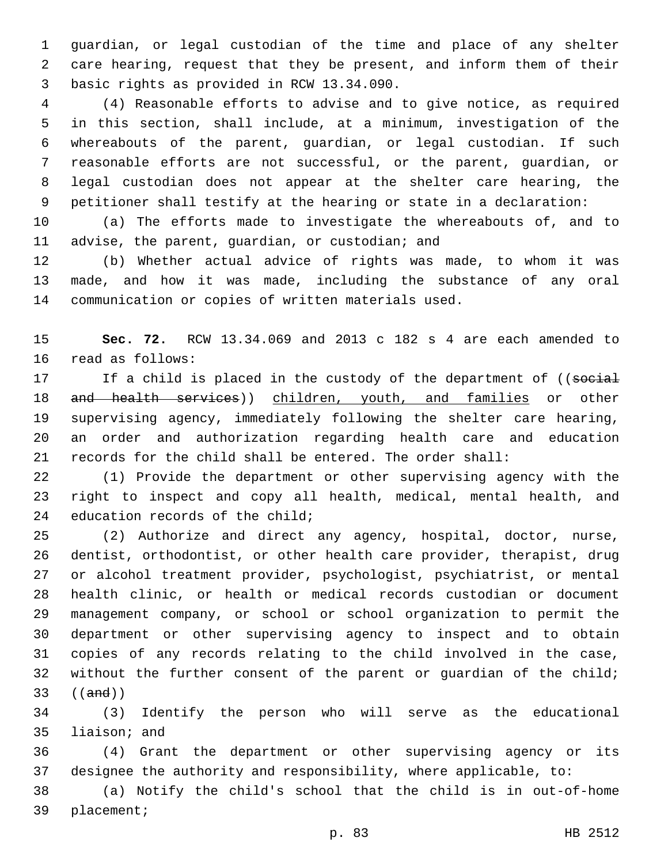guardian, or legal custodian of the time and place of any shelter care hearing, request that they be present, and inform them of their basic rights as provided in RCW 13.34.090.3

 (4) Reasonable efforts to advise and to give notice, as required in this section, shall include, at a minimum, investigation of the whereabouts of the parent, guardian, or legal custodian. If such reasonable efforts are not successful, or the parent, guardian, or legal custodian does not appear at the shelter care hearing, the petitioner shall testify at the hearing or state in a declaration:

 (a) The efforts made to investigate the whereabouts of, and to 11 advise, the parent, guardian, or custodian; and

 (b) Whether actual advice of rights was made, to whom it was made, and how it was made, including the substance of any oral communication or copies of written materials used.

 **Sec. 72.** RCW 13.34.069 and 2013 c 182 s 4 are each amended to 16 read as follows:

17 If a child is placed in the custody of the department of ((social 18 and health services)) children, youth, and families or other supervising agency, immediately following the shelter care hearing, an order and authorization regarding health care and education records for the child shall be entered. The order shall:

 (1) Provide the department or other supervising agency with the right to inspect and copy all health, medical, mental health, and 24 education records of the child;

 (2) Authorize and direct any agency, hospital, doctor, nurse, dentist, orthodontist, or other health care provider, therapist, drug or alcohol treatment provider, psychologist, psychiatrist, or mental health clinic, or health or medical records custodian or document management company, or school or school organization to permit the department or other supervising agency to inspect and to obtain copies of any records relating to the child involved in the case, 32 without the further consent of the parent or guardian of the child; ((and))

 (3) Identify the person who will serve as the educational 35 liaison; and

 (4) Grant the department or other supervising agency or its designee the authority and responsibility, where applicable, to:

 (a) Notify the child's school that the child is in out-of-home 39 placement;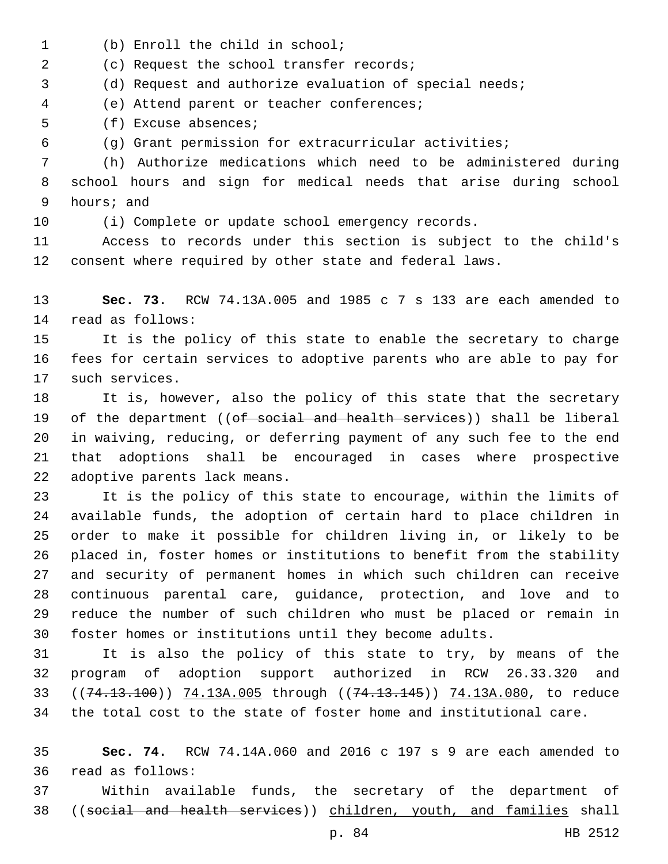- 1 (b) Enroll the child in school;
- (c) Request the school transfer records;2

(d) Request and authorize evaluation of special needs;

(e) Attend parent or teacher conferences;4

5 (f) Excuse absences;

(g) Grant permission for extracurricular activities;

 (h) Authorize medications which need to be administered during school hours and sign for medical needs that arise during school 9 hours; and

(i) Complete or update school emergency records.

 Access to records under this section is subject to the child's consent where required by other state and federal laws.

 **Sec. 73.** RCW 74.13A.005 and 1985 c 7 s 133 are each amended to 14 read as follows:

 It is the policy of this state to enable the secretary to charge fees for certain services to adoptive parents who are able to pay for 17 such services.

 It is, however, also the policy of this state that the secretary 19 of the department ((of social and health services)) shall be liberal in waiving, reducing, or deferring payment of any such fee to the end that adoptions shall be encouraged in cases where prospective 22 adoptive parents lack means.

 It is the policy of this state to encourage, within the limits of available funds, the adoption of certain hard to place children in order to make it possible for children living in, or likely to be placed in, foster homes or institutions to benefit from the stability and security of permanent homes in which such children can receive continuous parental care, guidance, protection, and love and to reduce the number of such children who must be placed or remain in foster homes or institutions until they become adults.

 It is also the policy of this state to try, by means of the program of adoption support authorized in RCW 26.33.320 and 33 ((74.13.100)) 74.13A.005 through ((74.13.145)) 74.13A.080, to reduce the total cost to the state of foster home and institutional care.

 **Sec. 74.** RCW 74.14A.060 and 2016 c 197 s 9 are each amended to read as follows:36

 Within available funds, the secretary of the department of ((social and health services)) children, youth, and families shall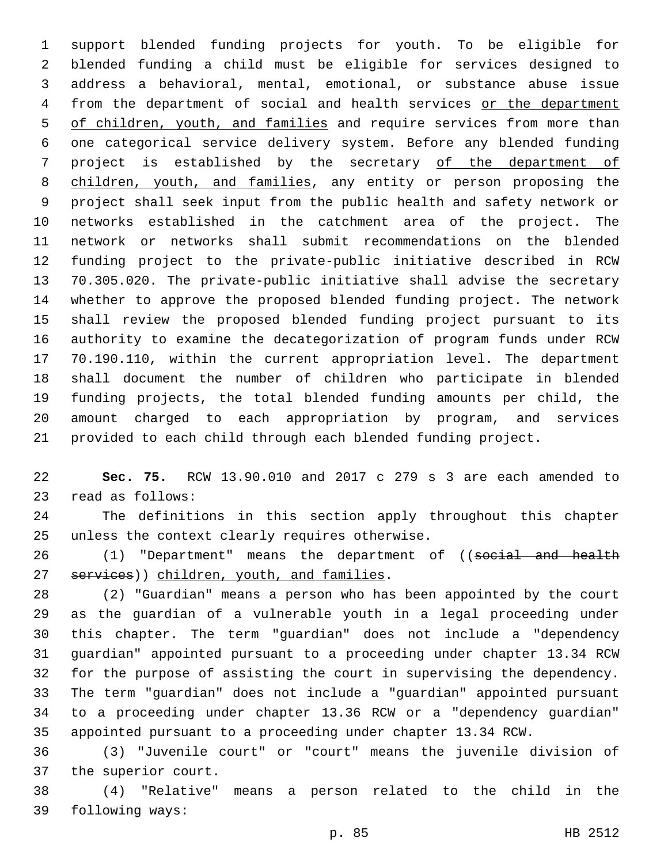support blended funding projects for youth. To be eligible for blended funding a child must be eligible for services designed to address a behavioral, mental, emotional, or substance abuse issue 4 from the department of social and health services or the department 5 of children, youth, and families and require services from more than one categorical service delivery system. Before any blended funding project is established by the secretary of the department of children, youth, and families, any entity or person proposing the project shall seek input from the public health and safety network or networks established in the catchment area of the project. The network or networks shall submit recommendations on the blended funding project to the private-public initiative described in RCW 70.305.020. The private-public initiative shall advise the secretary whether to approve the proposed blended funding project. The network shall review the proposed blended funding project pursuant to its authority to examine the decategorization of program funds under RCW 70.190.110, within the current appropriation level. The department shall document the number of children who participate in blended funding projects, the total blended funding amounts per child, the amount charged to each appropriation by program, and services provided to each child through each blended funding project.

 **Sec. 75.** RCW 13.90.010 and 2017 c 279 s 3 are each amended to 23 read as follows:

 The definitions in this section apply throughout this chapter 25 unless the context clearly requires otherwise.

26 (1) "Department" means the department of ((social and health 27 services)) children, youth, and families.

 (2) "Guardian" means a person who has been appointed by the court as the guardian of a vulnerable youth in a legal proceeding under this chapter. The term "guardian" does not include a "dependency guardian" appointed pursuant to a proceeding under chapter 13.34 RCW for the purpose of assisting the court in supervising the dependency. The term "guardian" does not include a "guardian" appointed pursuant to a proceeding under chapter 13.36 RCW or a "dependency guardian" appointed pursuant to a proceeding under chapter 13.34 RCW.

 (3) "Juvenile court" or "court" means the juvenile division of 37 the superior court.

 (4) "Relative" means a person related to the child in the 39 following ways: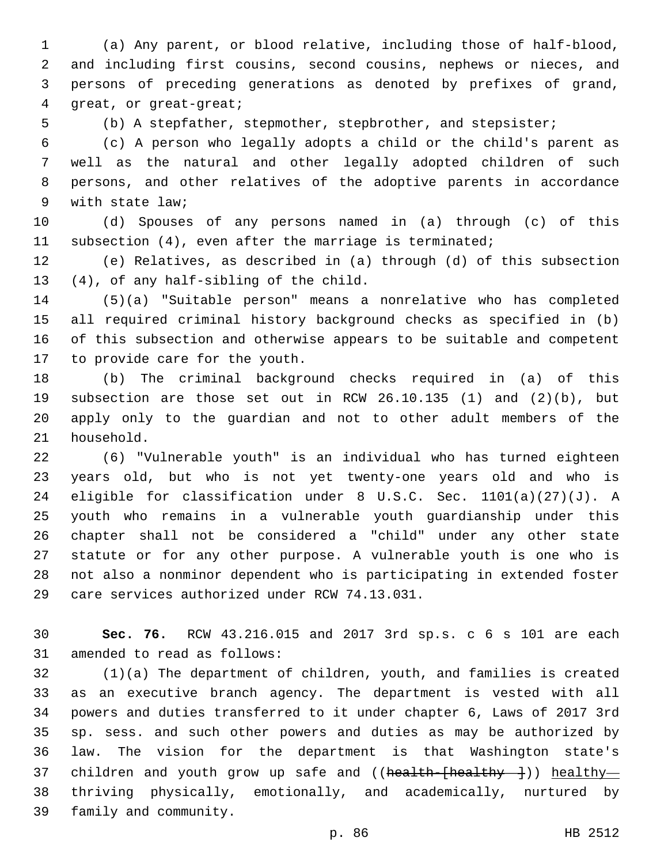(a) Any parent, or blood relative, including those of half-blood, and including first cousins, second cousins, nephews or nieces, and persons of preceding generations as denoted by prefixes of grand, 4 qreat, or great-great;

(b) A stepfather, stepmother, stepbrother, and stepsister;

 (c) A person who legally adopts a child or the child's parent as well as the natural and other legally adopted children of such persons, and other relatives of the adoptive parents in accordance 9 with state law;

 (d) Spouses of any persons named in (a) through (c) of this subsection (4), even after the marriage is terminated;

 (e) Relatives, as described in (a) through (d) of this subsection 13 (4), of any half-sibling of the child.

 (5)(a) "Suitable person" means a nonrelative who has completed all required criminal history background checks as specified in (b) of this subsection and otherwise appears to be suitable and competent 17 to provide care for the youth.

 (b) The criminal background checks required in (a) of this subsection are those set out in RCW 26.10.135 (1) and (2)(b), but apply only to the guardian and not to other adult members of the 21 household.

 (6) "Vulnerable youth" is an individual who has turned eighteen years old, but who is not yet twenty-one years old and who is eligible for classification under 8 U.S.C. Sec. 1101(a)(27)(J). A youth who remains in a vulnerable youth guardianship under this chapter shall not be considered a "child" under any other state statute or for any other purpose. A vulnerable youth is one who is not also a nonminor dependent who is participating in extended foster 29 care services authorized under RCW 74.13.031.

 **Sec. 76.** RCW 43.216.015 and 2017 3rd sp.s. c 6 s 101 are each 31 amended to read as follows:

 (1)(a) The department of children, youth, and families is created as an executive branch agency. The department is vested with all powers and duties transferred to it under chapter 6, Laws of 2017 3rd sp. sess. and such other powers and duties as may be authorized by law. The vision for the department is that Washington state's 37 children and youth grow up safe and ((health-[healthy---])) healthy- thriving physically, emotionally, and academically, nurtured by 39 family and community.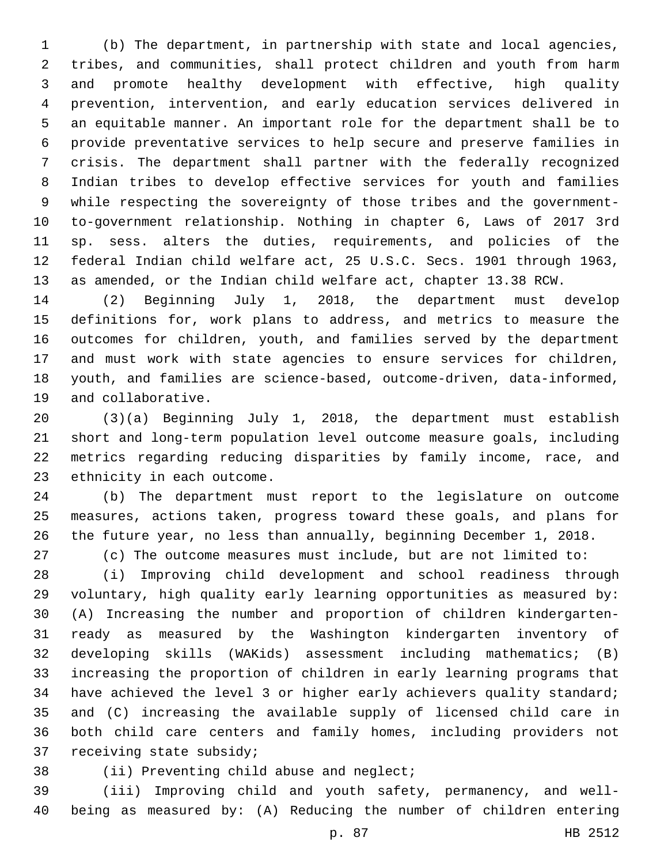(b) The department, in partnership with state and local agencies, tribes, and communities, shall protect children and youth from harm and promote healthy development with effective, high quality prevention, intervention, and early education services delivered in an equitable manner. An important role for the department shall be to provide preventative services to help secure and preserve families in crisis. The department shall partner with the federally recognized Indian tribes to develop effective services for youth and families while respecting the sovereignty of those tribes and the government- to-government relationship. Nothing in chapter 6, Laws of 2017 3rd sp. sess. alters the duties, requirements, and policies of the federal Indian child welfare act, 25 U.S.C. Secs. 1901 through 1963, as amended, or the Indian child welfare act, chapter 13.38 RCW.

 (2) Beginning July 1, 2018, the department must develop definitions for, work plans to address, and metrics to measure the outcomes for children, youth, and families served by the department and must work with state agencies to ensure services for children, youth, and families are science-based, outcome-driven, data-informed, 19 and collaborative.

 (3)(a) Beginning July 1, 2018, the department must establish short and long-term population level outcome measure goals, including metrics regarding reducing disparities by family income, race, and 23 ethnicity in each outcome.

 (b) The department must report to the legislature on outcome measures, actions taken, progress toward these goals, and plans for the future year, no less than annually, beginning December 1, 2018.

(c) The outcome measures must include, but are not limited to:

 (i) Improving child development and school readiness through voluntary, high quality early learning opportunities as measured by: (A) Increasing the number and proportion of children kindergarten- ready as measured by the Washington kindergarten inventory of developing skills (WAKids) assessment including mathematics; (B) increasing the proportion of children in early learning programs that have achieved the level 3 or higher early achievers quality standard; and (C) increasing the available supply of licensed child care in both child care centers and family homes, including providers not 37 receiving state subsidy;

38 (ii) Preventing child abuse and neglect;

 (iii) Improving child and youth safety, permanency, and well-being as measured by: (A) Reducing the number of children entering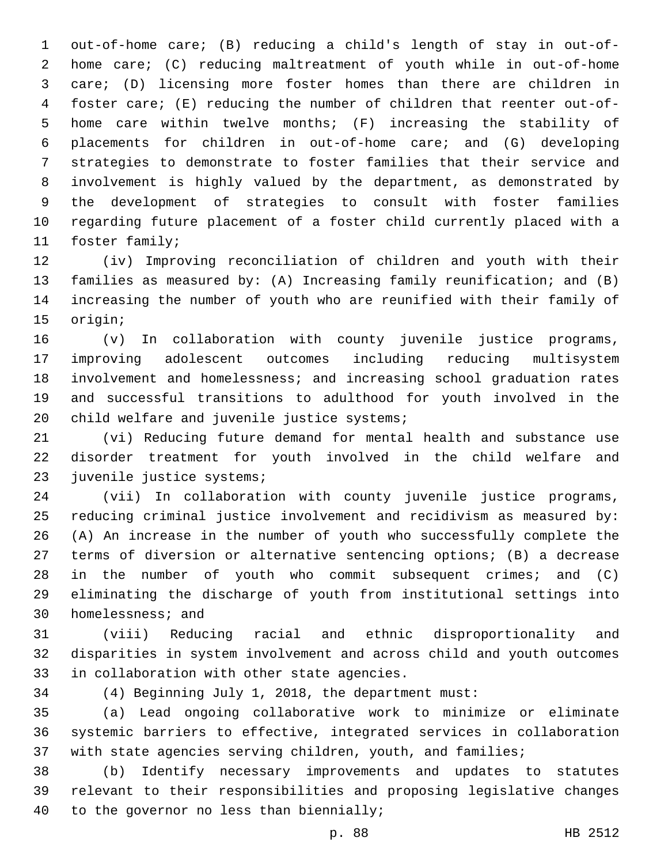out-of-home care; (B) reducing a child's length of stay in out-of- home care; (C) reducing maltreatment of youth while in out-of-home care; (D) licensing more foster homes than there are children in foster care; (E) reducing the number of children that reenter out-of- home care within twelve months; (F) increasing the stability of placements for children in out-of-home care; and (G) developing strategies to demonstrate to foster families that their service and involvement is highly valued by the department, as demonstrated by the development of strategies to consult with foster families regarding future placement of a foster child currently placed with a 11 foster family;

 (iv) Improving reconciliation of children and youth with their families as measured by: (A) Increasing family reunification; and (B) increasing the number of youth who are reunified with their family of 15 origin;

 (v) In collaboration with county juvenile justice programs, improving adolescent outcomes including reducing multisystem involvement and homelessness; and increasing school graduation rates and successful transitions to adulthood for youth involved in the 20 child welfare and juvenile justice systems;

 (vi) Reducing future demand for mental health and substance use disorder treatment for youth involved in the child welfare and 23 juvenile justice systems;

 (vii) In collaboration with county juvenile justice programs, reducing criminal justice involvement and recidivism as measured by: (A) An increase in the number of youth who successfully complete the terms of diversion or alternative sentencing options; (B) a decrease in the number of youth who commit subsequent crimes; and (C) eliminating the discharge of youth from institutional settings into 30 homelessness; and

 (viii) Reducing racial and ethnic disproportionality and disparities in system involvement and across child and youth outcomes 33 in collaboration with other state agencies.

(4) Beginning July 1, 2018, the department must:

 (a) Lead ongoing collaborative work to minimize or eliminate systemic barriers to effective, integrated services in collaboration 37 with state agencies serving children, youth, and families;

 (b) Identify necessary improvements and updates to statutes relevant to their responsibilities and proposing legislative changes 40 to the governor no less than biennially;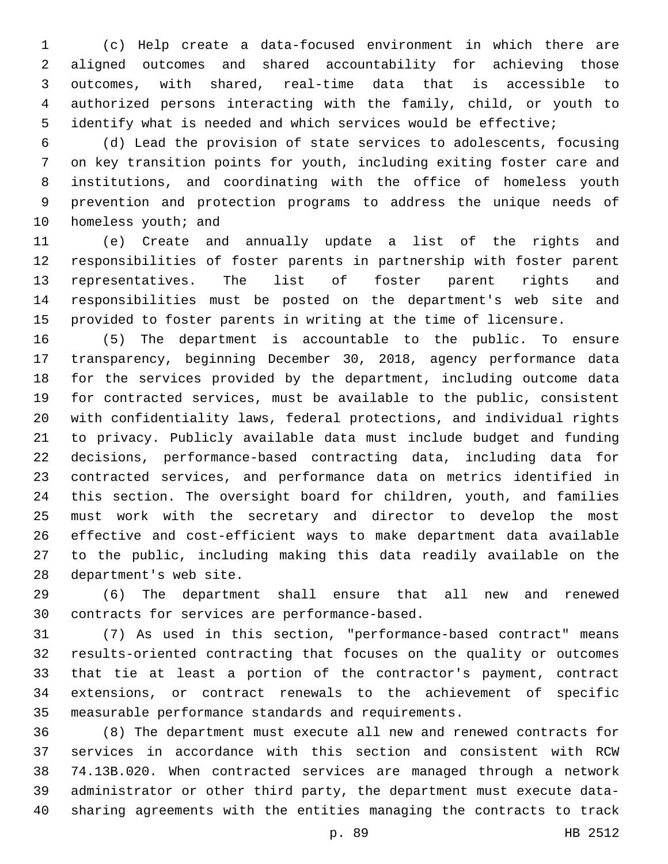(c) Help create a data-focused environment in which there are aligned outcomes and shared accountability for achieving those outcomes, with shared, real-time data that is accessible to authorized persons interacting with the family, child, or youth to identify what is needed and which services would be effective;

 (d) Lead the provision of state services to adolescents, focusing on key transition points for youth, including exiting foster care and institutions, and coordinating with the office of homeless youth prevention and protection programs to address the unique needs of 10 homeless youth; and

 (e) Create and annually update a list of the rights and responsibilities of foster parents in partnership with foster parent representatives. The list of foster parent rights and responsibilities must be posted on the department's web site and provided to foster parents in writing at the time of licensure.

 (5) The department is accountable to the public. To ensure transparency, beginning December 30, 2018, agency performance data for the services provided by the department, including outcome data for contracted services, must be available to the public, consistent with confidentiality laws, federal protections, and individual rights to privacy. Publicly available data must include budget and funding decisions, performance-based contracting data, including data for contracted services, and performance data on metrics identified in this section. The oversight board for children, youth, and families must work with the secretary and director to develop the most effective and cost-efficient ways to make department data available to the public, including making this data readily available on the 28 department's web site.

 (6) The department shall ensure that all new and renewed 30 contracts for services are performance-based.

 (7) As used in this section, "performance-based contract" means results-oriented contracting that focuses on the quality or outcomes that tie at least a portion of the contractor's payment, contract extensions, or contract renewals to the achievement of specific measurable performance standards and requirements.

 (8) The department must execute all new and renewed contracts for services in accordance with this section and consistent with RCW 74.13B.020. When contracted services are managed through a network administrator or other third party, the department must execute data-sharing agreements with the entities managing the contracts to track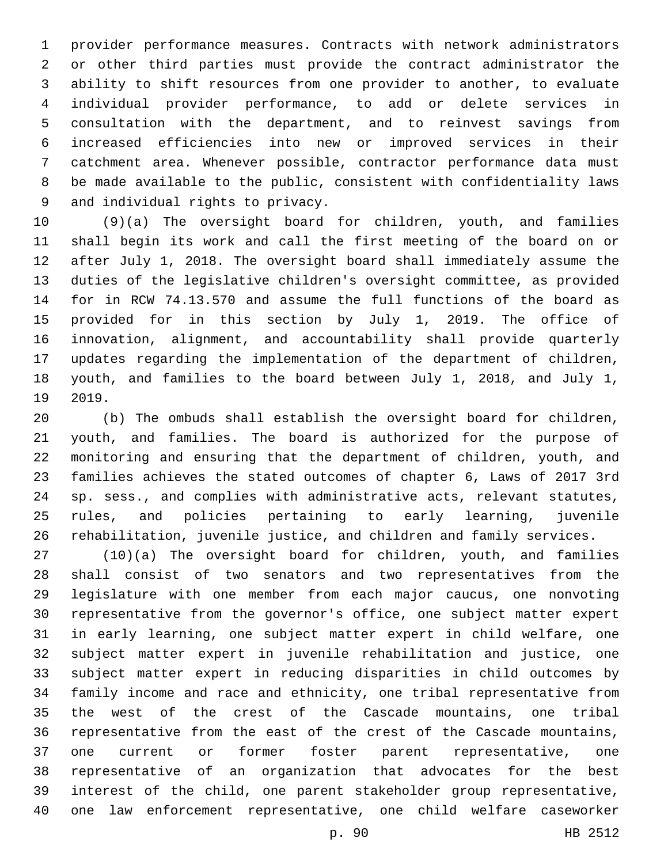provider performance measures. Contracts with network administrators or other third parties must provide the contract administrator the ability to shift resources from one provider to another, to evaluate individual provider performance, to add or delete services in consultation with the department, and to reinvest savings from increased efficiencies into new or improved services in their catchment area. Whenever possible, contractor performance data must be made available to the public, consistent with confidentiality laws 9 and individual rights to privacy.

 (9)(a) The oversight board for children, youth, and families shall begin its work and call the first meeting of the board on or after July 1, 2018. The oversight board shall immediately assume the duties of the legislative children's oversight committee, as provided for in RCW 74.13.570 and assume the full functions of the board as provided for in this section by July 1, 2019. The office of innovation, alignment, and accountability shall provide quarterly updates regarding the implementation of the department of children, youth, and families to the board between July 1, 2018, and July 1, 19 2019.

 (b) The ombuds shall establish the oversight board for children, youth, and families. The board is authorized for the purpose of monitoring and ensuring that the department of children, youth, and families achieves the stated outcomes of chapter 6, Laws of 2017 3rd sp. sess., and complies with administrative acts, relevant statutes, rules, and policies pertaining to early learning, juvenile rehabilitation, juvenile justice, and children and family services.

 (10)(a) The oversight board for children, youth, and families shall consist of two senators and two representatives from the legislature with one member from each major caucus, one nonvoting representative from the governor's office, one subject matter expert in early learning, one subject matter expert in child welfare, one subject matter expert in juvenile rehabilitation and justice, one subject matter expert in reducing disparities in child outcomes by family income and race and ethnicity, one tribal representative from the west of the crest of the Cascade mountains, one tribal representative from the east of the crest of the Cascade mountains, one current or former foster parent representative, one representative of an organization that advocates for the best interest of the child, one parent stakeholder group representative, one law enforcement representative, one child welfare caseworker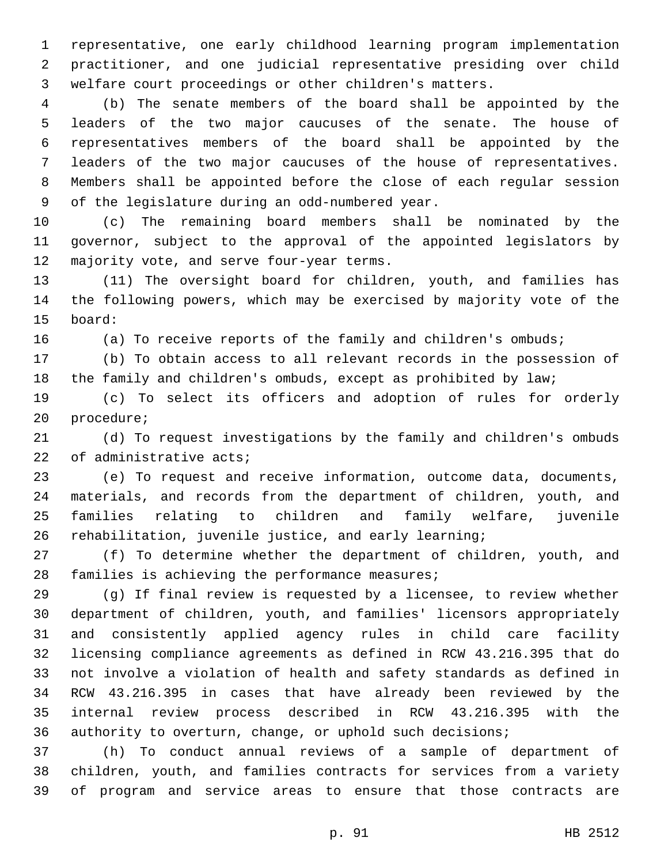representative, one early childhood learning program implementation practitioner, and one judicial representative presiding over child welfare court proceedings or other children's matters.

 (b) The senate members of the board shall be appointed by the leaders of the two major caucuses of the senate. The house of representatives members of the board shall be appointed by the leaders of the two major caucuses of the house of representatives. Members shall be appointed before the close of each regular session 9 of the legislature during an odd-numbered year.

 (c) The remaining board members shall be nominated by the governor, subject to the approval of the appointed legislators by 12 majority vote, and serve four-year terms.

 (11) The oversight board for children, youth, and families has the following powers, which may be exercised by majority vote of the 15 board:

16 (a) To receive reports of the family and children's ombuds;

 (b) To obtain access to all relevant records in the possession of the family and children's ombuds, except as prohibited by law;

 (c) To select its officers and adoption of rules for orderly 20 procedure;

 (d) To request investigations by the family and children's ombuds 22 of administrative acts;

 (e) To request and receive information, outcome data, documents, materials, and records from the department of children, youth, and families relating to children and family welfare, juvenile rehabilitation, juvenile justice, and early learning;

 (f) To determine whether the department of children, youth, and 28 families is achieving the performance measures;

 (g) If final review is requested by a licensee, to review whether department of children, youth, and families' licensors appropriately and consistently applied agency rules in child care facility licensing compliance agreements as defined in RCW 43.216.395 that do not involve a violation of health and safety standards as defined in RCW 43.216.395 in cases that have already been reviewed by the internal review process described in RCW 43.216.395 with the authority to overturn, change, or uphold such decisions;

 (h) To conduct annual reviews of a sample of department of children, youth, and families contracts for services from a variety of program and service areas to ensure that those contracts are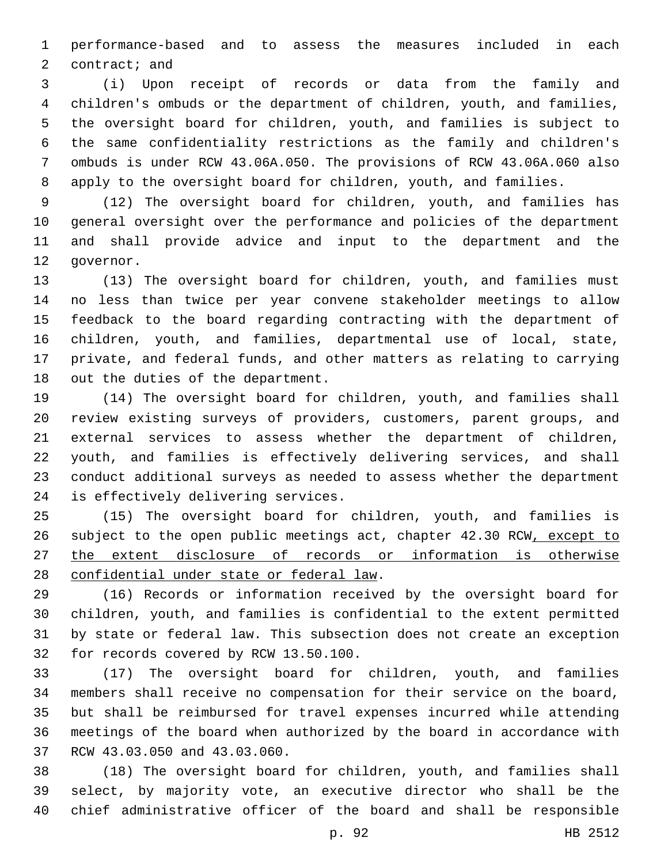performance-based and to assess the measures included in each 2 contract; and

 (i) Upon receipt of records or data from the family and children's ombuds or the department of children, youth, and families, the oversight board for children, youth, and families is subject to the same confidentiality restrictions as the family and children's ombuds is under RCW 43.06A.050. The provisions of RCW 43.06A.060 also apply to the oversight board for children, youth, and families.

 (12) The oversight board for children, youth, and families has general oversight over the performance and policies of the department and shall provide advice and input to the department and the 12 qovernor.

 (13) The oversight board for children, youth, and families must no less than twice per year convene stakeholder meetings to allow feedback to the board regarding contracting with the department of children, youth, and families, departmental use of local, state, private, and federal funds, and other matters as relating to carrying 18 out the duties of the department.

 (14) The oversight board for children, youth, and families shall review existing surveys of providers, customers, parent groups, and external services to assess whether the department of children, youth, and families is effectively delivering services, and shall conduct additional surveys as needed to assess whether the department 24 is effectively delivering services.

 (15) The oversight board for children, youth, and families is subject to the open public meetings act, chapter 42.30 RCW, except to the extent disclosure of records or information is otherwise 28 confidential under state or federal law.

 (16) Records or information received by the oversight board for children, youth, and families is confidential to the extent permitted by state or federal law. This subsection does not create an exception 32 for records covered by RCW 13.50.100.

 (17) The oversight board for children, youth, and families members shall receive no compensation for their service on the board, but shall be reimbursed for travel expenses incurred while attending meetings of the board when authorized by the board in accordance with 37 RCW 43.03.050 and 43.03.060.

 (18) The oversight board for children, youth, and families shall select, by majority vote, an executive director who shall be the chief administrative officer of the board and shall be responsible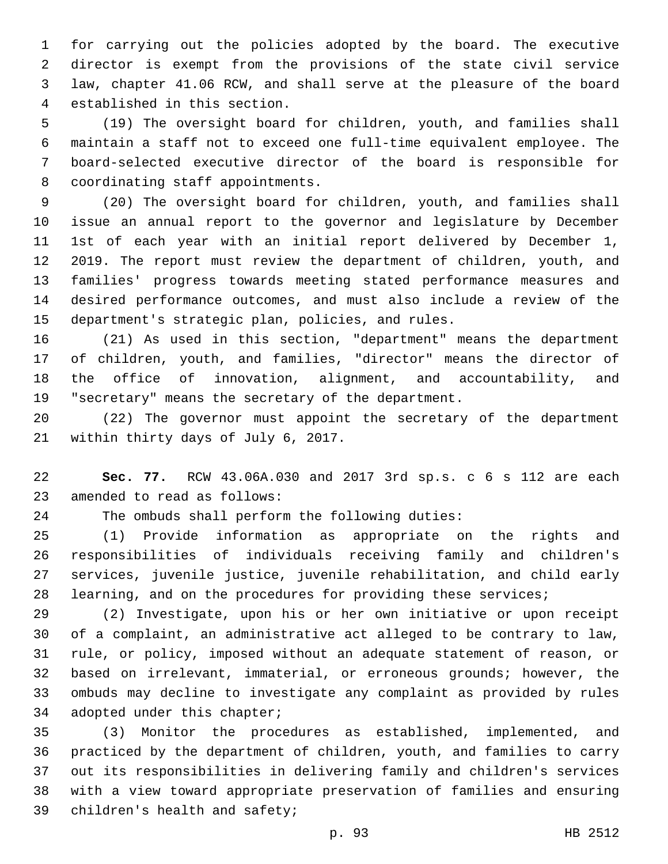for carrying out the policies adopted by the board. The executive director is exempt from the provisions of the state civil service law, chapter 41.06 RCW, and shall serve at the pleasure of the board 4 established in this section.

 (19) The oversight board for children, youth, and families shall maintain a staff not to exceed one full-time equivalent employee. The board-selected executive director of the board is responsible for 8 coordinating staff appointments.

 (20) The oversight board for children, youth, and families shall issue an annual report to the governor and legislature by December 1st of each year with an initial report delivered by December 1, 2019. The report must review the department of children, youth, and families' progress towards meeting stated performance measures and desired performance outcomes, and must also include a review of the 15 department's strategic plan, policies, and rules.

 (21) As used in this section, "department" means the department of children, youth, and families, "director" means the director of the office of innovation, alignment, and accountability, and "secretary" means the secretary of the department.

 (22) The governor must appoint the secretary of the department 21 within thirty days of July 6, 2017.

 **Sec. 77.** RCW 43.06A.030 and 2017 3rd sp.s. c 6 s 112 are each 23 amended to read as follows:

The ombuds shall perform the following duties:

 (1) Provide information as appropriate on the rights and responsibilities of individuals receiving family and children's services, juvenile justice, juvenile rehabilitation, and child early learning, and on the procedures for providing these services;

 (2) Investigate, upon his or her own initiative or upon receipt of a complaint, an administrative act alleged to be contrary to law, rule, or policy, imposed without an adequate statement of reason, or based on irrelevant, immaterial, or erroneous grounds; however, the ombuds may decline to investigate any complaint as provided by rules 34 adopted under this chapter;

 (3) Monitor the procedures as established, implemented, and practiced by the department of children, youth, and families to carry out its responsibilities in delivering family and children's services with a view toward appropriate preservation of families and ensuring 39 children's health and safety;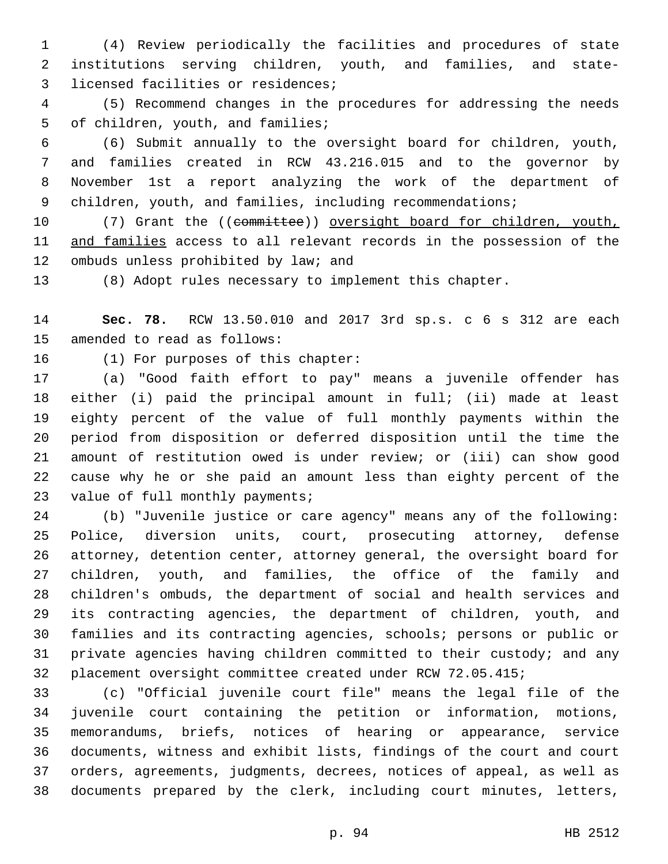(4) Review periodically the facilities and procedures of state institutions serving children, youth, and families, and state-3 licensed facilities or residences;

 (5) Recommend changes in the procedures for addressing the needs 5 of children, youth, and families;

 (6) Submit annually to the oversight board for children, youth, and families created in RCW 43.216.015 and to the governor by November 1st a report analyzing the work of the department of 9 children, youth, and families, including recommendations;

10 (7) Grant the ((committee)) oversight board for children, youth, and families access to all relevant records in the possession of the 12 ombuds unless prohibited by law; and

(8) Adopt rules necessary to implement this chapter.

 **Sec. 78.** RCW 13.50.010 and 2017 3rd sp.s. c 6 s 312 are each 15 amended to read as follows:

16 (1) For purposes of this chapter:

 (a) "Good faith effort to pay" means a juvenile offender has either (i) paid the principal amount in full; (ii) made at least eighty percent of the value of full monthly payments within the period from disposition or deferred disposition until the time the amount of restitution owed is under review; or (iii) can show good cause why he or she paid an amount less than eighty percent of the 23 value of full monthly payments;

 (b) "Juvenile justice or care agency" means any of the following: Police, diversion units, court, prosecuting attorney, defense attorney, detention center, attorney general, the oversight board for children, youth, and families, the office of the family and children's ombuds, the department of social and health services and its contracting agencies, the department of children, youth, and families and its contracting agencies, schools; persons or public or private agencies having children committed to their custody; and any placement oversight committee created under RCW 72.05.415;

 (c) "Official juvenile court file" means the legal file of the juvenile court containing the petition or information, motions, memorandums, briefs, notices of hearing or appearance, service documents, witness and exhibit lists, findings of the court and court orders, agreements, judgments, decrees, notices of appeal, as well as documents prepared by the clerk, including court minutes, letters,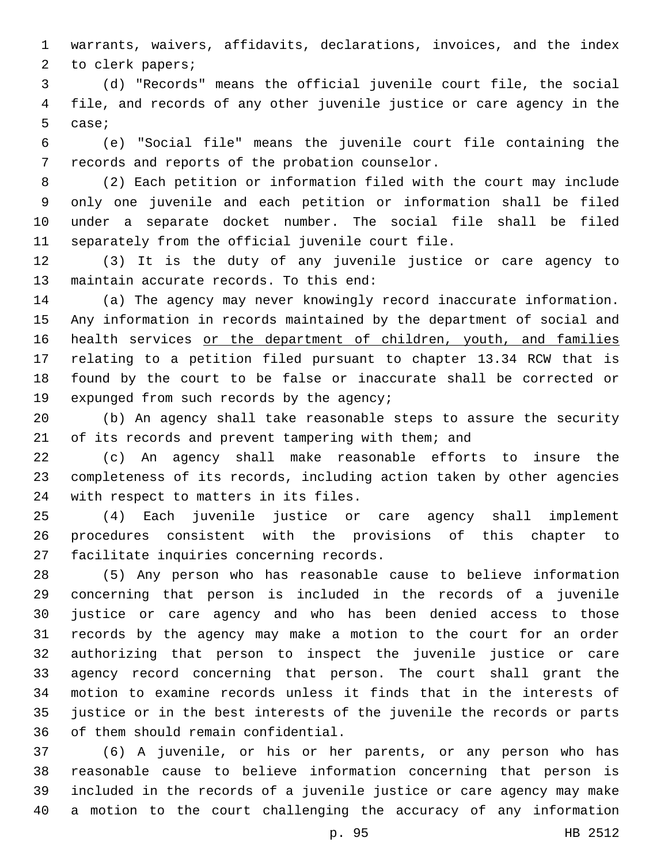warrants, waivers, affidavits, declarations, invoices, and the index 2 to clerk papers;

 (d) "Records" means the official juvenile court file, the social file, and records of any other juvenile justice or care agency in the 5 case;

 (e) "Social file" means the juvenile court file containing the 7 records and reports of the probation counselor.

 (2) Each petition or information filed with the court may include only one juvenile and each petition or information shall be filed under a separate docket number. The social file shall be filed 11 separately from the official juvenile court file.

 (3) It is the duty of any juvenile justice or care agency to 13 maintain accurate records. To this end:

 (a) The agency may never knowingly record inaccurate information. Any information in records maintained by the department of social and 16 health services or the department of children, youth, and families relating to a petition filed pursuant to chapter 13.34 RCW that is found by the court to be false or inaccurate shall be corrected or 19 expunged from such records by the agency;

 (b) An agency shall take reasonable steps to assure the security of its records and prevent tampering with them; and

 (c) An agency shall make reasonable efforts to insure the completeness of its records, including action taken by other agencies 24 with respect to matters in its files.

 (4) Each juvenile justice or care agency shall implement procedures consistent with the provisions of this chapter to 27 facilitate inquiries concerning records.

 (5) Any person who has reasonable cause to believe information concerning that person is included in the records of a juvenile justice or care agency and who has been denied access to those records by the agency may make a motion to the court for an order authorizing that person to inspect the juvenile justice or care agency record concerning that person. The court shall grant the motion to examine records unless it finds that in the interests of justice or in the best interests of the juvenile the records or parts 36 of them should remain confidential.

 (6) A juvenile, or his or her parents, or any person who has reasonable cause to believe information concerning that person is included in the records of a juvenile justice or care agency may make a motion to the court challenging the accuracy of any information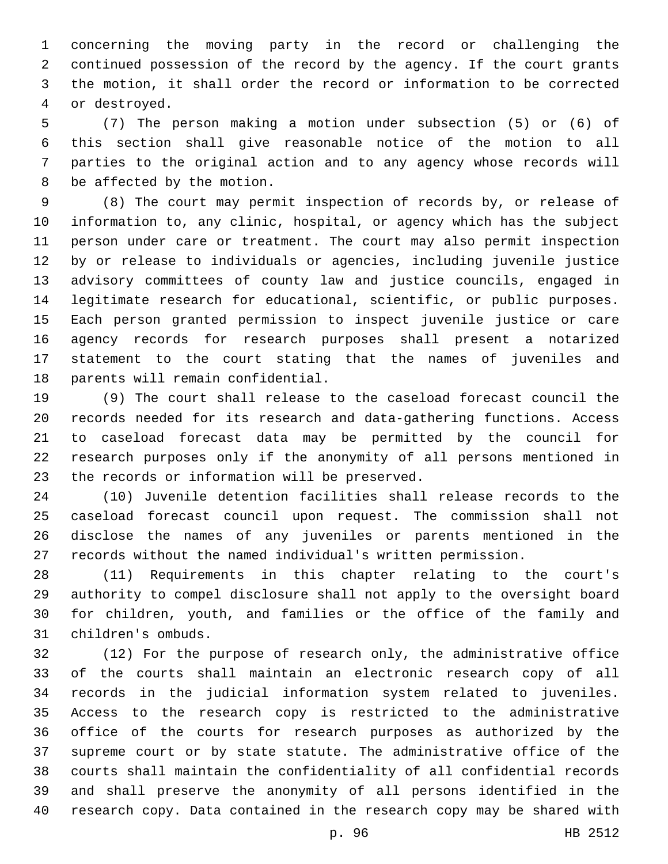concerning the moving party in the record or challenging the continued possession of the record by the agency. If the court grants the motion, it shall order the record or information to be corrected 4 or destroyed.

 (7) The person making a motion under subsection (5) or (6) of this section shall give reasonable notice of the motion to all parties to the original action and to any agency whose records will 8 be affected by the motion.

 (8) The court may permit inspection of records by, or release of information to, any clinic, hospital, or agency which has the subject person under care or treatment. The court may also permit inspection by or release to individuals or agencies, including juvenile justice advisory committees of county law and justice councils, engaged in legitimate research for educational, scientific, or public purposes. Each person granted permission to inspect juvenile justice or care agency records for research purposes shall present a notarized statement to the court stating that the names of juveniles and 18 parents will remain confidential.

 (9) The court shall release to the caseload forecast council the records needed for its research and data-gathering functions. Access to caseload forecast data may be permitted by the council for research purposes only if the anonymity of all persons mentioned in 23 the records or information will be preserved.

 (10) Juvenile detention facilities shall release records to the caseload forecast council upon request. The commission shall not disclose the names of any juveniles or parents mentioned in the records without the named individual's written permission.

 (11) Requirements in this chapter relating to the court's authority to compel disclosure shall not apply to the oversight board for children, youth, and families or the office of the family and 31 children's ombuds.

 (12) For the purpose of research only, the administrative office of the courts shall maintain an electronic research copy of all records in the judicial information system related to juveniles. Access to the research copy is restricted to the administrative office of the courts for research purposes as authorized by the supreme court or by state statute. The administrative office of the courts shall maintain the confidentiality of all confidential records and shall preserve the anonymity of all persons identified in the research copy. Data contained in the research copy may be shared with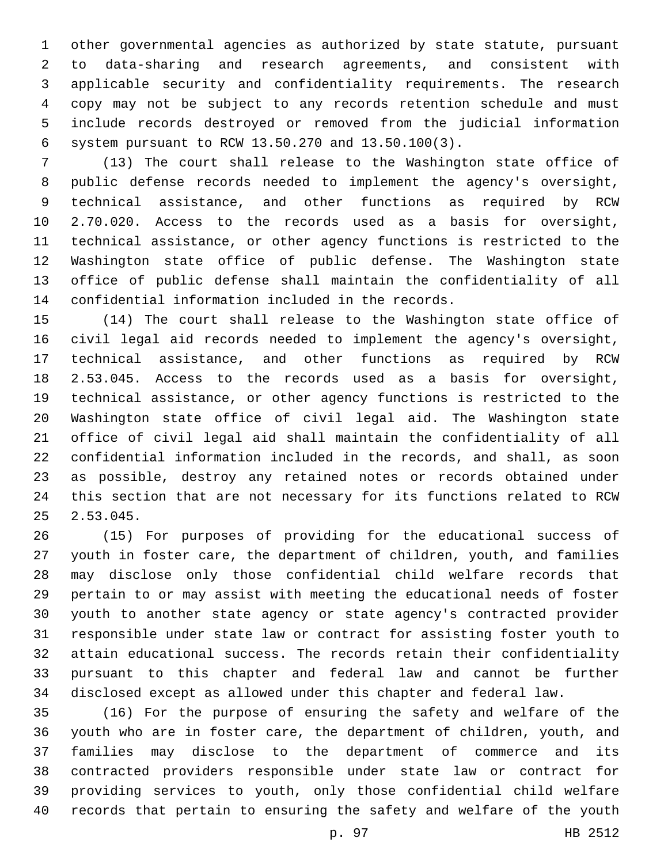other governmental agencies as authorized by state statute, pursuant to data-sharing and research agreements, and consistent with applicable security and confidentiality requirements. The research copy may not be subject to any records retention schedule and must include records destroyed or removed from the judicial information system pursuant to RCW 13.50.270 and 13.50.100(3).6

 (13) The court shall release to the Washington state office of public defense records needed to implement the agency's oversight, technical assistance, and other functions as required by RCW 2.70.020. Access to the records used as a basis for oversight, technical assistance, or other agency functions is restricted to the Washington state office of public defense. The Washington state office of public defense shall maintain the confidentiality of all 14 confidential information included in the records.

 (14) The court shall release to the Washington state office of civil legal aid records needed to implement the agency's oversight, technical assistance, and other functions as required by RCW 2.53.045. Access to the records used as a basis for oversight, technical assistance, or other agency functions is restricted to the Washington state office of civil legal aid. The Washington state office of civil legal aid shall maintain the confidentiality of all confidential information included in the records, and shall, as soon as possible, destroy any retained notes or records obtained under this section that are not necessary for its functions related to RCW 2.53.045.

 (15) For purposes of providing for the educational success of youth in foster care, the department of children, youth, and families may disclose only those confidential child welfare records that pertain to or may assist with meeting the educational needs of foster youth to another state agency or state agency's contracted provider responsible under state law or contract for assisting foster youth to attain educational success. The records retain their confidentiality pursuant to this chapter and federal law and cannot be further disclosed except as allowed under this chapter and federal law.

 (16) For the purpose of ensuring the safety and welfare of the youth who are in foster care, the department of children, youth, and families may disclose to the department of commerce and its contracted providers responsible under state law or contract for providing services to youth, only those confidential child welfare records that pertain to ensuring the safety and welfare of the youth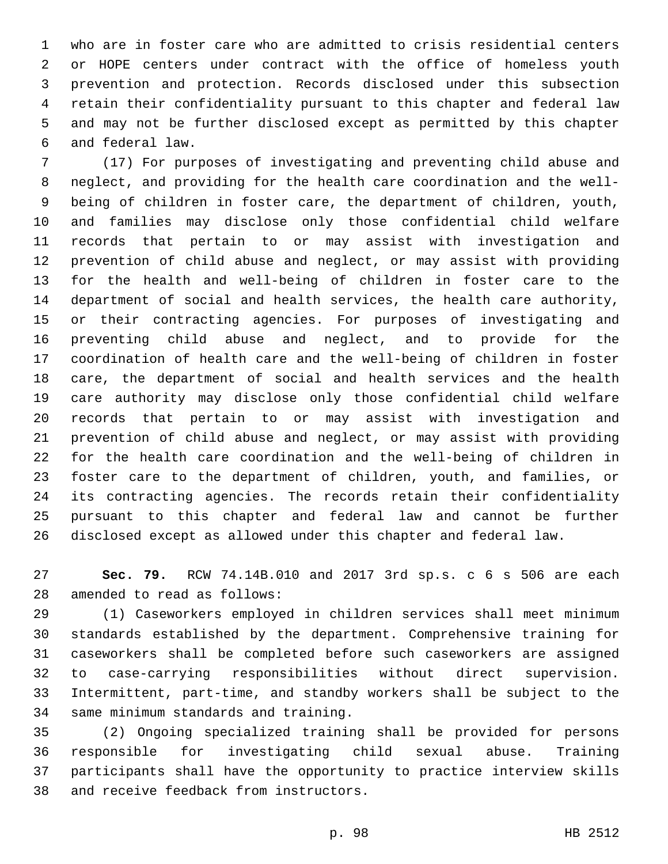who are in foster care who are admitted to crisis residential centers or HOPE centers under contract with the office of homeless youth prevention and protection. Records disclosed under this subsection retain their confidentiality pursuant to this chapter and federal law and may not be further disclosed except as permitted by this chapter and federal law.6

 (17) For purposes of investigating and preventing child abuse and neglect, and providing for the health care coordination and the well- being of children in foster care, the department of children, youth, and families may disclose only those confidential child welfare records that pertain to or may assist with investigation and prevention of child abuse and neglect, or may assist with providing for the health and well-being of children in foster care to the department of social and health services, the health care authority, or their contracting agencies. For purposes of investigating and preventing child abuse and neglect, and to provide for the coordination of health care and the well-being of children in foster care, the department of social and health services and the health care authority may disclose only those confidential child welfare records that pertain to or may assist with investigation and prevention of child abuse and neglect, or may assist with providing for the health care coordination and the well-being of children in foster care to the department of children, youth, and families, or its contracting agencies. The records retain their confidentiality pursuant to this chapter and federal law and cannot be further disclosed except as allowed under this chapter and federal law.

 **Sec. 79.** RCW 74.14B.010 and 2017 3rd sp.s. c 6 s 506 are each 28 amended to read as follows:

 (1) Caseworkers employed in children services shall meet minimum standards established by the department. Comprehensive training for caseworkers shall be completed before such caseworkers are assigned to case-carrying responsibilities without direct supervision. Intermittent, part-time, and standby workers shall be subject to the 34 same minimum standards and training.

 (2) Ongoing specialized training shall be provided for persons responsible for investigating child sexual abuse. Training participants shall have the opportunity to practice interview skills 38 and receive feedback from instructors.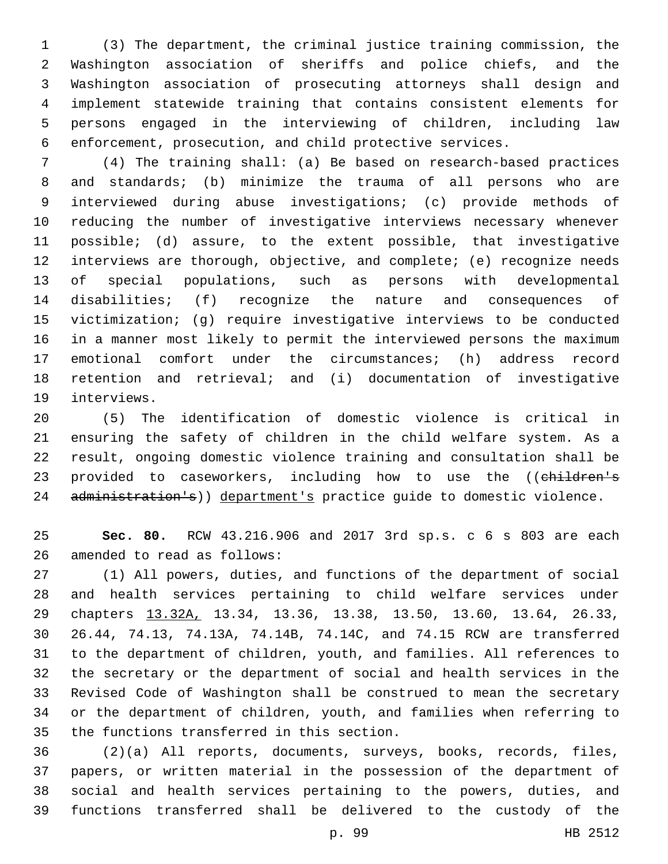(3) The department, the criminal justice training commission, the Washington association of sheriffs and police chiefs, and the Washington association of prosecuting attorneys shall design and implement statewide training that contains consistent elements for persons engaged in the interviewing of children, including law enforcement, prosecution, and child protective services.

 (4) The training shall: (a) Be based on research-based practices and standards; (b) minimize the trauma of all persons who are interviewed during abuse investigations; (c) provide methods of reducing the number of investigative interviews necessary whenever possible; (d) assure, to the extent possible, that investigative interviews are thorough, objective, and complete; (e) recognize needs of special populations, such as persons with developmental disabilities; (f) recognize the nature and consequences of victimization; (g) require investigative interviews to be conducted in a manner most likely to permit the interviewed persons the maximum emotional comfort under the circumstances; (h) address record retention and retrieval; and (i) documentation of investigative 19 interviews.

 (5) The identification of domestic violence is critical in ensuring the safety of children in the child welfare system. As a result, ongoing domestic violence training and consultation shall be 23 provided to caseworkers, including how to use the ((children's 24 administration's)) department's practice guide to domestic violence.

 **Sec. 80.** RCW 43.216.906 and 2017 3rd sp.s. c 6 s 803 are each 26 amended to read as follows:

 (1) All powers, duties, and functions of the department of social and health services pertaining to child welfare services under chapters 13.32A, 13.34, 13.36, 13.38, 13.50, 13.60, 13.64, 26.33, 26.44, 74.13, 74.13A, 74.14B, 74.14C, and 74.15 RCW are transferred to the department of children, youth, and families. All references to the secretary or the department of social and health services in the Revised Code of Washington shall be construed to mean the secretary or the department of children, youth, and families when referring to 35 the functions transferred in this section.

 (2)(a) All reports, documents, surveys, books, records, files, papers, or written material in the possession of the department of social and health services pertaining to the powers, duties, and functions transferred shall be delivered to the custody of the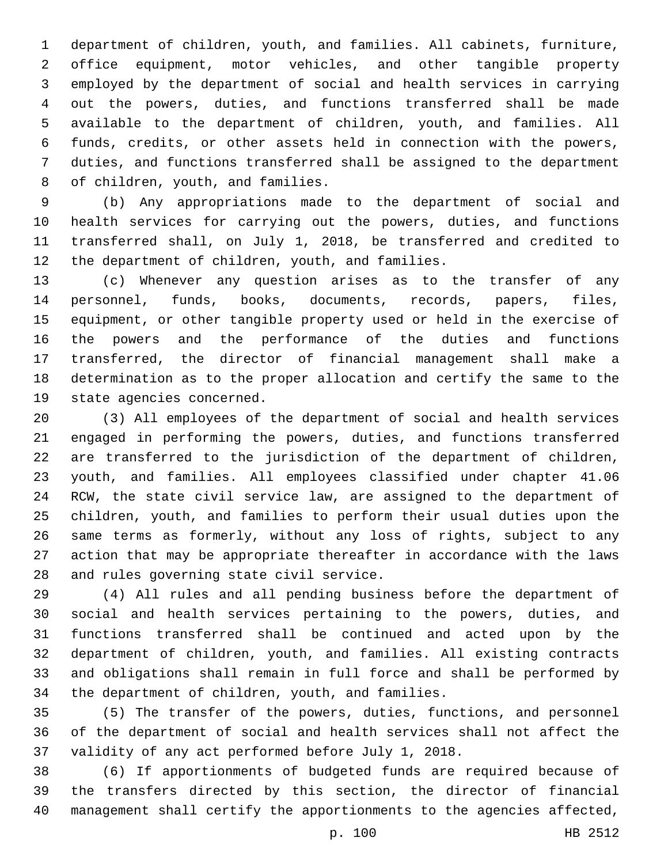department of children, youth, and families. All cabinets, furniture, office equipment, motor vehicles, and other tangible property employed by the department of social and health services in carrying out the powers, duties, and functions transferred shall be made available to the department of children, youth, and families. All funds, credits, or other assets held in connection with the powers, duties, and functions transferred shall be assigned to the department 8 of children, youth, and families.

 (b) Any appropriations made to the department of social and health services for carrying out the powers, duties, and functions transferred shall, on July 1, 2018, be transferred and credited to 12 the department of children, youth, and families.

 (c) Whenever any question arises as to the transfer of any personnel, funds, books, documents, records, papers, files, equipment, or other tangible property used or held in the exercise of the powers and the performance of the duties and functions transferred, the director of financial management shall make a determination as to the proper allocation and certify the same to the 19 state agencies concerned.

 (3) All employees of the department of social and health services engaged in performing the powers, duties, and functions transferred are transferred to the jurisdiction of the department of children, youth, and families. All employees classified under chapter 41.06 RCW, the state civil service law, are assigned to the department of children, youth, and families to perform their usual duties upon the same terms as formerly, without any loss of rights, subject to any action that may be appropriate thereafter in accordance with the laws 28 and rules governing state civil service.

 (4) All rules and all pending business before the department of social and health services pertaining to the powers, duties, and functions transferred shall be continued and acted upon by the department of children, youth, and families. All existing contracts and obligations shall remain in full force and shall be performed by 34 the department of children, youth, and families.

 (5) The transfer of the powers, duties, functions, and personnel of the department of social and health services shall not affect the validity of any act performed before July 1, 2018.

 (6) If apportionments of budgeted funds are required because of the transfers directed by this section, the director of financial management shall certify the apportionments to the agencies affected,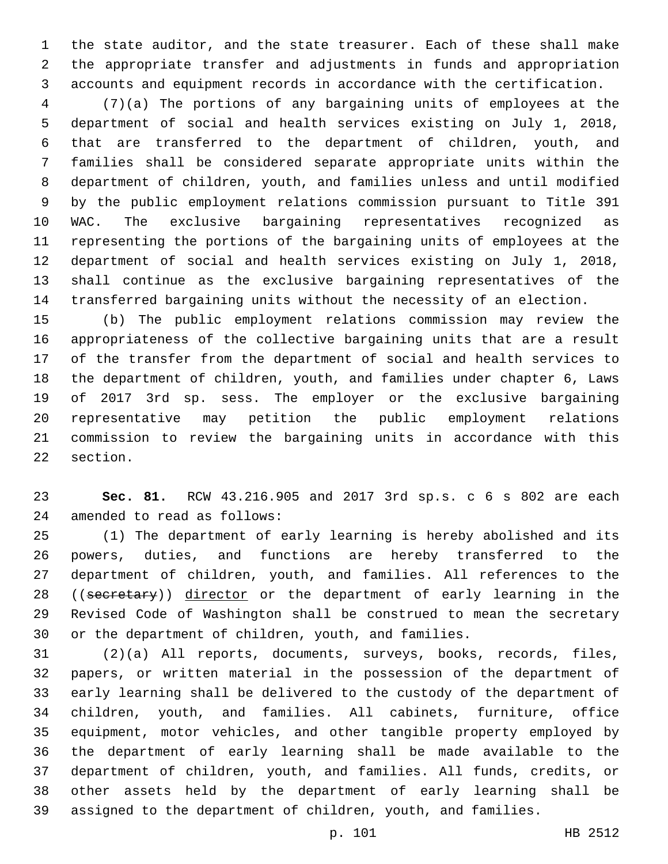the state auditor, and the state treasurer. Each of these shall make the appropriate transfer and adjustments in funds and appropriation accounts and equipment records in accordance with the certification.

 (7)(a) The portions of any bargaining units of employees at the department of social and health services existing on July 1, 2018, that are transferred to the department of children, youth, and families shall be considered separate appropriate units within the department of children, youth, and families unless and until modified by the public employment relations commission pursuant to Title 391 WAC. The exclusive bargaining representatives recognized as representing the portions of the bargaining units of employees at the department of social and health services existing on July 1, 2018, shall continue as the exclusive bargaining representatives of the transferred bargaining units without the necessity of an election.

 (b) The public employment relations commission may review the appropriateness of the collective bargaining units that are a result of the transfer from the department of social and health services to the department of children, youth, and families under chapter 6, Laws of 2017 3rd sp. sess. The employer or the exclusive bargaining representative may petition the public employment relations commission to review the bargaining units in accordance with this 22 section.

 **Sec. 81.** RCW 43.216.905 and 2017 3rd sp.s. c 6 s 802 are each 24 amended to read as follows:

 (1) The department of early learning is hereby abolished and its powers, duties, and functions are hereby transferred to the department of children, youth, and families. All references to the 28 ((secretary)) director or the department of early learning in the Revised Code of Washington shall be construed to mean the secretary or the department of children, youth, and families.

 (2)(a) All reports, documents, surveys, books, records, files, papers, or written material in the possession of the department of early learning shall be delivered to the custody of the department of children, youth, and families. All cabinets, furniture, office equipment, motor vehicles, and other tangible property employed by the department of early learning shall be made available to the department of children, youth, and families. All funds, credits, or other assets held by the department of early learning shall be assigned to the department of children, youth, and families.

p. 101 HB 2512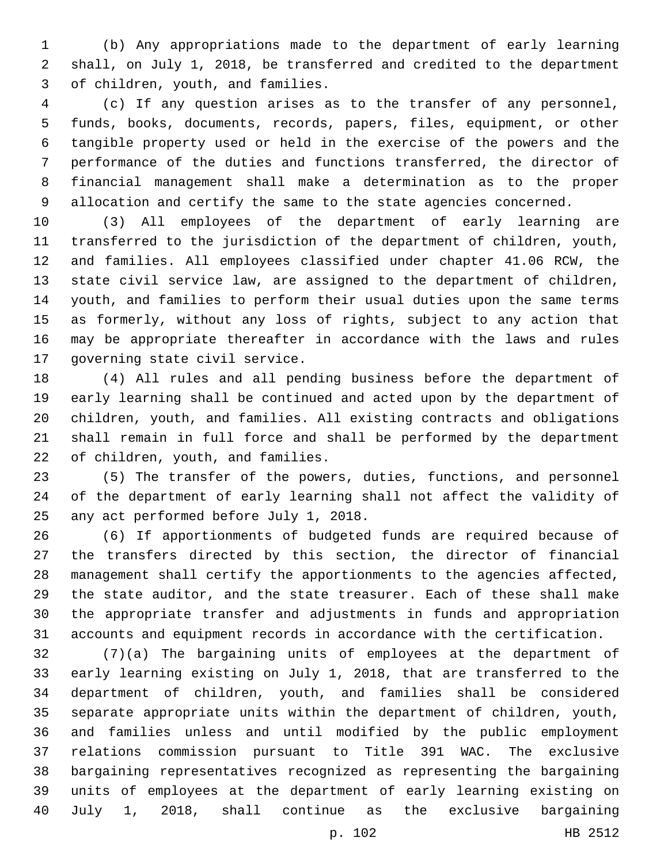(b) Any appropriations made to the department of early learning shall, on July 1, 2018, be transferred and credited to the department 3 of children, youth, and families.

 (c) If any question arises as to the transfer of any personnel, funds, books, documents, records, papers, files, equipment, or other tangible property used or held in the exercise of the powers and the performance of the duties and functions transferred, the director of financial management shall make a determination as to the proper allocation and certify the same to the state agencies concerned.

 (3) All employees of the department of early learning are transferred to the jurisdiction of the department of children, youth, and families. All employees classified under chapter 41.06 RCW, the state civil service law, are assigned to the department of children, youth, and families to perform their usual duties upon the same terms as formerly, without any loss of rights, subject to any action that may be appropriate thereafter in accordance with the laws and rules 17 governing state civil service.

 (4) All rules and all pending business before the department of early learning shall be continued and acted upon by the department of children, youth, and families. All existing contracts and obligations shall remain in full force and shall be performed by the department 22 of children, youth, and families.

 (5) The transfer of the powers, duties, functions, and personnel of the department of early learning shall not affect the validity of 25 any act performed before July 1, 2018.

 (6) If apportionments of budgeted funds are required because of the transfers directed by this section, the director of financial management shall certify the apportionments to the agencies affected, the state auditor, and the state treasurer. Each of these shall make the appropriate transfer and adjustments in funds and appropriation accounts and equipment records in accordance with the certification.

 (7)(a) The bargaining units of employees at the department of early learning existing on July 1, 2018, that are transferred to the department of children, youth, and families shall be considered separate appropriate units within the department of children, youth, and families unless and until modified by the public employment relations commission pursuant to Title 391 WAC. The exclusive bargaining representatives recognized as representing the bargaining units of employees at the department of early learning existing on July 1, 2018, shall continue as the exclusive bargaining